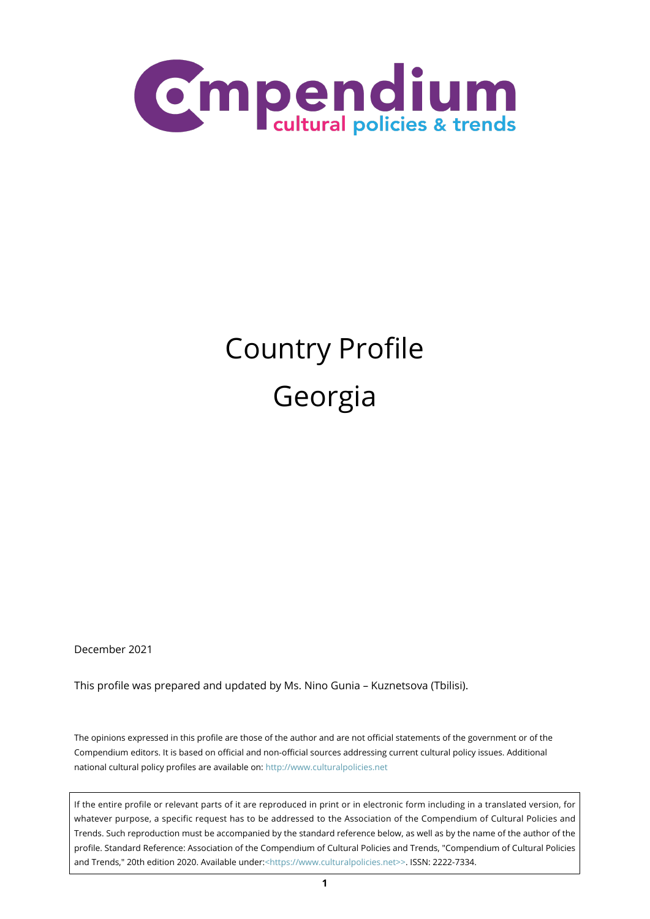

# Country Profile Georgia

December 2021

This profile was prepared and updated by Ms. Nino Gunia – Kuznetsova (Tbilisi).

The opinions expressed in this profile are those of the author and are not official statements of the government or of the Compendium editors. It is based on official and non-official sources addressing current cultural policy issues. Additional national cultural policy profiles are available on:<http://www.culturalpolicies.net>

If the entire profile or relevant parts of it are reproduced in print or in electronic form including in a translated version, for whatever purpose, a specific request has to be addressed to the Association of the Compendium of Cultural Policies and Trends. Such reproduction must be accompanied by the standard reference below, as well as by the name of the author of the profile. Standard Reference: Association of the Compendium of Cultural Policies and Trends, "Compendium of Cultural Policies and Trends," 20th edition 2020. Available under:[<https://www.culturalpolicies.net>>.](https://www.culturalpolicies.net) ISSN: 2222-7334.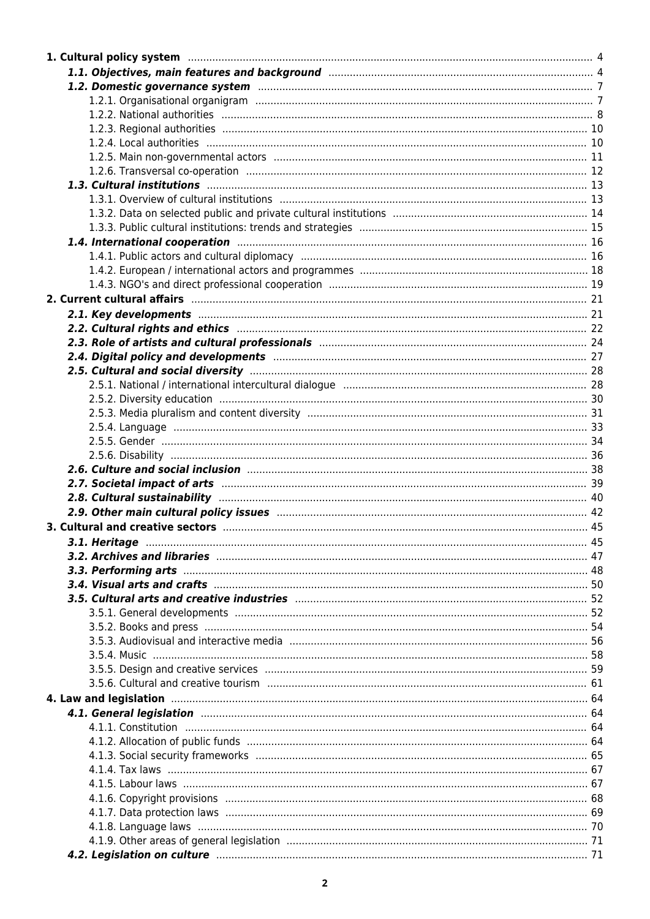| 1.4. International cooperation manufactured and the control of the cooperation of the cooperation of the cooperation                                                                                                           |  |
|--------------------------------------------------------------------------------------------------------------------------------------------------------------------------------------------------------------------------------|--|
|                                                                                                                                                                                                                                |  |
|                                                                                                                                                                                                                                |  |
|                                                                                                                                                                                                                                |  |
|                                                                                                                                                                                                                                |  |
|                                                                                                                                                                                                                                |  |
|                                                                                                                                                                                                                                |  |
|                                                                                                                                                                                                                                |  |
|                                                                                                                                                                                                                                |  |
|                                                                                                                                                                                                                                |  |
|                                                                                                                                                                                                                                |  |
|                                                                                                                                                                                                                                |  |
|                                                                                                                                                                                                                                |  |
|                                                                                                                                                                                                                                |  |
|                                                                                                                                                                                                                                |  |
|                                                                                                                                                                                                                                |  |
| 2.7. Societal impact of arts manufactured and the control of the 39                                                                                                                                                            |  |
|                                                                                                                                                                                                                                |  |
| 2.9. Other main cultural policy issues manufactured and continuum control and 42                                                                                                                                               |  |
|                                                                                                                                                                                                                                |  |
| 3.1. Heritage <b>Manual Museum and Construction Construction</b> and the state of the 45                                                                                                                                       |  |
|                                                                                                                                                                                                                                |  |
|                                                                                                                                                                                                                                |  |
|                                                                                                                                                                                                                                |  |
| 3.5. Cultural arts and creative industries manufactured and continuum and the 52                                                                                                                                               |  |
|                                                                                                                                                                                                                                |  |
|                                                                                                                                                                                                                                |  |
|                                                                                                                                                                                                                                |  |
|                                                                                                                                                                                                                                |  |
|                                                                                                                                                                                                                                |  |
|                                                                                                                                                                                                                                |  |
| 4. Law and legislation manufactured and the control of the 64                                                                                                                                                                  |  |
| 4.1. General legislation manufacture and contract the state of the state of the state of the state of the state of the state of the state of the state of the state of the state of the state of the state of the state of the |  |
|                                                                                                                                                                                                                                |  |
|                                                                                                                                                                                                                                |  |
|                                                                                                                                                                                                                                |  |
|                                                                                                                                                                                                                                |  |
|                                                                                                                                                                                                                                |  |
|                                                                                                                                                                                                                                |  |
|                                                                                                                                                                                                                                |  |
|                                                                                                                                                                                                                                |  |
|                                                                                                                                                                                                                                |  |
| 4.2. Legislation on culture manufacture contract and the 71                                                                                                                                                                    |  |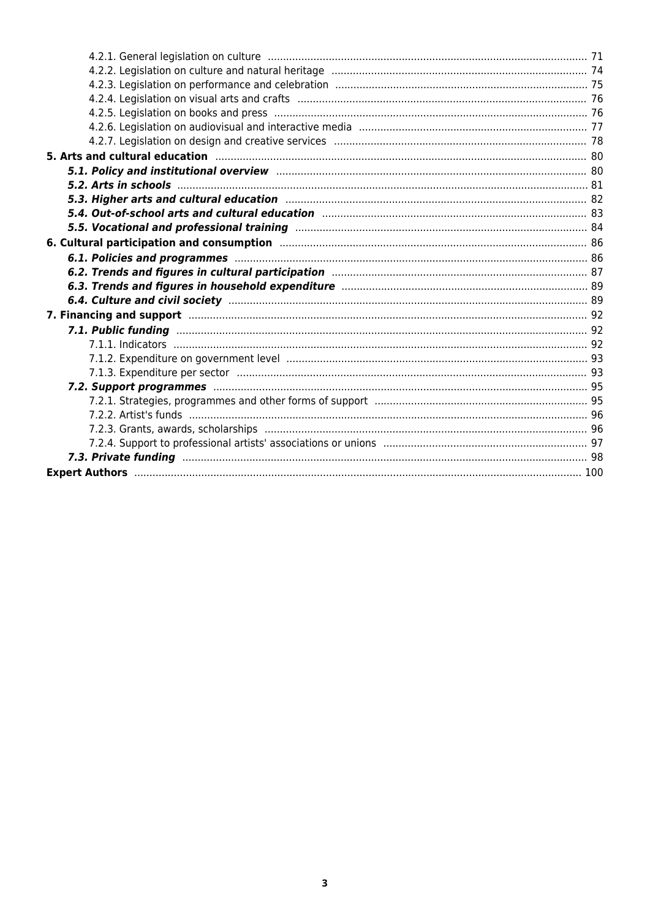| 5. Arts and cultural education manufactured and control and all the set of the set of the set of the set of th                                                                                                                 |  |
|--------------------------------------------------------------------------------------------------------------------------------------------------------------------------------------------------------------------------------|--|
| 5.1. Policy and institutional overview manufacture and continuum manufacture and 80                                                                                                                                            |  |
|                                                                                                                                                                                                                                |  |
| 5.3. Higher arts and cultural education manufactured and the control of 82                                                                                                                                                     |  |
| 5.4. Out-of-school arts and cultural education manufacture manufacture and 83                                                                                                                                                  |  |
|                                                                                                                                                                                                                                |  |
|                                                                                                                                                                                                                                |  |
| 6.1. Policies and programmes manufactured and the contract of the 86                                                                                                                                                           |  |
|                                                                                                                                                                                                                                |  |
|                                                                                                                                                                                                                                |  |
|                                                                                                                                                                                                                                |  |
| 7. Financing and support manufacture and the contract of the state of the state of the state of the state of the state of the state of the state of the state of the state of the state of the state of the state of the state |  |
|                                                                                                                                                                                                                                |  |
|                                                                                                                                                                                                                                |  |
|                                                                                                                                                                                                                                |  |
|                                                                                                                                                                                                                                |  |
|                                                                                                                                                                                                                                |  |
|                                                                                                                                                                                                                                |  |
|                                                                                                                                                                                                                                |  |
|                                                                                                                                                                                                                                |  |
|                                                                                                                                                                                                                                |  |
|                                                                                                                                                                                                                                |  |
|                                                                                                                                                                                                                                |  |
|                                                                                                                                                                                                                                |  |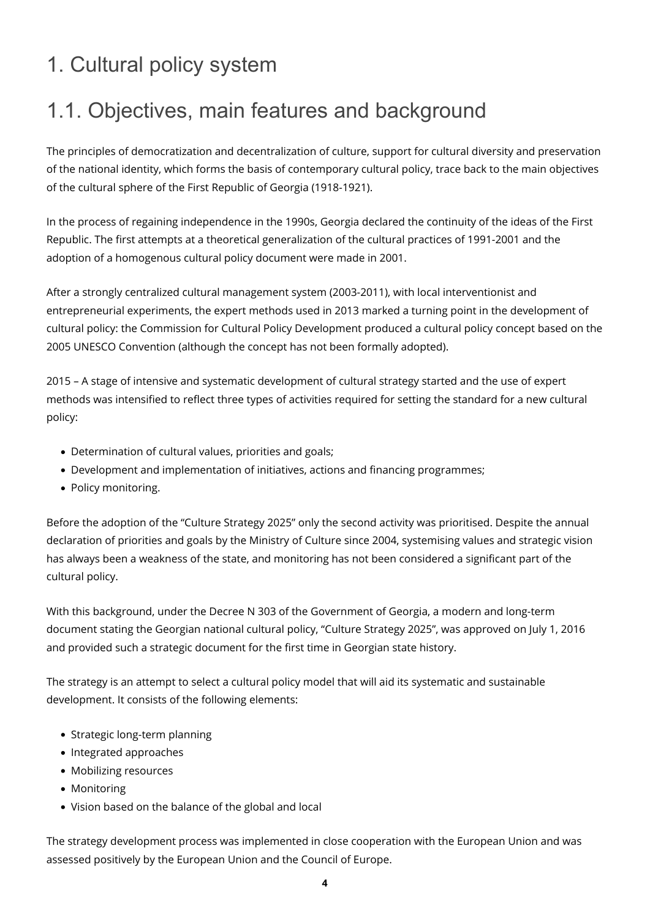# <span id="page-3-0"></span>1. Cultural policy system

# <span id="page-3-1"></span>1.1. Objectives, main features and background

The principles of democratization and decentralization of culture, support for cultural diversity and preservation of the national identity, which forms the basis of contemporary cultural policy, trace back to the main objectives of the cultural sphere of the First Republic of Georgia (1918-1921).

In the process of regaining independence in the 1990s, Georgia declared the continuity of the ideas of the First Republic. The first attempts at a theoretical generalization of the cultural practices of 1991-2001 and the adoption of a homogenous cultural policy document were made in 2001.

After a strongly centralized cultural management system (2003-2011), with local interventionist and entrepreneurial experiments, the expert methods used in 2013 marked a turning point in the development of cultural policy: the Commission for Cultural Policy Development produced a cultural policy concept based on the 2005 UNESCO Convention (although the concept has not been formally adopted).

2015 – A stage of intensive and systematic development of cultural strategy started and the use of expert methods was intensified to reflect three types of activities required for setting the standard for a new cultural policy:

- Determination of cultural values, priorities and goals;
- Development and implementation of initiatives, actions and financing programmes;
- Policy monitoring.

Before the adoption of the "Culture Strategy 2025" only the second activity was prioritised. Despite the annual declaration of priorities and goals by the Ministry of Culture since 2004, systemising values and strategic vision has always been a weakness of the state, and monitoring has not been considered a significant part of the cultural policy.

With this background, under the Decree N 303 of the Government of Georgia, a modern and long-term document stating the Georgian national cultural policy, "Culture Strategy 2025", was approved on July 1, 2016 and provided such a strategic document for the first time in Georgian state history.

The strategy is an attempt to select a cultural policy model that will aid its systematic and sustainable development. It consists of the following elements:

- Strategic long-term planning
- Integrated approaches
- Mobilizing resources
- Monitoring
- Vision based on the balance of the global and local

The strategy development process was implemented in close cooperation with the European Union and was assessed positively by the European Union and the Council of Europe.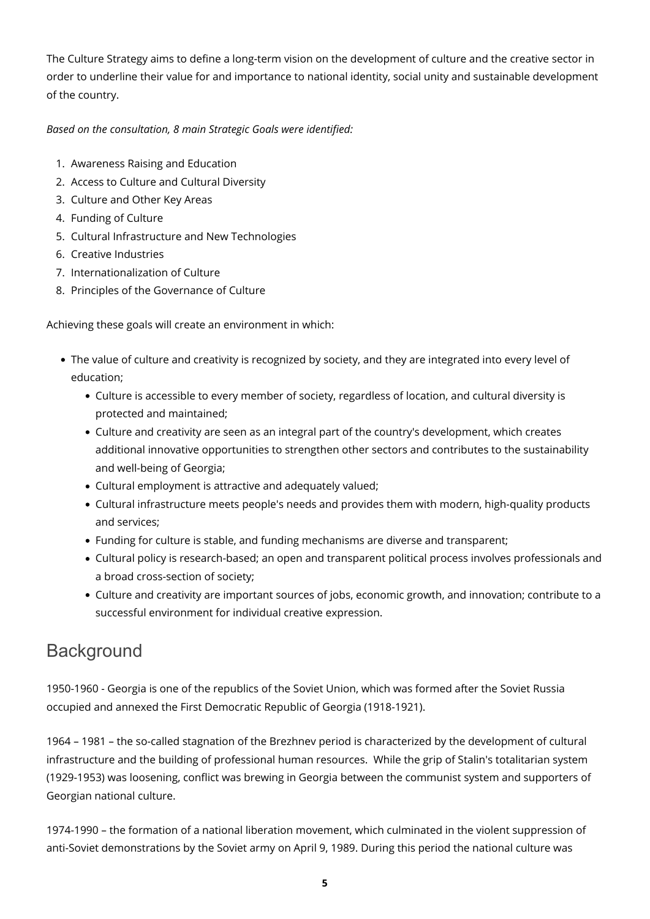The Culture Strategy aims to define a long-term vision on the development of culture and the creative sector in order to underline their value for and importance to national identity, social unity and sustainable development of the country.

#### *Based on the consultation, 8 main Strategic Goals were identified:*

- 1. Awareness Raising and Education
- 2. Access to Culture and Cultural Diversity
- 3. Culture and Other Key Areas
- 4. Funding of Culture
- 5. Cultural Infrastructure and New Technologies
- 6. Creative Industries
- 7. Internationalization of Culture
- 8. Principles of the Governance of Culture

Achieving these goals will create an environment in which:

- The value of culture and creativity is recognized by society, and they are integrated into every level of education;
	- Culture is accessible to every member of society, regardless of location, and cultural diversity is protected and maintained;
	- Culture and creativity are seen as an integral part of the country's development, which creates additional innovative opportunities to strengthen other sectors and contributes to the sustainability and well-being of Georgia;
	- Cultural employment is attractive and adequately valued;
	- Cultural infrastructure meets people's needs and provides them with modern, high-quality products and services;
	- Funding for culture is stable, and funding mechanisms are diverse and transparent;
	- Cultural policy is research-based; an open and transparent political process involves professionals and a broad cross-section of society;
	- Culture and creativity are important sources of jobs, economic growth, and innovation; contribute to a successful environment for individual creative expression.

### **Background**

1950-1960 - Georgia is one of the republics of the Soviet Union, which was formed after the Soviet Russia occupied and annexed the First Democratic Republic of Georgia (1918-1921).

1964 – 1981 – the so-called stagnation of the Brezhnev period is characterized by the development of cultural infrastructure and the building of professional human resources. While the grip of Stalin's totalitarian system (1929-1953) was loosening, conflict was brewing in Georgia between the communist system and supporters of Georgian national culture.

1974-1990 – the formation of a national liberation movement, which culminated in the violent suppression of anti-Soviet demonstrations by the Soviet army on April 9, 1989. During this period the national culture was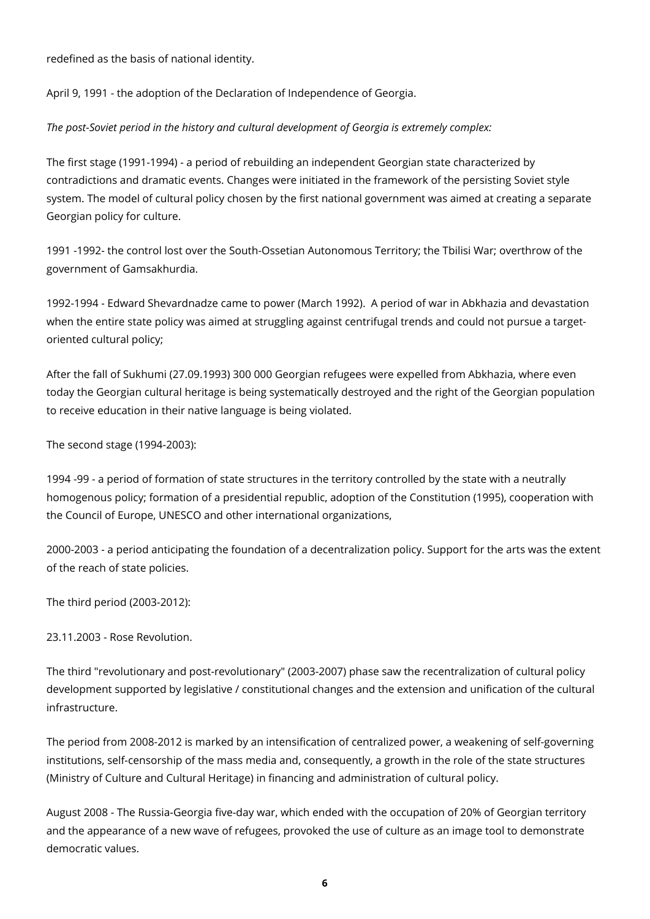redefined as the basis of national identity.

April 9, 1991 - the adoption of the Declaration of Independence of Georgia.

#### *The post-Soviet period in the history and cultural development of Georgia is extremely complex:*

The first stage (1991-1994) - a period of rebuilding an independent Georgian state characterized by contradictions and dramatic events. Changes were initiated in the framework of the persisting Soviet style system. The model of cultural policy chosen by the first national government was aimed at creating a separate Georgian policy for culture.

1991 -1992- the control lost over the South-Ossetian Autonomous Territory; the Tbilisi War; overthrow of the government of Gamsakhurdia.

1992-1994 - Edward Shevardnadze came to power (March 1992). A period of war in Abkhazia and devastation when the entire state policy was aimed at struggling against centrifugal trends and could not pursue a targetoriented cultural policy;

After the fall of Sukhumi (27.09.1993) 300 000 Georgian refugees were expelled from Abkhazia, where even today the Georgian cultural heritage is being systematically destroyed and the right of the Georgian population to receive education in their native language is being violated.

The second stage (1994-2003):

1994 -99 - a period of formation of state structures in the territory controlled by the state with a neutrally homogenous policy; formation of a presidential republic, adoption of the Constitution (1995), cooperation with the Council of Europe, UNESCO and other international organizations,

2000-2003 - a period anticipating the foundation of a decentralization policy. Support for the arts was the extent of the reach of state policies.

The third period (2003-2012):

23.11.2003 - Rose Revolution.

The third "revolutionary and post-revolutionary" (2003-2007) phase saw the recentralization of cultural policy development supported by legislative / constitutional changes and the extension and unification of the cultural infrastructure.

The period from 2008-2012 is marked by an intensification of centralized power, a weakening of self-governing institutions, self-censorship of the mass media and, consequently, a growth in the role of the state structures (Ministry of Culture and Cultural Heritage) in financing and administration of cultural policy.

August 2008 - The Russia-Georgia five-day war, which ended with the occupation of 20% of Georgian territory and the appearance of a new wave of refugees, provoked the use of culture as an image tool to demonstrate democratic values.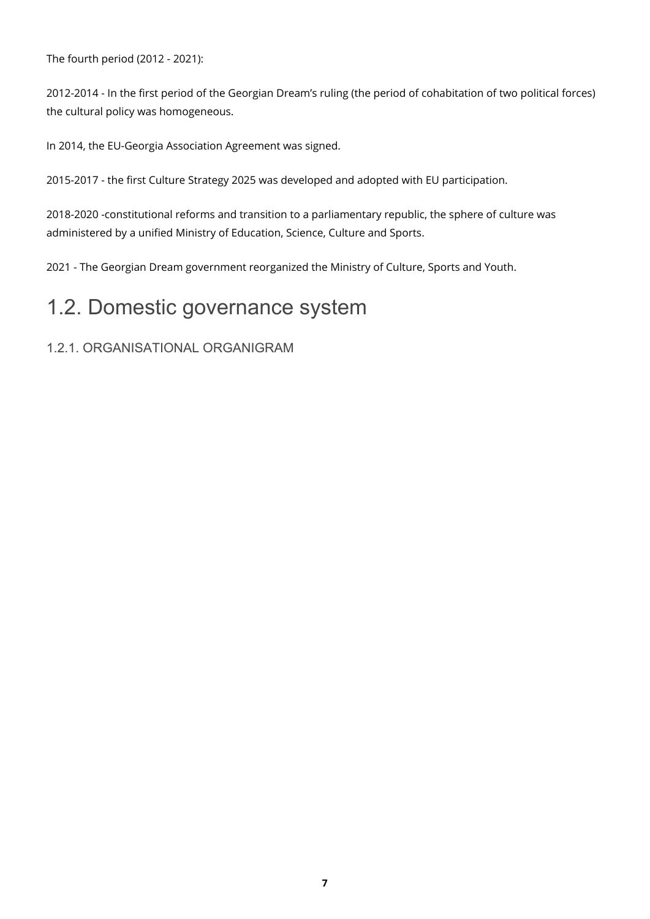The fourth period (2012 - 2021):

2012-2014 - In the first period of the Georgian Dream's ruling (the period of cohabitation of two political forces) the cultural policy was homogeneous.

In 2014, the EU-Georgia Association Agreement was signed.

2015-2017 - the first Culture Strategy 2025 was developed and adopted with EU participation.

2018-2020 -constitutional reforms and transition to a parliamentary republic, the sphere of culture was administered by a unified Ministry of Education, Science, Culture and Sports.

2021 - The Georgian Dream government reorganized the Ministry of Culture, Sports and Youth.

### <span id="page-6-0"></span>1.2. Domestic governance system

#### <span id="page-6-1"></span>1.2.1. ORGANISATIONAL ORGANIGRAM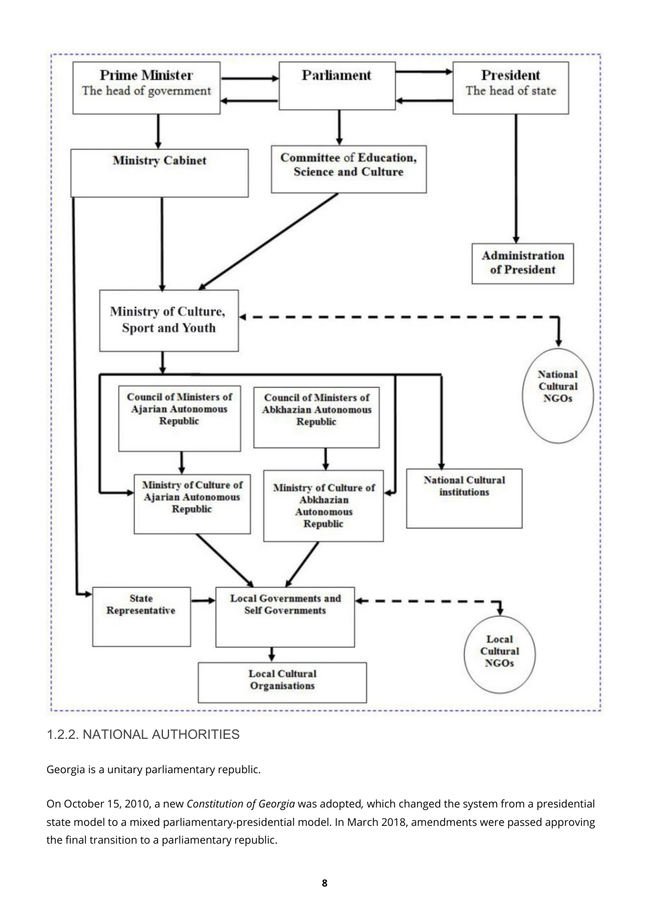

#### <span id="page-7-0"></span>1.2.2. NATIONAL AUTHORITIES

Georgia is a unitary parliamentary republic.

On October 15, 2010, a new *Constitution of Georgia* was adopted*,* which changed the system from a presidential state model to a mixed parliamentary-presidential model. In March 2018, amendments were passed approving the final transition to a parliamentary republic.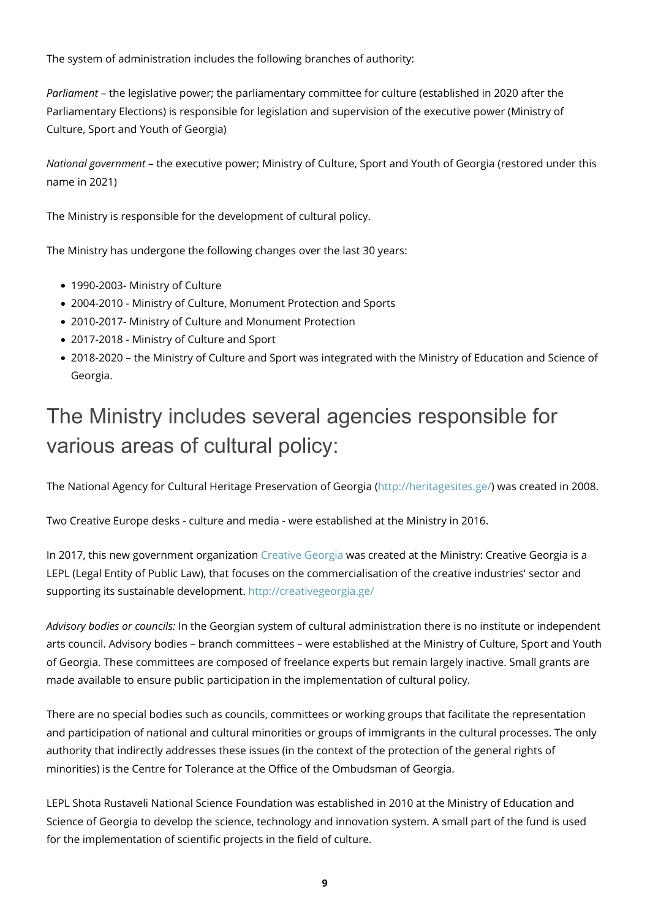The system of administration includes the following branches of authority:

*Parliament* – the legislative power; the parliamentary committee for culture (established in 2020 after the Parliamentary Elections) is responsible for legislation and supervision of the executive power (Ministry of Culture, Sport and Youth of Georgia)

*National government* – the executive power; Ministry of Culture, Sport and Youth of Georgia (restored under this name in 2021)

The Ministry is responsible for the development of cultural policy.

The Ministry has undergone the following changes over the last 30 years:

- 1990-2003- Ministry of Culture
- 2004-2010 Ministry of Culture, Monument Protection and Sports
- 2010-2017- Ministry of Culture and Monument Protection
- 2017-2018 Ministry of Culture and Sport
- 2018-2020 the Ministry of Culture and Sport was integrated with the Ministry of Education and Science of Georgia.

# The Ministry includes several agencies responsible for various areas of cultural policy:

The National Agency for Cultural Heritage Preservation of Georgia [\(http://heritagesites.ge/](http://heritagesites.ge/)) was created in 2008.

Two Creative Europe desks - culture and media - were established at the Ministry in 2016.

In 2017, this new government organization [Creative Georgia](https://www.facebook.com/creativeeuropege/) was created at the Ministry: Creative Georgia is a LEPL (Legal Entity of Public Law), that focuses on the commercialisation of the creative industries' sector and supporting its sustainable development. <http://creativegeorgia.ge/>

*Advisory bodies or councils:* In the Georgian system of cultural administration there is no institute or independent arts council. Advisory bodies – branch committees – were established at the Ministry of Culture, Sport and Youth of Georgia. These committees are composed of freelance experts but remain largely inactive. Small grants are made available to ensure public participation in the implementation of cultural policy.

There are no special bodies such as councils, committees or working groups that facilitate the representation and participation of national and cultural minorities or groups of immigrants in the cultural processes. The only authority that indirectly addresses these issues (in the context of the protection of the general rights of minorities) is the Centre for Tolerance at the Office of the Ombudsman of Georgia.

LEPL Shota Rustaveli National Science Foundation was established in 2010 at the Ministry of Education and Science of Georgia to develop the science, technology and innovation system. A small part of the fund is used for the implementation of scientific projects in the field of culture.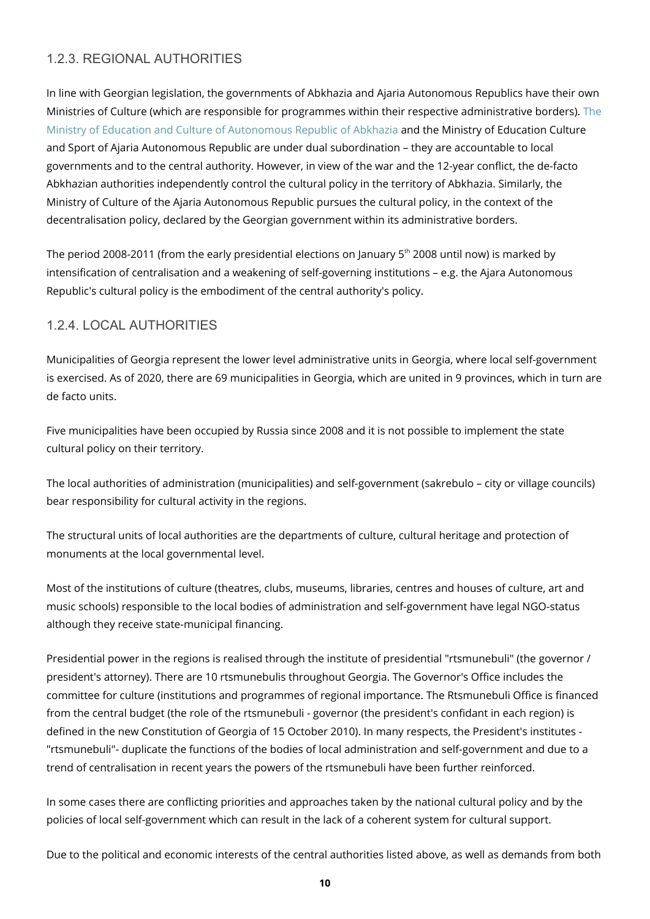#### <span id="page-9-0"></span>1.2.3. REGIONAL AUTHORITIES

In line with Georgian legislation, the governments of Abkhazia and Ajaria Autonomous Republics have their own Ministries of Culture (which are responsible for programmes within their respective administrative borders). [The](http://www.abkhazia.gov.ge/saministro/MINISTRY-OF-EDUCATION-AND-CULTURE/structure/Eka-Khoperia) [Ministry of Education and Culture of Autonomous Republic of Abkhazia](http://www.abkhazia.gov.ge/saministro/MINISTRY-OF-EDUCATION-AND-CULTURE/structure/Eka-Khoperia) and the Ministry of Education Culture and Sport of Ajaria Autonomous Republic are under dual subordination – they are accountable to local governments and to the central authority. However, in view of the war and the 12-year conflict, the de-facto Abkhazian authorities independently control the cultural policy in the territory of Abkhazia. Similarly, the Ministry of Culture of the Ajaria Autonomous Republic pursues the cultural policy, in the context of the decentralisation policy, declared by the Georgian government within its administrative borders.

The period 2008-2011 (from the early presidential elections on January  $5<sup>th</sup>$  2008 until now) is marked by intensification of centralisation and a weakening of self-governing institutions – e.g. the Ajara Autonomous Republic's cultural policy is the embodiment of the central authority's policy.

#### <span id="page-9-1"></span>1.2.4. LOCAL AUTHORITIES

Municipalities of Georgia represent the lower level administrative units in Georgia, where local self-government is exercised. As of 2020, there are 69 municipalities in Georgia, which are united in 9 provinces, which in turn are de facto units.

Five municipalities have been occupied by Russia since 2008 and it is not possible to implement the state cultural policy on their territory.

The local authorities of administration (municipalities) and self-government (sakrebulo – city or village councils) bear responsibility for cultural activity in the regions.

The structural units of local authorities are the departments of culture, cultural heritage and protection of monuments at the local governmental level.

Most of the institutions of culture (theatres, clubs, museums, libraries, centres and houses of culture, art and music schools) responsible to the local bodies of administration and self-government have legal NGO-status although they receive state-municipal financing.

Presidential power in the regions is realised through the institute of presidential "rtsmunebuli" (the governor / president's attorney). There are 10 rtsmunebulis throughout Georgia. The Governor's Office includes the committee for culture (institutions and programmes of regional importance. The Rtsmunebuli Office is financed from the central budget (the role of the rtsmunebuli - governor (the president's confidant in each region) is defined in the new Constitution of Georgia of 15 October 2010). In many respects, the President's institutes - "rtsmunebuli"- duplicate the functions of the bodies of local administration and self-government and due to a trend of centralisation in recent years the powers of the rtsmunebuli have been further reinforced.

In some cases there are conflicting priorities and approaches taken by the national cultural policy and by the policies of local self-government which can result in the lack of a coherent system for cultural support.

Due to the political and economic interests of the central authorities listed above, as well as demands from both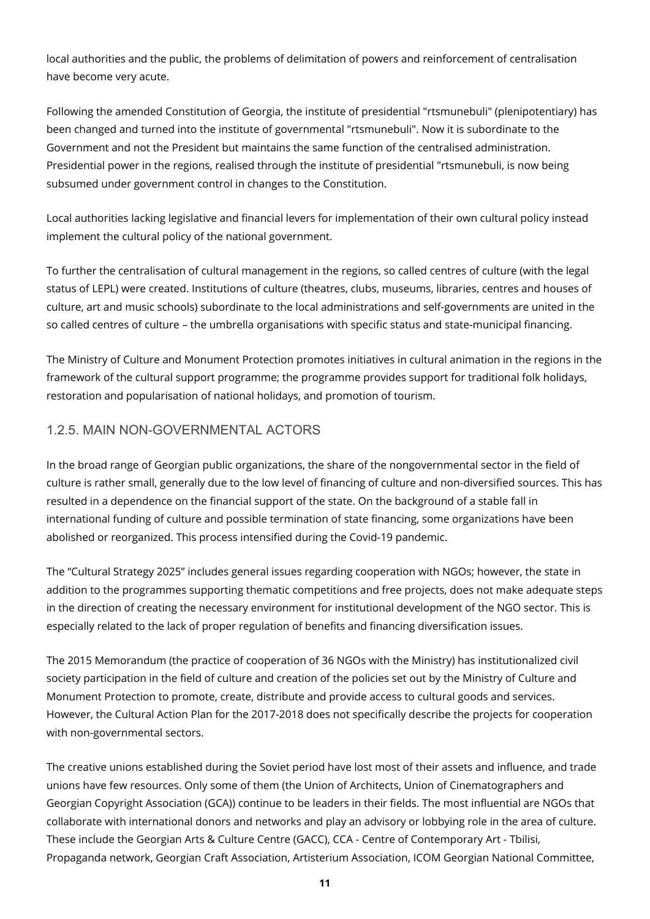local authorities and the public, the problems of delimitation of powers and reinforcement of centralisation have become very acute.

Following the amended Constitution of Georgia, the institute of presidential "rtsmunebuli" (plenipotentiary) has been changed and turned into the institute of governmental "rtsmunebuli". Now it is subordinate to the Government and not the President but maintains the same function of the centralised administration. Presidential power in the regions, realised through the institute of presidential "rtsmunebuli, is now being subsumed under government control in changes to the Constitution.

Local authorities lacking legislative and financial levers for implementation of their own cultural policy instead implement the cultural policy of the national government.

To further the centralisation of cultural management in the regions, so called centres of culture (with the legal status of LEPL) were created. Institutions of culture (theatres, clubs, museums, libraries, centres and houses of culture, art and music schools) subordinate to the local administrations and self-governments are united in the so called centres of culture – the umbrella organisations with specific status and state-municipal financing.

The Ministry of Culture and Monument Protection promotes initiatives in cultural animation in the regions in the framework of the cultural support programme; the programme provides support for traditional folk holidays, restoration and popularisation of national holidays, and promotion of tourism.

#### <span id="page-10-0"></span>1.2.5. MAIN NON-GOVERNMENTAL ACTORS

In the broad range of Georgian public organizations, the share of the nongovernmental sector in the field of culture is rather small, generally due to the low level of financing of culture and non-diversified sources. This has resulted in a dependence on the financial support of the state. On the background of a stable fall in international funding of culture and possible termination of state financing, some organizations have been abolished or reorganized. This process intensified during the Covid-19 pandemic.

The "Cultural Strategy 2025" includes general issues regarding cooperation with NGOs; however, the state in addition to the programmes supporting thematic competitions and free projects, does not make adequate steps in the direction of creating the necessary environment for institutional development of the NGO sector. This is especially related to the lack of proper regulation of benefits and financing diversification issues.

The 2015 Memorandum (the practice of cooperation of 36 NGOs with the Ministry) has institutionalized civil society participation in the field of culture and creation of the policies set out by the Ministry of Culture and Monument Protection to promote, create, distribute and provide access to cultural goods and services. However, the Cultural Action Plan for the 2017-2018 does not specifically describe the projects for cooperation with non-governmental sectors.

The creative unions established during the Soviet period have lost most of their assets and influence, and trade unions have few resources. Only some of them (the Union of Architects, Union of Cinematographers and Georgian Copyright Association (GCA)) continue to be leaders in their fields. The most influential are NGOs that collaborate with international donors and networks and play an advisory or lobbying role in the area of culture. These include the Georgian Arts & Culture Centre (GACC), CCA - Centre of Contemporary Art - Tbilisi, Propaganda network, Georgian Craft Association, Artisterium Association, ICOM Georgian National Committee,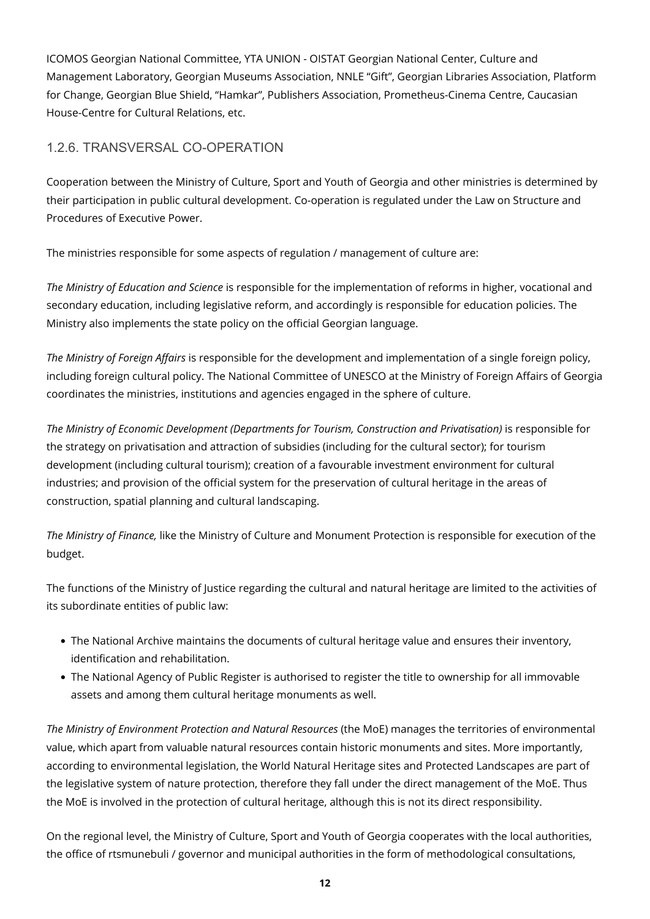ICOMOS Georgian National Committee, YTA UNION - OISTAT Georgian National Center, Culture and Management Laboratory, Georgian Museums Association, NNLE "Gift", Georgian Libraries Association, Platform for Change, Georgian Blue Shield, "Hamkar", Publishers Association, Prometheus-Cinema Centre, Caucasian House-Centre for Cultural Relations, etc.

#### <span id="page-11-0"></span>1.2.6. TRANSVERSAL CO-OPERATION

Cooperation between the Ministry of Culture, Sport and Youth of Georgia and other ministries is determined by their participation in public cultural development. Co-operation is regulated under the Law on Structure and Procedures of Executive Power.

The ministries responsible for some aspects of regulation / management of culture are:

*The Ministry of Education and Science* is responsible for the implementation of reforms in higher, vocational and secondary education, including legislative reform, and accordingly is responsible for education policies. The Ministry also implements the state policy on the official Georgian language.

*The Ministry of Foreign Affairs* is responsible for the development and implementation of a single foreign policy, including foreign cultural policy. The National Committee of UNESCO at the Ministry of Foreign Affairs of Georgia coordinates the ministries, institutions and agencies engaged in the sphere of culture.

*The Ministry of Economic Development (Departments for Tourism, Construction and Privatisation)* is responsible for the strategy on privatisation and attraction of subsidies (including for the cultural sector); for tourism development (including cultural tourism); creation of a favourable investment environment for cultural industries; and provision of the official system for the preservation of cultural heritage in the areas of construction, spatial planning and cultural landscaping.

*The Ministry of Finance,* like the Ministry of Culture and Monument Protection is responsible for execution of the budget.

The functions of the Ministry of Justice regarding the cultural and natural heritage are limited to the activities of its subordinate entities of public law:

- The National Archive maintains the documents of cultural heritage value and ensures their inventory, identification and rehabilitation.
- The National Agency of Public Register is authorised to register the title to ownership for all immovable assets and among them cultural heritage monuments as well.

*The Ministry of Environment Protection and Natural Resources* (the MoE) manages the territories of environmental value, which apart from valuable natural resources contain historic monuments and sites. More importantly, according to environmental legislation, the World Natural Heritage sites and Protected Landscapes are part of the legislative system of nature protection, therefore they fall under the direct management of the MoE. Thus the MoE is involved in the protection of cultural heritage, although this is not its direct responsibility.

On the regional level, the Ministry of Culture, Sport and Youth of Georgia cooperates with the local authorities, the office of rtsmunebuli / governor and municipal authorities in the form of methodological consultations,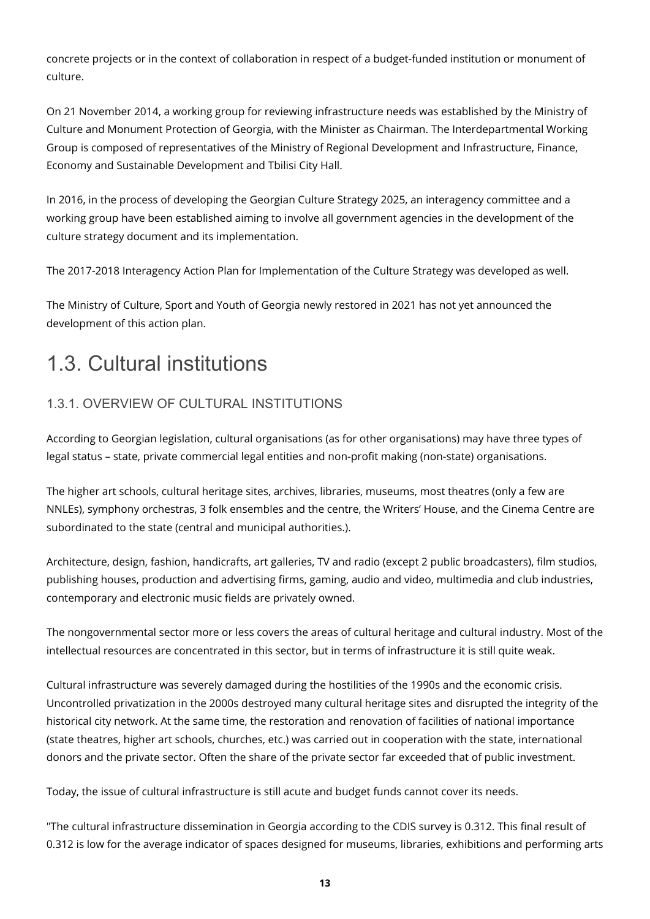concrete projects or in the context of collaboration in respect of a budget-funded institution or monument of culture.

On 21 November 2014, a working group for reviewing infrastructure needs was established by the Ministry of Culture and Monument Protection of Georgia, with the Minister as Chairman. The Interdepartmental Working Group is composed of representatives of the Ministry of Regional Development and Infrastructure, Finance, Economy and Sustainable Development and Tbilisi City Hall.

In 2016, in the process of developing the Georgian Culture Strategy 2025, an interagency committee and a working group have been established aiming to involve all government agencies in the development of the culture strategy document and its implementation.

The 2017-2018 Interagency Action Plan for Implementation of the Culture Strategy was developed as well.

The Ministry of Culture, Sport and Youth of Georgia newly restored in 2021 has not yet announced the development of this action plan.

## <span id="page-12-0"></span>1.3. Cultural institutions

#### <span id="page-12-1"></span>1.3.1. OVERVIEW OF CULTURAL INSTITUTIONS

According to Georgian legislation, cultural organisations (as for other organisations) may have three types of legal status – state, private commercial legal entities and non-profit making (non-state) organisations.

The higher art schools, cultural heritage sites, archives, libraries, museums, most theatres (only a few are NNLEs), symphony orchestras, 3 folk ensembles and the centre, the Writers' House, and the Cinema Centre are subordinated to the state (central and municipal authorities.).

Architecture, design, fashion, handicrafts, art galleries, TV and radio (except 2 public broadcasters), film studios, publishing houses, production and advertising firms, gaming, audio and video, multimedia and club industries, contemporary and electronic music fields are privately owned.

The nongovernmental sector more or less covers the areas of cultural heritage and cultural industry. Most of the intellectual resources are concentrated in this sector, but in terms of infrastructure it is still quite weak.

Cultural infrastructure was severely damaged during the hostilities of the 1990s and the economic crisis. Uncontrolled privatization in the 2000s destroyed many cultural heritage sites and disrupted the integrity of the historical city network. At the same time, the restoration and renovation of facilities of national importance (state theatres, higher art schools, churches, etc.) was carried out in cooperation with the state, international donors and the private sector. Often the share of the private sector far exceeded that of public investment.

Today, the issue of cultural infrastructure is still acute and budget funds cannot cover its needs.

"The cultural infrastructure dissemination in Georgia according to the CDIS survey is 0.312. This final result of 0.312 is low for the average indicator of spaces designed for museums, libraries, exhibitions and performing arts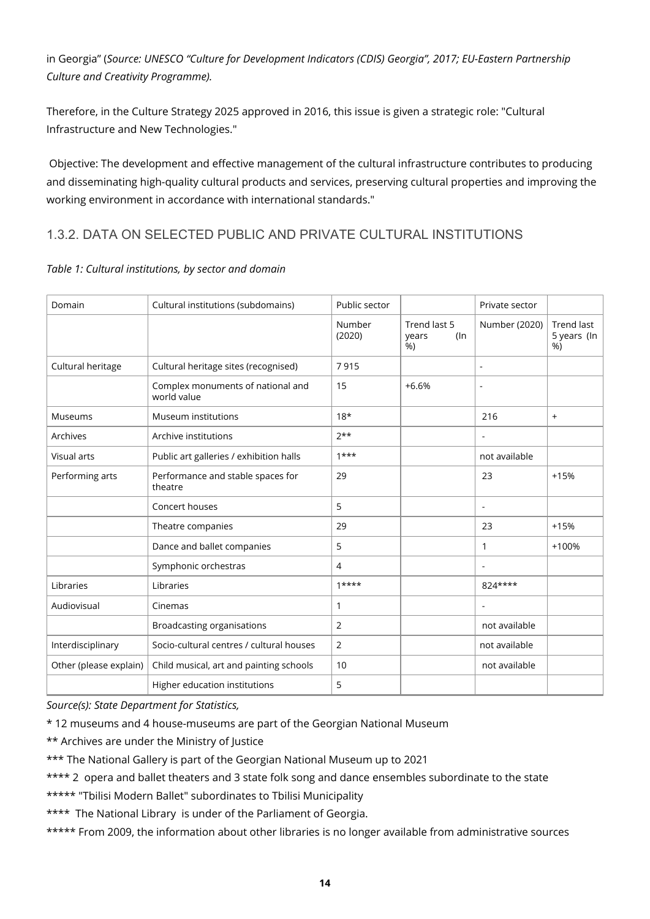in Georgia" (*Source: UNESCO "Culture for Development Indicators (CDIS) Georgia", 2017; EU-Eastern Partnership Culture and Creativity Programme).*

Therefore, in the Culture Strategy 2025 approved in 2016, this issue is given a strategic role: "Cultural Infrastructure and New Technologies."

 Objective: The development and effective management of the cultural infrastructure contributes to producing and disseminating high-quality cultural products and services, preserving cultural properties and improving the working environment in accordance with international standards."

#### <span id="page-13-0"></span>1.3.2. DATA ON SELECTED PUBLIC AND PRIVATE CULTURAL INSTITUTIONS

| Domain                 | Cultural institutions (subdomains)               | Public sector    |                                    | Private sector           |                                 |
|------------------------|--------------------------------------------------|------------------|------------------------------------|--------------------------|---------------------------------|
|                        |                                                  | Number<br>(2020) | Trend last 5<br>years<br>(ln<br>%) | Number (2020)            | Trend last<br>5 years (In<br>%) |
| Cultural heritage      | Cultural heritage sites (recognised)             | 7915             |                                    | ÷,                       |                                 |
|                        | Complex monuments of national and<br>world value | 15               | $+6.6%$                            | ÷                        |                                 |
| Museums                | Museum institutions                              | $18*$            |                                    | 216                      | $+$                             |
| Archives               | Archive institutions                             | $7**$            |                                    | ÷,                       |                                 |
| Visual arts            | Public art galleries / exhibition halls          | $1***$           |                                    | not available            |                                 |
| Performing arts        | Performance and stable spaces for<br>theatre     | 29               |                                    | 23                       | $+15%$                          |
|                        | Concert houses                                   | 5                |                                    | ÷,                       |                                 |
|                        | Theatre companies                                | 29               |                                    | 23                       | $+15%$                          |
|                        | Dance and ballet companies                       | 5                |                                    | $\mathbf{1}$             | +100%                           |
|                        | Symphonic orchestras                             | $\overline{4}$   |                                    | ÷,                       |                                 |
| Libraries              | Libraries                                        | $1***$           |                                    | 824****                  |                                 |
| Audiovisual            | Cinemas                                          | $\mathbf{1}$     |                                    | $\overline{\phantom{a}}$ |                                 |
|                        | <b>Broadcasting organisations</b>                | 2                |                                    | not available            |                                 |
| Interdisciplinary      | Socio-cultural centres / cultural houses         | 2                |                                    | not available            |                                 |
| Other (please explain) | Child musical, art and painting schools          | 10               |                                    | not available            |                                 |
|                        | Higher education institutions                    | 5                |                                    |                          |                                 |

#### *Table 1: Cultural institutions, by sector and domain*

*Source(s): State Department for Statistics,*

\* 12 museums and 4 house-museums are part of the Georgian National Museum

\*\* Archives are under the Ministry of Justice

\*\*\* The National Gallery is part of the Georgian National Museum up to 2021

\*\*\*\* 2 opera and ballet theaters and 3 state folk song and dance ensembles subordinate to the state

\*\*\*\*\* "Tbilisi Modern Ballet" subordinates to Tbilisi Municipality

\*\*\*\* The National Library is under of the Parliament of Georgia.

\*\*\*\*\* From 2009, the information about other libraries is no longer available from administrative sources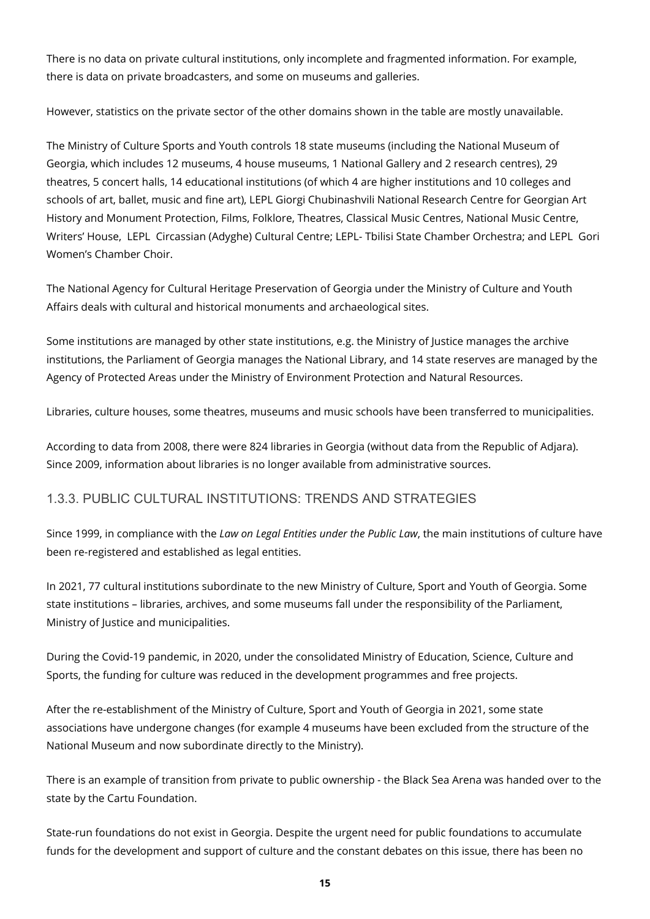There is no data on private cultural institutions, only incomplete and fragmented information. For example, there is data on private broadcasters, and some on museums and galleries.

However, statistics on the private sector of the other domains shown in the table are mostly unavailable.

The Ministry of Culture Sports and Youth controls 18 state museums (including the National Museum of Georgia, which includes 12 museums, 4 house museums, 1 National Gallery and 2 research centres), 29 theatres, 5 concert halls, 14 educational institutions (of which 4 are higher institutions and 10 colleges and schools of art, ballet, music and fine art), LEPL Giorgi Chubinashvili National Research Centre for Georgian Art History and Monument Protection, Films, Folklore, Theatres, Classical Music Centres, National Music Centre, Writers' House, LEPL Circassian (Adyghe) Cultural Centre; LEPL- Tbilisi State Chamber Orchestra; and LEPL Gori Women's Chamber Choir.

The National Agency for Cultural Heritage Preservation of Georgia under the Ministry of Culture and Youth Affairs deals with cultural and historical monuments and archaeological sites.

Some institutions are managed by other state institutions, e.g. the Ministry of Justice manages the archive institutions, the Parliament of Georgia manages the National Library, and 14 state reserves are managed by the Agency of Protected Areas under the Ministry of Environment Protection and Natural Resources.

Libraries, culture houses, some theatres, museums and music schools have been transferred to municipalities.

According to data from 2008, there were 824 libraries in Georgia (without data from the Republic of Adjara). Since 2009, information about libraries is no longer available from administrative sources.

#### <span id="page-14-0"></span>1.3.3. PUBLIC CULTURAL INSTITUTIONS: TRENDS AND STRATEGIES

Since 1999, in compliance with the *Law on Legal Entities under the Public Law*, the main institutions of culture have been re-registered and established as legal entities.

In 2021, 77 cultural institutions subordinate to the new Ministry of Culture, Sport and Youth of Georgia. Some state institutions – libraries, archives, and some museums fall under the responsibility of the Parliament, Ministry of Justice and municipalities.

During the Covid-19 pandemic, in 2020, under the consolidated Ministry of Education, Science, Culture and Sports, the funding for culture was reduced in the development programmes and free projects.

After the re-establishment of the Ministry of Culture, Sport and Youth of Georgia in 2021, some state associations have undergone changes (for example 4 museums have been excluded from the structure of the National Museum and now subordinate directly to the Ministry).

There is an example of transition from private to public ownership - the Black Sea Arena was handed over to the state by the Cartu Foundation.

State-run foundations do not exist in Georgia. Despite the urgent need for public foundations to accumulate funds for the development and support of culture and the constant debates on this issue, there has been no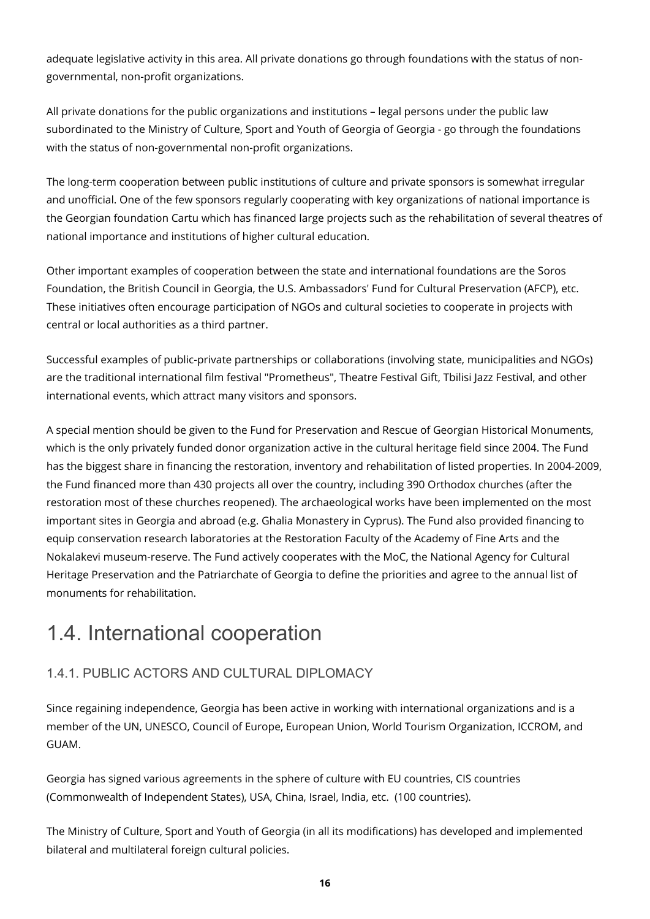adequate legislative activity in this area. All private donations go through foundations with the status of nongovernmental, non-profit organizations.

All private donations for the public organizations and institutions – legal persons under the public law subordinated to the Ministry of Culture, Sport and Youth of Georgia of Georgia - go through the foundations with the status of non-governmental non-profit organizations.

The long-term cooperation between public institutions of culture and private sponsors is somewhat irregular and unofficial. One of the few sponsors regularly cooperating with key organizations of national importance is the Georgian foundation Cartu which has financed large projects such as the rehabilitation of several theatres of national importance and institutions of higher cultural education.

Other important examples of cooperation between the state and international foundations are the Soros Foundation, the British Council in Georgia, the U.S. Ambassadors' Fund for Cultural Preservation (AFCP), etc. These initiatives often encourage participation of NGOs and cultural societies to cooperate in projects with central or local authorities as a third partner.

Successful examples of public-private partnerships or collaborations (involving state, municipalities and NGOs) are the traditional international film festival "Prometheus", Theatre Festival Gift, Tbilisi Jazz Festival, and other international events, which attract many visitors and sponsors.

A special mention should be given to the Fund for Preservation and Rescue of Georgian Historical Monuments, which is the only privately funded donor organization active in the cultural heritage field since 2004. The Fund has the biggest share in financing the restoration, inventory and rehabilitation of listed properties. In 2004-2009, the Fund financed more than 430 projects all over the country, including 390 Orthodox churches (after the restoration most of these churches reopened). The archaeological works have been implemented on the most important sites in Georgia and abroad (e.g. Ghalia Monastery in Cyprus). The Fund also provided financing to equip conservation research laboratories at the Restoration Faculty of the Academy of Fine Arts and the Nokalakevi museum-reserve. The Fund actively cooperates with the MoC, the National Agency for Cultural Heritage Preservation and the Patriarchate of Georgia to define the priorities and agree to the annual list of monuments for rehabilitation.

## <span id="page-15-0"></span>1.4. International cooperation

#### <span id="page-15-1"></span>1.4.1. PUBLIC ACTORS AND CULTURAL DIPLOMACY

Since regaining independence, Georgia has been active in working with international organizations and is a member of the UN, UNESCO, Council of Europe, European Union, World Tourism Organization, ICCROM, and GUAM.

Georgia has signed various agreements in the sphere of culture with EU countries, CIS countries (Commonwealth of Independent States), USA, China, Israel, India, etc. (100 countries).

The Ministry of Culture, Sport and Youth of Georgia (in all its modifications) has developed and implemented bilateral and multilateral foreign cultural policies.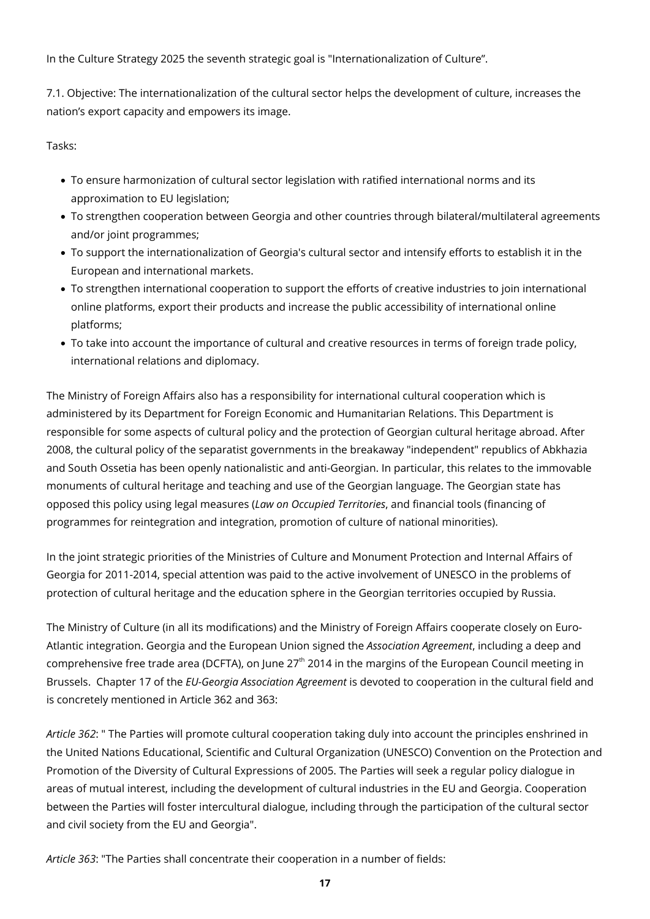In the Culture Strategy 2025 the seventh strategic goal is "Internationalization of Culture".

7.1. Objective: The internationalization of the cultural sector helps the development of culture, increases the nation's export capacity and empowers its image.

Tasks:

- To ensure harmonization of cultural sector legislation with ratified international norms and its approximation to EU legislation;
- To strengthen cooperation between Georgia and other countries through bilateral/multilateral agreements and/or joint programmes;
- To support the internationalization of Georgia's cultural sector and intensify efforts to establish it in the European and international markets.
- To strengthen international cooperation to support the efforts of creative industries to join international online platforms, export their products and increase the public accessibility of international online platforms;
- To take into account the importance of cultural and creative resources in terms of foreign trade policy, international relations and diplomacy.

The Ministry of Foreign Affairs also has a responsibility for international cultural cooperation which is administered by its Department for Foreign Economic and Humanitarian Relations. This Department is responsible for some aspects of cultural policy and the protection of Georgian cultural heritage abroad. After 2008, the cultural policy of the separatist governments in the breakaway "independent" republics of Abkhazia and South Ossetia has been openly nationalistic and anti-Georgian. In particular, this relates to the immovable monuments of cultural heritage and teaching and use of the Georgian language. The Georgian state has opposed this policy using legal measures (*Law on Occupied Territories*, and financial tools (financing of programmes for reintegration and integration, promotion of culture of national minorities).

In the joint strategic priorities of the Ministries of Culture and Monument Protection and Internal Affairs of Georgia for 2011-2014, special attention was paid to the active involvement of UNESCO in the problems of protection of cultural heritage and the education sphere in the Georgian territories occupied by Russia.

The Ministry of Culture (in all its modifications) and the Ministry of Foreign Affairs cooperate closely on Euro-Atlantic integration. Georgia and the European Union signed the *Association Agreement*, including a deep and comprehensive free trade area (DCFTA), on June  $27<sup>th</sup>$  2014 in the margins of the European Council meeting in Brussels. Chapter 17 of the *EU-Georgia Association Agreement* is devoted to cooperation in the cultural field and is concretely mentioned in Article 362 and 363:

*Article 362*: " The Parties will promote cultural cooperation taking duly into account the principles enshrined in the United Nations Educational, Scientific and Cultural Organization (UNESCO) Convention on the Protection and Promotion of the Diversity of Cultural Expressions of 2005. The Parties will seek a regular policy dialogue in areas of mutual interest, including the development of cultural industries in the EU and Georgia. Cooperation between the Parties will foster intercultural dialogue, including through the participation of the cultural sector and civil society from the EU and Georgia".

*Article 363*: "The Parties shall concentrate their cooperation in a number of fields: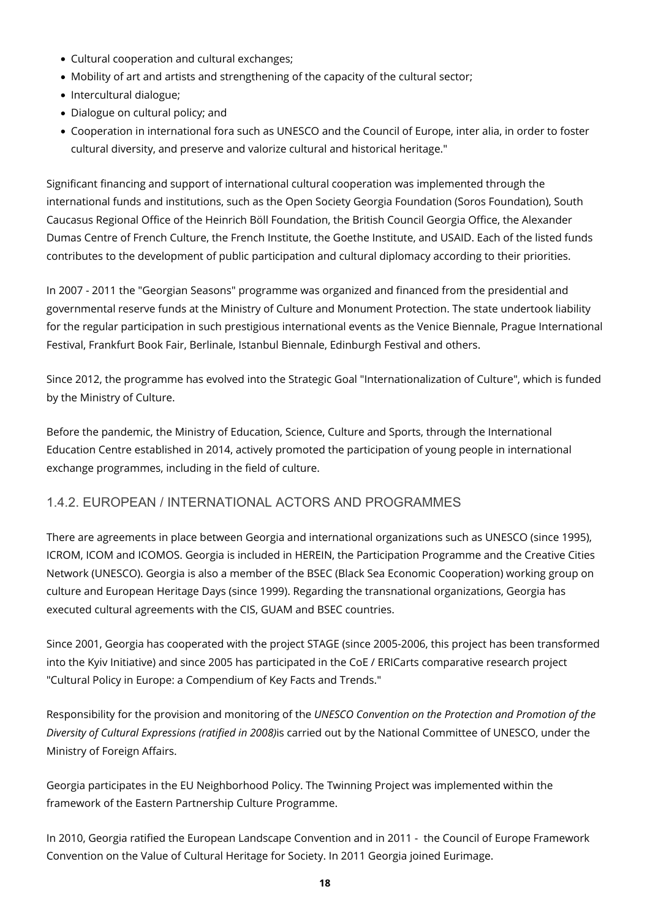- Cultural cooperation and cultural exchanges;
- Mobility of art and artists and strengthening of the capacity of the cultural sector;
- Intercultural dialogue;
- Dialogue on cultural policy; and
- Cooperation in international fora such as UNESCO and the Council of Europe, inter alia, in order to foster cultural diversity, and preserve and valorize cultural and historical heritage."

Significant financing and support of international cultural cooperation was implemented through the international funds and institutions, such as the Open Society Georgia Foundation (Soros Foundation), South Caucasus Regional Office of the Heinrich Böll Foundation, the British Council Georgia Office, the Alexander Dumas Centre of French Culture, the French Institute, the Goethe Institute, and USAID. Each of the listed funds contributes to the development of public participation and cultural diplomacy according to their priorities.

In 2007 - 2011 the "Georgian Seasons" programme was organized and financed from the presidential and governmental reserve funds at the Ministry of Culture and Monument Protection. The state undertook liability for the regular participation in such prestigious international events as the Venice Biennale, Prague International Festival, Frankfurt Book Fair, Berlinale, Istanbul Biennale, Edinburgh Festival and others.

Since 2012, the programme has evolved into the Strategic Goal "Internationalization of Culture", which is funded by the Ministry of Culture.

Before the pandemic, the Ministry of Education, Science, Culture and Sports, through the International Education Centre established in 2014, actively promoted the participation of young people in international exchange programmes, including in the field of culture.

#### <span id="page-17-0"></span>1.4.2. EUROPEAN / INTERNATIONAL ACTORS AND PROGRAMMES

There are agreements in place between Georgia and international organizations such as UNESCO (since 1995), ICROM, ICOM and ICOMOS. Georgia is included in HEREIN, the Participation Programme and the Creative Cities Network (UNESCO). Georgia is also a member of the BSEC (Black Sea Economic Cooperation) working group on culture and European Heritage Days (since 1999). Regarding the transnational organizations, Georgia has executed cultural agreements with the CIS, GUAM and BSEC countries.

Since 2001, Georgia has cooperated with the project STAGE (since 2005-2006, this project has been transformed into the Kyiv Initiative) and since 2005 has participated in the CoE / ERICarts comparative research project "Cultural Policy in Europe: a Compendium of Key Facts and Trends."

Responsibility for the provision and monitoring of the *UNESCO Convention on the Protection and Promotion of the Diversity of Cultural Expressions (ratified in 2008)*is carried out by the National Committee of UNESCO, under the Ministry of Foreign Affairs.

Georgia participates in the EU Neighborhood Policy. The Twinning Project was implemented within the framework of the Eastern Partnership Culture Programme.

In 2010, Georgia ratified the European Landscape Convention and in 2011 - the Council of Europe Framework Convention on the Value of Cultural Heritage for Society. In 2011 Georgia joined Eurimage.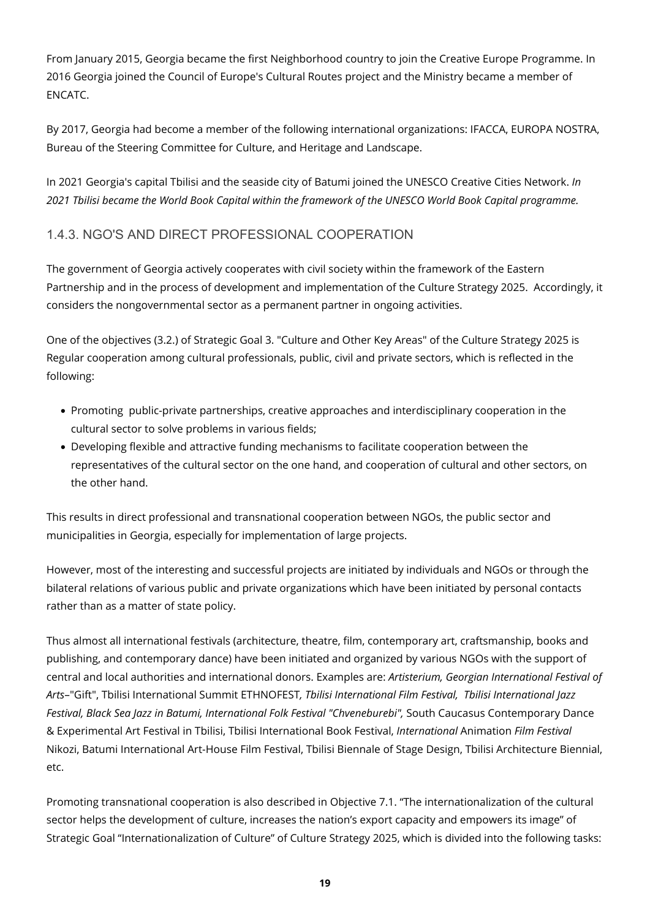From January 2015, Georgia became the first Neighborhood country to join the Creative Europe Programme. In 2016 Georgia joined the Council of Europe's Cultural Routes project and the Ministry became a member of ENCATC.

By 2017, Georgia had become a member of the following international organizations: IFACCA, EUROPA NOSTRA, Bureau of the Steering Committee for Culture, and Heritage and Landscape.

In 2021 Georgia's capital Tbilisi and the seaside city of Batumi joined the UNESCO Creative Cities Network. *In 2021 Tbilisi became the World Book Capital within the framework of the UNESCO World Book Capital programme.*

#### <span id="page-18-0"></span>1.4.3. NGO'S AND DIRECT PROFESSIONAL COOPERATION

The government of Georgia actively cooperates with civil society within the framework of the Eastern Partnership and in the process of development and implementation of the Culture Strategy 2025. Accordingly, it considers the nongovernmental sector as a permanent partner in ongoing activities.

One of the objectives (3.2.) of Strategic Goal 3. "Culture and Other Key Areas" of the Culture Strategy 2025 is Regular cooperation among cultural professionals, public, civil and private sectors, which is reflected in the following:

- Promoting public-private partnerships, creative approaches and interdisciplinary cooperation in the cultural sector to solve problems in various fields;
- Developing flexible and attractive funding mechanisms to facilitate cooperation between the representatives of the cultural sector on the one hand, and cooperation of cultural and other sectors, on the other hand.

This results in direct professional and transnational cooperation between NGOs, the public sector and municipalities in Georgia, especially for implementation of large projects.

However, most of the interesting and successful projects are initiated by individuals and NGOs or through the bilateral relations of various public and private organizations which have been initiated by personal contacts rather than as a matter of state policy.

Thus almost all international festivals (architecture, theatre, film, contemporary art, craftsmanship, books and publishing, and contemporary dance) have been initiated and organized by various NGOs with the support of central and local authorities and international donors. Examples are: *Artisterium, Georgian International Festival of Arts*–"Gift", Tbilisi International Summit ETHNOFEST*, Tbilisi International Film Festival, Tbilisi International Jazz Festival, Black Sea Jazz in Batumi, International Folk Festival "Chveneburebi",* South Caucasus Contemporary Dance & Experimental Art Festival in Tbilisi, Tbilisi International Book Festival, *International* Animation *Film Festival*  Nikozi, Batumi International Art-House Film Festival, Tbilisi Biennale of Stage Design, Tbilisi Architecture Biennial, etc.

Promoting transnational cooperation is also described in Objective 7.1. "The internationalization of the cultural sector helps the development of culture, increases the nation's export capacity and empowers its image" of Strategic Goal "Internationalization of Culture" of Culture Strategy 2025, which is divided into the following tasks: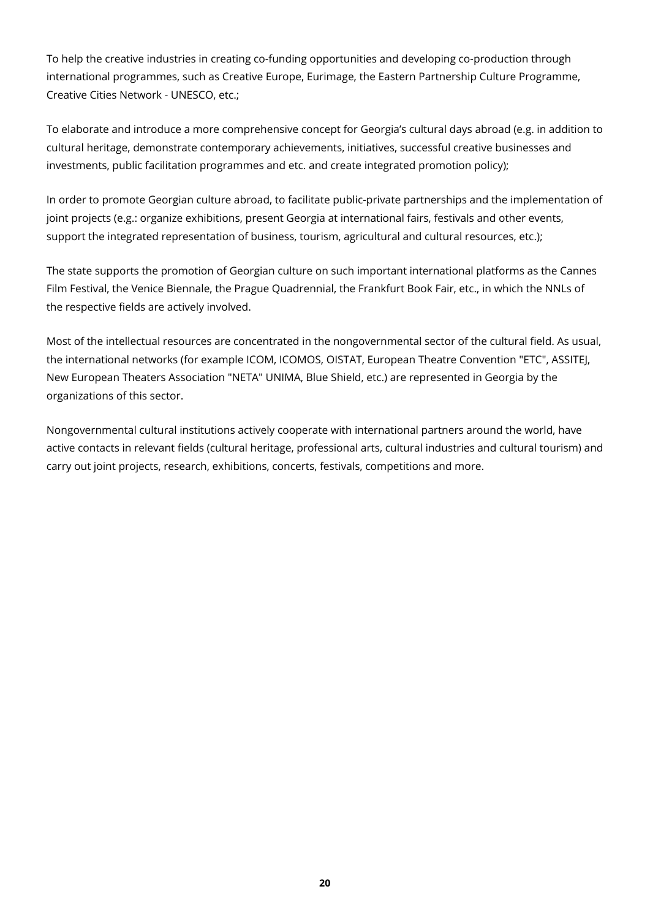To help the creative industries in creating co-funding opportunities and developing co-production through international programmes, such as Creative Europe, Eurimage, the Eastern Partnership Culture Programme, Creative Cities Network - UNESCO, etc.;

To elaborate and introduce a more comprehensive concept for Georgia's cultural days abroad (e.g. in addition to cultural heritage, demonstrate contemporary achievements, initiatives, successful creative businesses and investments, public facilitation programmes and etc. and create integrated promotion policy);

In order to promote Georgian culture abroad, to facilitate public-private partnerships and the implementation of joint projects (e.g.: organize exhibitions, present Georgia at international fairs, festivals and other events, support the integrated representation of business, tourism, agricultural and cultural resources, etc.);

The state supports the promotion of Georgian culture on such important international platforms as the Cannes Film Festival, the Venice Biennale, the Prague Quadrennial, the Frankfurt Book Fair, etc., in which the NNLs of the respective fields are actively involved.

Most of the intellectual resources are concentrated in the nongovernmental sector of the cultural field. As usual, the international networks (for example ICOM, ICOMOS, OISTAT, European Theatre Convention "ETC", ASSITEJ, New European Theaters Association "NETA" UNIMA, Blue Shield, etc.) are represented in Georgia by the organizations of this sector.

Nongovernmental cultural institutions actively cooperate with international partners around the world, have active contacts in relevant fields (cultural heritage, professional arts, cultural industries and cultural tourism) and carry out joint projects, research, exhibitions, concerts, festivals, competitions and more.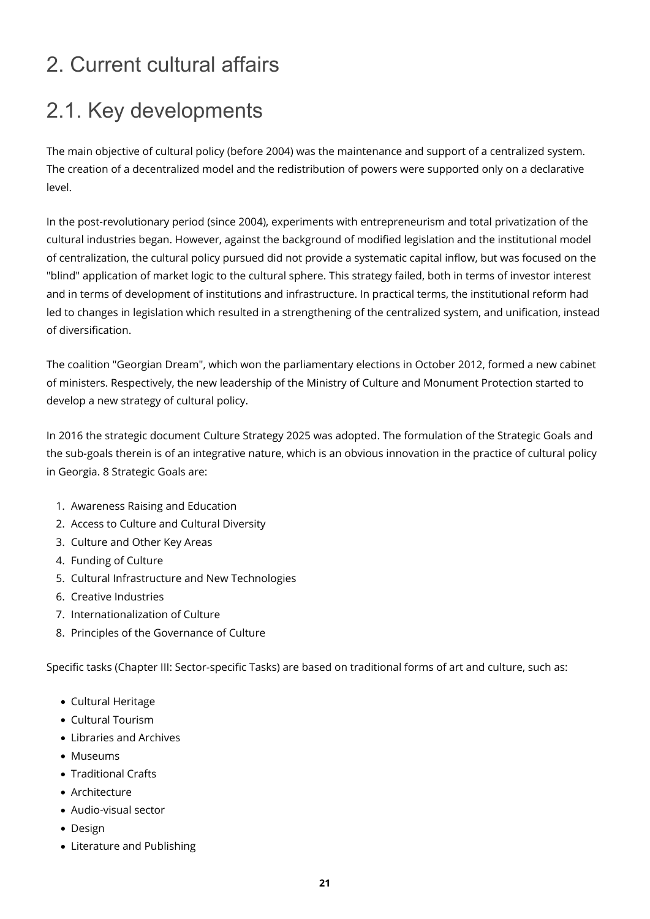# <span id="page-20-0"></span>2. Current cultural affairs

## <span id="page-20-1"></span>2.1. Key developments

The main objective of cultural policy (before 2004) was the maintenance and support of a centralized system. The creation of a decentralized model and the redistribution of powers were supported only on a declarative level.

In the post-revolutionary period (since 2004), experiments with entrepreneurism and total privatization of the cultural industries began. However, against the background of modified legislation and the institutional model of centralization, the cultural policy pursued did not provide a systematic capital inflow, but was focused on the "blind" application of market logic to the cultural sphere. This strategy failed, both in terms of investor interest and in terms of development of institutions and infrastructure. In practical terms, the institutional reform had led to changes in legislation which resulted in a strengthening of the centralized system, and unification, instead of diversification.

The coalition "Georgian Dream", which won the parliamentary elections in October 2012, formed a new cabinet of ministers. Respectively, the new leadership of the Ministry of Culture and Monument Protection started to develop a new strategy of cultural policy.

In 2016 the strategic document Culture Strategy 2025 was adopted. The formulation of the Strategic Goals and the sub-goals therein is of an integrative nature, which is an obvious innovation in the practice of cultural policy in Georgia. 8 Strategic Goals are:

- 1. Awareness Raising and Education
- 2. Access to Culture and Cultural Diversity
- 3. Culture and Other Key Areas
- 4. Funding of Culture
- 5. Cultural Infrastructure and New Technologies
- 6. Creative Industries
- 7. Internationalization of Culture
- 8. Principles of the Governance of Culture

Specific tasks (Chapter III: Sector-specific Tasks) are based on traditional forms of art and culture, such as:

- Cultural Heritage
- Cultural Tourism
- Libraries and Archives
- Museums
- Traditional Crafts
- Architecture
- Audio-visual sector
- Design
- Literature and Publishing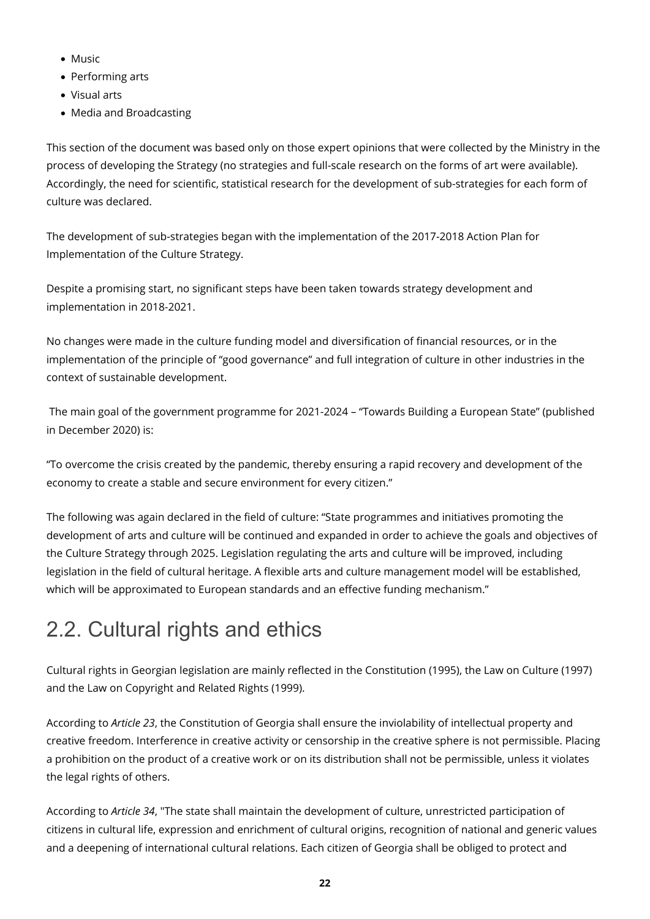- Music
- Performing arts
- Visual arts
- Media and Broadcasting

This section of the document was based only on those expert opinions that were collected by the Ministry in the process of developing the Strategy (no strategies and full-scale research on the forms of art were available). Accordingly, the need for scientific, statistical research for the development of sub-strategies for each form of culture was declared.

The development of sub-strategies began with the implementation of the 2017-2018 Action Plan for Implementation of the Culture Strategy.

Despite a promising start, no significant steps have been taken towards strategy development and implementation in 2018-2021.

No changes were made in the culture funding model and diversification of financial resources, or in the implementation of the principle of "good governance" and full integration of culture in other industries in the context of sustainable development.

 The main goal of the government programme for 2021-2024 – "Towards Building a European State" (published in December 2020) is:

"To overcome the crisis created by the pandemic, thereby ensuring a rapid recovery and development of the economy to create a stable and secure environment for every citizen."

The following was again declared in the field of culture: "State programmes and initiatives promoting the development of arts and culture will be continued and expanded in order to achieve the goals and objectives of the Culture Strategy through 2025. Legislation regulating the arts and culture will be improved, including legislation in the field of cultural heritage. A flexible arts and culture management model will be established, which will be approximated to European standards and an effective funding mechanism."

# <span id="page-21-0"></span>2.2. Cultural rights and ethics

Cultural rights in Georgian legislation are mainly reflected in the Constitution (1995), the Law on Culture (1997) and the Law on Copyright and Related Rights (1999).

According to *Article 23*, the Constitution of Georgia shall ensure the inviolability of intellectual property and creative freedom. Interference in creative activity or censorship in the creative sphere is not permissible. Placing a prohibition on the product of a creative work or on its distribution shall not be permissible, unless it violates the legal rights of others.

According to *Article 34*, "The state shall maintain the development of culture, unrestricted participation of citizens in cultural life, expression and enrichment of cultural origins, recognition of national and generic values and a deepening of international cultural relations. Each citizen of Georgia shall be obliged to protect and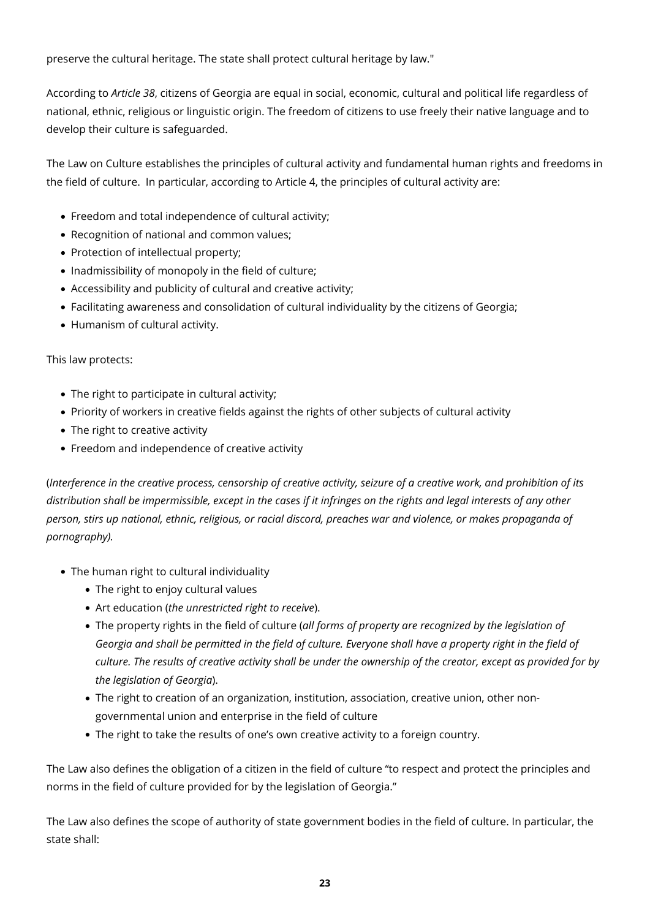preserve the cultural heritage. The state shall protect cultural heritage by law."

According to *Article 38*, citizens of Georgia are equal in social, economic, cultural and political life regardless of national, ethnic, religious or linguistic origin. The freedom of citizens to use freely their native language and to develop their culture is safeguarded.

The Law on Culture establishes the principles of cultural activity and fundamental human rights and freedoms in the field of culture. In particular, according to Article 4, the principles of cultural activity are:

- Freedom and total independence of cultural activity;
- Recognition of national and common values:
- Protection of intellectual property;
- Inadmissibility of monopoly in the field of culture;
- Accessibility and publicity of cultural and creative activity;
- Facilitating awareness and consolidation of cultural individuality by the citizens of Georgia;
- Humanism of cultural activity.

This law protects:

- The right to participate in cultural activity;
- Priority of workers in creative fields against the rights of other subjects of cultural activity
- The right to creative activity
- Freedom and independence of creative activity

(*Interference in the creative process, censorship of creative activity, seizure of a creative work, and prohibition of its distribution shall be impermissible, except in the cases if it infringes on the rights and legal interests of any other person, stirs up national, ethnic, religious, or racial discord, preaches war and violence, or makes propaganda of pornography).*

- The human right to cultural individuality
	- The right to enjoy cultural values
	- Art education (*the unrestricted right to receive*).
	- The property rights in the field of culture (*all forms of property are recognized by the legislation of Georgia and shall be permitted in the field of culture. Everyone shall have a property right in the field of culture. The results of creative activity shall be under the ownership of the creator, except as provided for by the legislation of Georgia*).
	- The right to creation of an organization, institution, association, creative union, other nongovernmental union and enterprise in the field of culture
	- The right to take the results of one's own creative activity to a foreign country.

The Law also defines the obligation of a citizen in the field of culture "to respect and protect the principles and norms in the field of culture provided for by the legislation of Georgia."

The Law also defines the scope of authority of state government bodies in the field of culture. In particular, the state shall: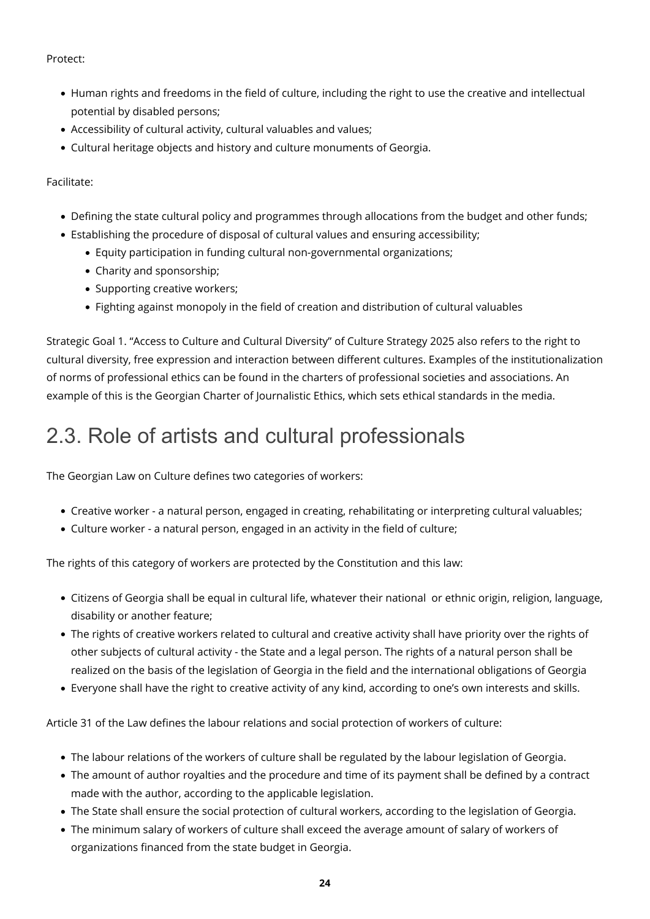Protect:

- Human rights and freedoms in the field of culture, including the right to use the creative and intellectual potential by disabled persons;
- Accessibility of cultural activity, cultural valuables and values;
- Cultural heritage objects and history and culture monuments of Georgia.

Facilitate:

- Defining the state cultural policy and programmes through allocations from the budget and other funds;
- Establishing the procedure of disposal of cultural values and ensuring accessibility;
	- Equity participation in funding cultural non-governmental organizations;
	- Charity and sponsorship;
	- Supporting creative workers;
	- Fighting against monopoly in the field of creation and distribution of cultural valuables

Strategic Goal 1. "Access to Culture and Cultural Diversity" of Culture Strategy 2025 also refers to the right to cultural diversity, free expression and interaction between different cultures. Examples of the institutionalization of norms of professional ethics can be found in the charters of professional societies and associations. An example of this is the Georgian Charter of Journalistic Ethics, which sets ethical standards in the media.

### <span id="page-23-0"></span>2.3. Role of artists and cultural professionals

The Georgian Law on Culture defines two categories of workers:

- Creative worker a natural person, engaged in creating, rehabilitating or interpreting cultural valuables;
- Culture worker a natural person, engaged in an activity in the field of culture;

The rights of this category of workers are protected by the Constitution and this law:

- Citizens of Georgia shall be equal in cultural life, whatever their national or ethnic origin, religion, language, disability or another feature;
- The rights of creative workers related to cultural and creative activity shall have priority over the rights of other subjects of cultural activity - the State and a legal person. The rights of a natural person shall be realized on the basis of the legislation of Georgia in the field and the international obligations of Georgia
- Everyone shall have the right to creative activity of any kind, according to one's own interests and skills.

Article 31 of the Law defines the labour relations and social protection of workers of culture:

- The labour relations of the workers of culture shall be regulated by the labour legislation of Georgia.
- The amount of author royalties and the procedure and time of its payment shall be defined by a contract made with the author, according to the applicable legislation.
- The State shall ensure the social protection of cultural workers, according to the legislation of Georgia.
- The minimum salary of workers of culture shall exceed the average amount of salary of workers of organizations financed from the state budget in Georgia.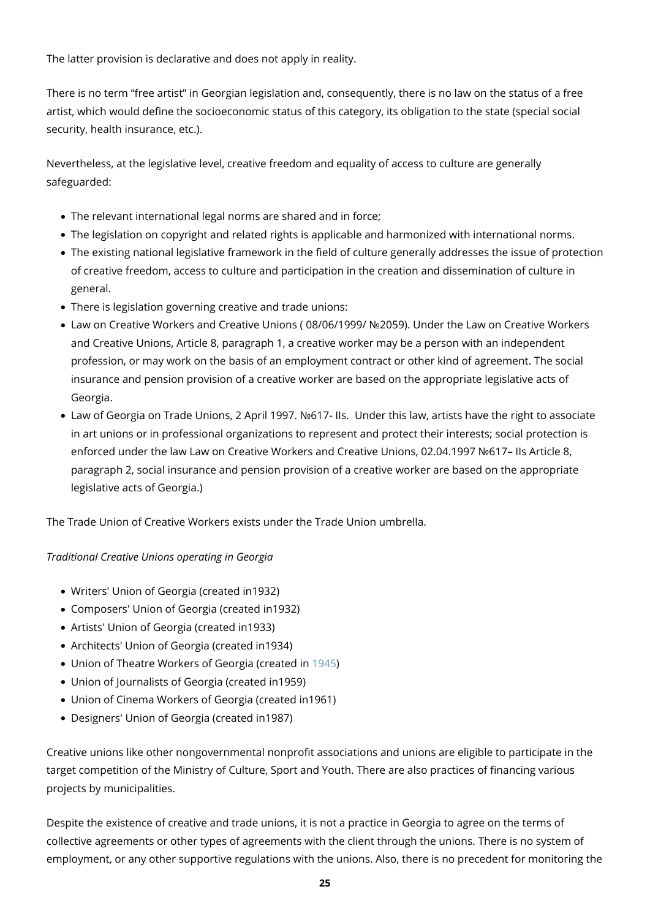The latter provision is declarative and does not apply in reality.

There is no term "free artist" in Georgian legislation and, consequently, there is no law on the status of a free artist, which would define the socioeconomic status of this category, its obligation to the state (special social security, health insurance, etc.).

Nevertheless, at the legislative level, creative freedom and equality of access to culture are generally safeguarded:

- The relevant international legal norms are shared and in force;
- The legislation on copyright and related rights is applicable and harmonized with international norms.
- The existing national legislative framework in the field of culture generally addresses the issue of protection of creative freedom, access to culture and participation in the creation and dissemination of culture in general.
- There is legislation governing creative and trade unions:
- Law on Creative Workers and Creative Unions ( 08/06/1999/ №2059). Under the Law on Creative Workers and Creative Unions, Article 8, paragraph 1, a creative worker may be a person with an independent profession, or may work on the basis of an employment contract or other kind of agreement. The social insurance and pension provision of a creative worker are based on the appropriate legislative acts of Georgia.
- Law of Georgia on Trade Unions, 2 April 1997. №617- IIs. Under this law, artists have the right to associate in art unions or in professional organizations to represent and protect their interests; social protection is enforced under the law Law on Creative Workers and Creative Unions, 02.04.1997 №617– IIs Article 8, paragraph 2, social insurance and pension provision of a creative worker are based on the appropriate legislative acts of Georgia.)

The Trade Union of Creative Workers exists under the Trade Union umbrella.

#### *Traditional Creative Unions operating in Georgia*

- Writers' Union of Georgia (created in1932)
- Composers' Union of Georgia (created in1932)
- Artists' Union of Georgia (created in1933)
- Architects' Union of Georgia (created in1934)
- Union of Theatre Workers of Georgia (created in [1945](https://ka.wikipedia.org/wiki/1945))
- Union of Journalists of Georgia (created in1959)
- Union of Cinema Workers of Georgia (created in1961)
- Designers' Union of Georgia (created in1987)

Creative unions like other nongovernmental nonprofit associations and unions are eligible to participate in the target competition of the Ministry of Culture, Sport and Youth. There are also practices of financing various projects by municipalities.

Despite the existence of creative and trade unions, it is not a practice in Georgia to agree on the terms of collective agreements or other types of agreements with the client through the unions. There is no system of employment, or any other supportive regulations with the unions. Also, there is no precedent for monitoring the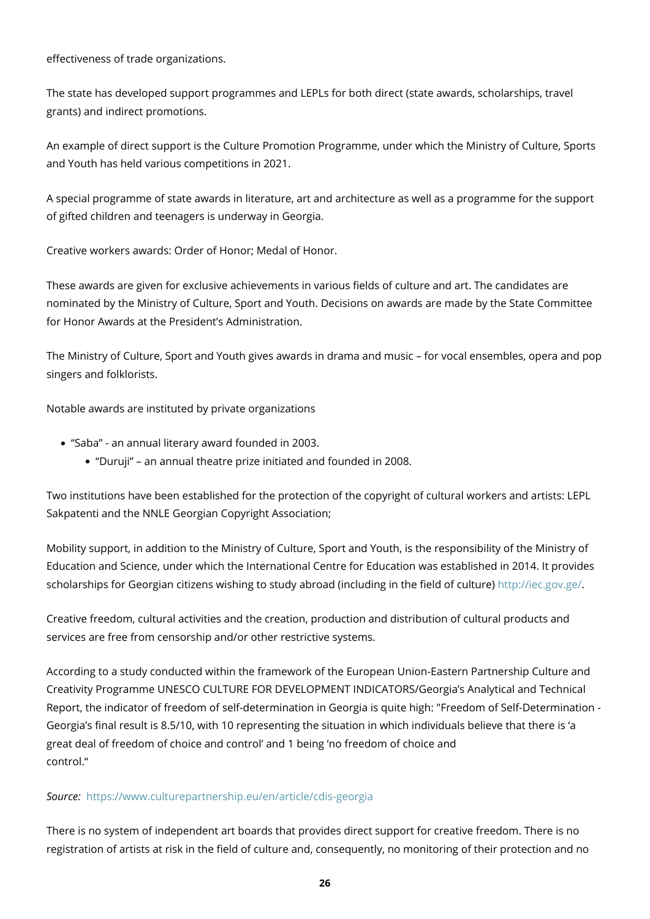effectiveness of trade organizations.

The state has developed support programmes and LEPLs for both direct (state awards, scholarships, travel grants) and indirect promotions.

An example of direct support is the Culture Promotion Programme, under which the Ministry of Culture, Sports and Youth has held various competitions in 2021.

A special programme of state awards in literature, art and architecture as well as a programme for the support of gifted children and teenagers is underway in Georgia.

Creative workers awards: Order of Honor; Medal of Honor.

These awards are given for exclusive achievements in various fields of culture and art. The candidates are nominated by the Ministry of Culture, Sport and Youth. Decisions on awards are made by the State Committee for Honor Awards at the President's Administration.

The Ministry of Culture, Sport and Youth gives awards in drama and music – for vocal ensembles, opera and pop singers and folklorists.

Notable awards are instituted by private organizations

- "Saba" an annual literary award founded in 2003.
	- "Duruji" an annual theatre prize initiated and founded in 2008.

Two institutions have been established for the protection of the copyright of cultural workers and artists: LEPL Sakpatenti and the NNLE Georgian Copyright Association;

Mobility support, in addition to the Ministry of Culture, Sport and Youth, is the responsibility of the Ministry of Education and Science, under which the International Centre for Education was established in 2014. It provides scholarships for Georgian citizens wishing to study abroad (including in the field of culture) [http://iec.gov.ge/.](http://iec.gov.ge/)

Creative freedom, cultural activities and the creation, production and distribution of cultural products and services are free from censorship and/or other restrictive systems.

According to a study conducted within the framework of the European Union-Eastern Partnership Culture and Creativity Programme UNESCO CULTURE FOR DEVELOPMENT INDICATORS/Georgia's Analytical and Technical Report, the indicator of freedom of self-determination in Georgia is quite high: "Freedom of Self-Determination - Georgia's final result is 8.5/10, with 10 representing the situation in which individuals believe that there is 'a great deal of freedom of choice and control' and 1 being 'no freedom of choice and control."

#### *Source:* <https://www.culturepartnership.eu/en/article/cdis-georgia>

There is no system of independent art boards that provides direct support for creative freedom. There is no registration of artists at risk in the field of culture and, consequently, no monitoring of their protection and no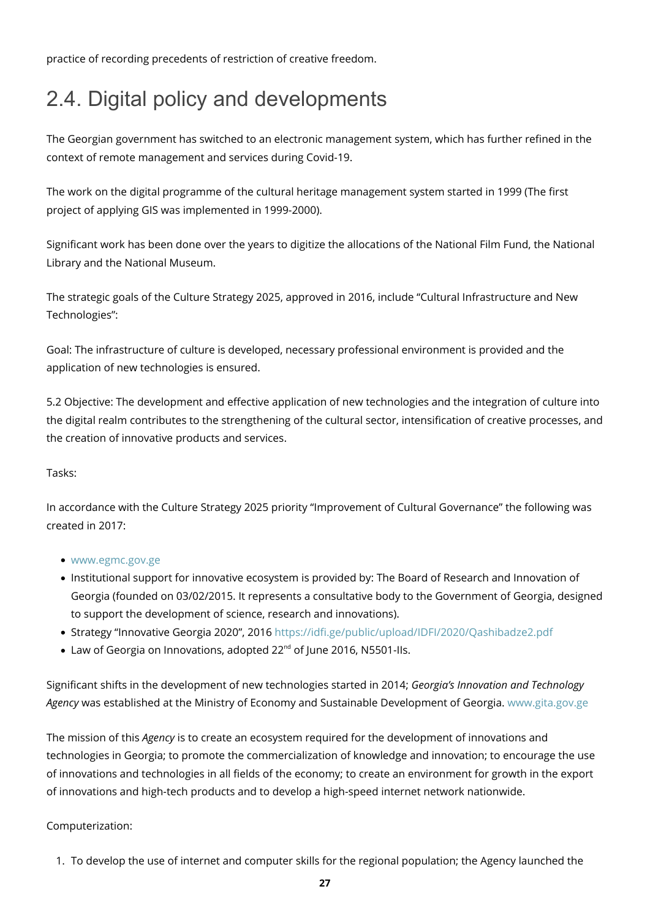practice of recording precedents of restriction of creative freedom.

# <span id="page-26-0"></span>2.4. Digital policy and developments

The Georgian government has switched to an electronic management system, which has further refined in the context of remote management and services during Covid-19.

The work on the digital programme of the cultural heritage management system started in 1999 (The first project of applying GIS was implemented in 1999-2000).

Significant work has been done over the years to digitize the allocations of the National Film Fund, the National Library and the National Museum.

The strategic goals of the Culture Strategy 2025, approved in 2016, include "Cultural Infrastructure and New Technologies":

Goal: The infrastructure of culture is developed, necessary professional environment is provided and the application of new technologies is ensured.

5.2 Objective: The development and effective application of new technologies and the integration of culture into the digital realm contributes to the strengthening of the cultural sector, intensification of creative processes, and the creation of innovative products and services.

#### Tasks:

In accordance with the Culture Strategy 2025 priority "Improvement of Cultural Governance" the following was created in 2017:

- [www.egmc.gov.ge](http://www.egmc.gov.ge)
- Institutional support for innovative ecosystem is provided by: The Board of Research and Innovation of Georgia (founded on 03/02/2015. It represents a consultative body to the Government of Georgia, designed to support the development of science, research and innovations).
- Strategy "Innovative Georgia 2020", 2016 <https://idfi.ge/public/upload/IDFI/2020/Qashibadze2.pdf>
- Law of Georgia on Innovations, adopted 22<sup>nd</sup> of June 2016, N5501-IIs.

Significant shifts in the development of new technologies started in 2014; *Georgia's Innovation and Technology Agency* was established at the Ministry of Economy and Sustainable Development of Georgia. [www.gita.gov.ge](http://www.gita.gov.ge)

The mission of this *Agency* is to create an ecosystem required for the development of innovations and technologies in Georgia; to promote the commercialization of knowledge and innovation; to encourage the use of innovations and technologies in all fields of the economy; to create an environment for growth in the export of innovations and high-tech products and to develop a high-speed internet network nationwide.

#### Computerization:

1. To develop the use of internet and computer skills for the regional population; the Agency launched the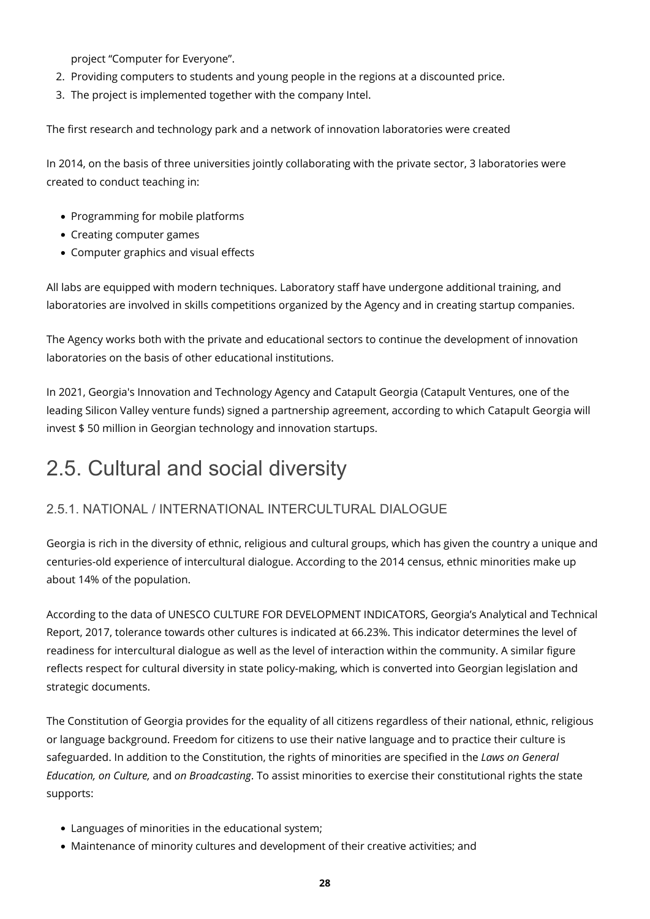project "Computer for Everyone".

- 2. Providing computers to students and young people in the regions at a discounted price.
- 3. The project is implemented together with the company Intel.

The first research and technology park and a network of innovation laboratories were created

In 2014, on the basis of three universities jointly collaborating with the private sector, 3 laboratories were created to conduct teaching in:

- Programming for mobile platforms
- Creating computer games
- Computer graphics and visual effects

All labs are equipped with modern techniques. Laboratory staff have undergone additional training, and laboratories are involved in skills competitions organized by the Agency and in creating startup companies.

The Agency works both with the private and educational sectors to continue the development of innovation laboratories on the basis of other educational institutions.

In 2021, Georgia's Innovation and Technology Agency and Catapult Georgia (Catapult Ventures, one of the leading Silicon Valley venture funds) signed a partnership agreement, according to which Catapult Georgia will invest \$ 50 million in Georgian technology and innovation startups.

## <span id="page-27-0"></span>2.5. Cultural and social diversity

#### <span id="page-27-1"></span>2.5.1. NATIONAL / INTERNATIONAL INTERCULTURAL DIALOGUE

Georgia is rich in the diversity of ethnic, religious and cultural groups, which has given the country a unique and centuries-old experience of intercultural dialogue. According to the 2014 census, ethnic minorities make up about 14% of the population.

According to the data of UNESCO CULTURE FOR DEVELOPMENT INDICATORS, Georgia's Analytical and Technical Report, 2017, tolerance towards other cultures is indicated at 66.23%. This indicator determines the level of readiness for intercultural dialogue as well as the level of interaction within the community. A similar figure reflects respect for cultural diversity in state policy-making, which is converted into Georgian legislation and strategic documents.

The Constitution of Georgia provides for the equality of all citizens regardless of their national, ethnic, religious or language background. Freedom for citizens to use their native language and to practice their culture is safeguarded. In addition to the Constitution, the rights of minorities are specified in the *Laws on General Education, on Culture,* and *on Broadcasting*. To assist minorities to exercise their constitutional rights the state supports:

- Languages of minorities in the educational system;
- Maintenance of minority cultures and development of their creative activities; and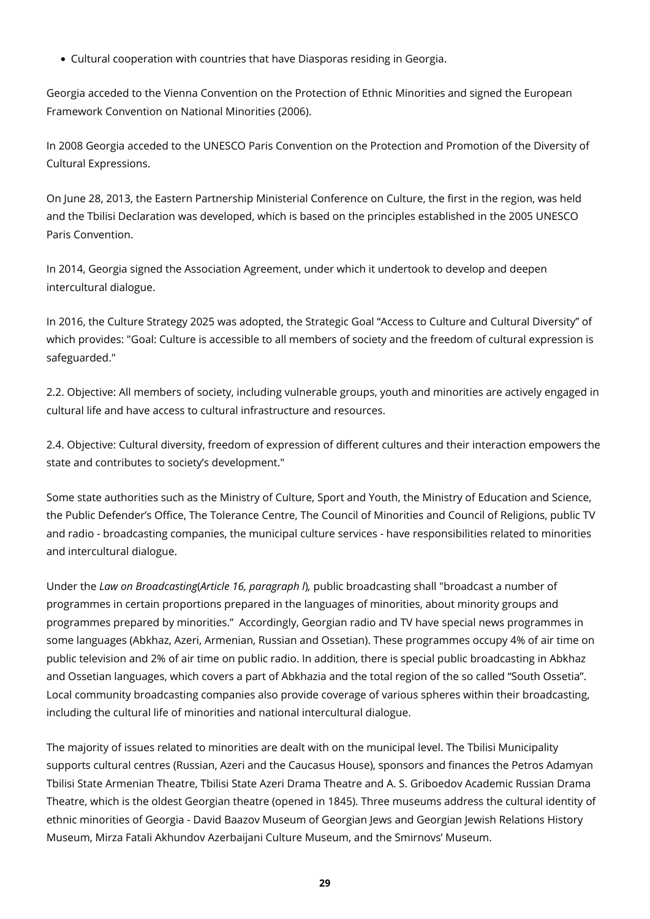Cultural cooperation with countries that have Diasporas residing in Georgia.

Georgia acceded to the Vienna Convention on the Protection of Ethnic Minorities and signed the European Framework Convention on National Minorities (2006).

In 2008 Georgia acceded to the UNESCO Paris Convention on the Protection and Promotion of the Diversity of Cultural Expressions.

On June 28, 2013, the Eastern Partnership Ministerial Conference on Culture, the first in the region, was held and the Tbilisi Declaration was developed, which is based on the principles established in the 2005 UNESCO Paris Convention.

In 2014, Georgia signed the Association Agreement, under which it undertook to develop and deepen intercultural dialogue.

In 2016, the Culture Strategy 2025 was adopted, the Strategic Goal "Access to Culture and Cultural Diversity" of which provides: "Goal: Culture is accessible to all members of society and the freedom of cultural expression is safeguarded."

2.2. Objective: All members of society, including vulnerable groups, youth and minorities are actively engaged in cultural life and have access to cultural infrastructure and resources.

2.4. Objective: Cultural diversity, freedom of expression of different cultures and their interaction empowers the state and contributes to society's development."

Some state authorities such as the Ministry of Culture, Sport and Youth, the Ministry of Education and Science, the Public Defender's Office, The Tolerance Centre, The Council of Minorities and Council of Religions, public TV and radio - broadcasting companies, the municipal culture services - have responsibilities related to minorities and intercultural dialogue.

Under the *Law on Broadcasting*(*Article 16, paragraph l*)*,* public broadcasting shall "broadcast a number of programmes in certain proportions prepared in the languages of minorities, about minority groups and programmes prepared by minorities." Accordingly, Georgian radio and TV have special news programmes in some languages (Abkhaz, Azeri, Armenian, Russian and Ossetian). These programmes occupy 4% of air time on public television and 2% of air time on public radio. In addition, there is special public broadcasting in Abkhaz and Ossetian languages, which covers a part of Abkhazia and the total region of the so called "South Ossetia". Local community broadcasting companies also provide coverage of various spheres within their broadcasting, including the cultural life of minorities and national intercultural dialogue.

The majority of issues related to minorities are dealt with on the municipal level. The Tbilisi Municipality supports cultural centres (Russian, Azeri and the Caucasus House), sponsors and finances the Petros Adamyan Tbilisi State Armenian Theatre, Tbilisi State Azeri Drama Theatre and A. S. Griboedov Academic Russian Drama Theatre, which is the oldest Georgian theatre (opened in 1845). Three museums address the cultural identity of ethnic minorities of Georgia - David Baazov Museum of Georgian Jews and Georgian Jewish Relations History Museum, Mirza Fatali Akhundov Azerbaijani Culture Museum, and the Smirnovs' Museum.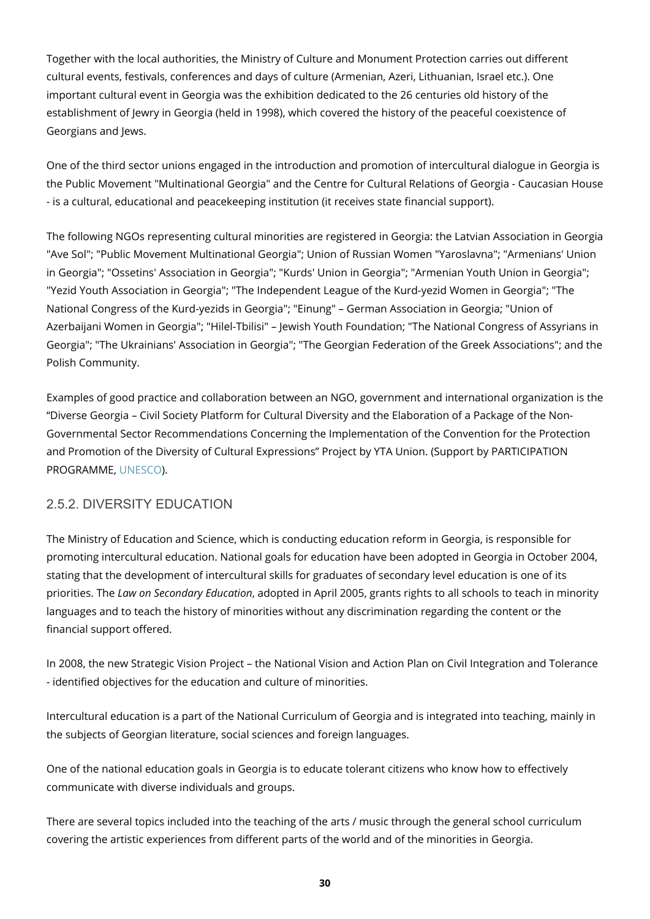Together with the local authorities, the Ministry of Culture and Monument Protection carries out different cultural events, festivals, conferences and days of culture (Armenian, Azeri, Lithuanian, Israel etc.). One important cultural event in Georgia was the exhibition dedicated to the 26 centuries old history of the establishment of Jewry in Georgia (held in 1998), which covered the history of the peaceful coexistence of Georgians and Jews.

One of the third sector unions engaged in the introduction and promotion of intercultural dialogue in Georgia is the Public Movement "Multinational Georgia" and the Centre for Cultural Relations of Georgia - Caucasian House - is a cultural, educational and peacekeeping institution (it receives state financial support).

The following NGOs representing cultural minorities are registered in Georgia: the Latvian Association in Georgia "Ave Sol"; "Public Movement Multinational Georgia"; Union of Russian Women "Yaroslavna"; "Armenians' Union in Georgia"; "Ossetins' Association in Georgia"; "Kurds' Union in Georgia"; "Armenian Youth Union in Georgia"; "Yezid Youth Association in Georgia"; "The Independent League of the Kurd-yezid Women in Georgia"; "The National Congress of the Kurd-yezids in Georgia"; "Einung" – German Association in Georgia; "Union of Azerbaijani Women in Georgia"; "Hilel-Tbilisi" – Jewish Youth Foundation; "The National Congress of Assyrians in Georgia"; "The Ukrainians' Association in Georgia"; "The Georgian Federation of the Greek Associations"; and the Polish Community.

Examples of good practice and collaboration between an NGO, government and international organization is the "Diverse Georgia – Civil Society Platform for Cultural Diversity and the Elaboration of a Package of the Non-Governmental Sector Recommendations Concerning the Implementation of the Convention for the Protection and Promotion of the Diversity of Cultural Expressions" Project by YTA Union. (Support by PARTICIPATION PROGRAMME, [UNESCO](http://www.unesco.org/)).

#### <span id="page-29-0"></span>2.5.2. DIVERSITY EDUCATION

The Ministry of Education and Science, which is conducting education reform in Georgia, is responsible for promoting intercultural education. National goals for education have been adopted in Georgia in October 2004, stating that the development of intercultural skills for graduates of secondary level education is one of its priorities. The *Law on Secondary Education*, adopted in April 2005, grants rights to all schools to teach in minority languages and to teach the history of minorities without any discrimination regarding the content or the financial support offered.

In 2008, the new Strategic Vision Project – the National Vision and Action Plan on Civil Integration and Tolerance - identified objectives for the education and culture of minorities.

Intercultural education is a part of the National Curriculum of Georgia and is integrated into teaching, mainly in the subjects of Georgian literature, social sciences and foreign languages.

One of the national education goals in Georgia is to educate tolerant citizens who know how to effectively communicate with diverse individuals and groups.

There are several topics included into the teaching of the arts / music through the general school curriculum covering the artistic experiences from different parts of the world and of the minorities in Georgia.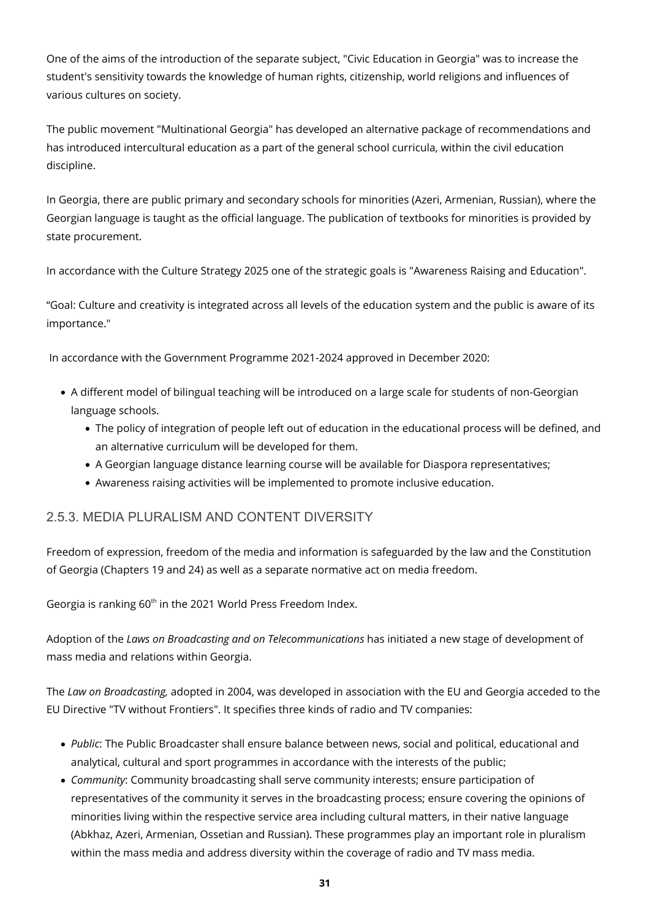One of the aims of the introduction of the separate subject, "Civic Education in Georgia" was to increase the student's sensitivity towards the knowledge of human rights, citizenship, world religions and influences of various cultures on society.

The public movement "Multinational Georgia" has developed an alternative package of recommendations and has introduced intercultural education as a part of the general school curricula, within the civil education discipline.

In Georgia, there are public primary and secondary schools for minorities (Azeri, Armenian, Russian), where the Georgian language is taught as the official language. The publication of textbooks for minorities is provided by state procurement.

In accordance with the Culture Strategy 2025 one of the strategic goals is "Awareness Raising and Education".

"Goal: Culture and creativity is integrated across all levels of the education system and the public is aware of its importance."

In accordance with the Government Programme 2021-2024 approved in December 2020:

- A different model of bilingual teaching will be introduced on a large scale for students of non-Georgian language schools.
	- The policy of integration of people left out of education in the educational process will be defined, and an alternative curriculum will be developed for them.
	- A Georgian language distance learning course will be available for Diaspora representatives;
	- Awareness raising activities will be implemented to promote inclusive education.

#### <span id="page-30-0"></span>2.5.3. MEDIA PLURALISM AND CONTENT DIVERSITY

Freedom of expression, freedom of the media and information is safeguarded by the law and the Constitution of Georgia (Chapters 19 and 24) as well as a separate normative act on media freedom.

Georgia is ranking 60<sup>th</sup> in the 2021 World Press Freedom Index.

Adoption of the *Laws on Broadcasting and on Telecommunications* has initiated a new stage of development of mass media and relations within Georgia.

The *Law on Broadcasting,* adopted in 2004, was developed in association with the EU and Georgia acceded to the EU Directive "TV without Frontiers". It specifies three kinds of radio and TV companies:

- *Public*: The Public Broadcaster shall ensure balance between news, social and political, educational and analytical, cultural and sport programmes in accordance with the interests of the public;
- *Community*: Community broadcasting shall serve community interests; ensure participation of representatives of the community it serves in the broadcasting process; ensure covering the opinions of minorities living within the respective service area including cultural matters, in their native language (Abkhaz, Azeri, Armenian, Ossetian and Russian). These programmes play an important role in pluralism within the mass media and address diversity within the coverage of radio and TV mass media.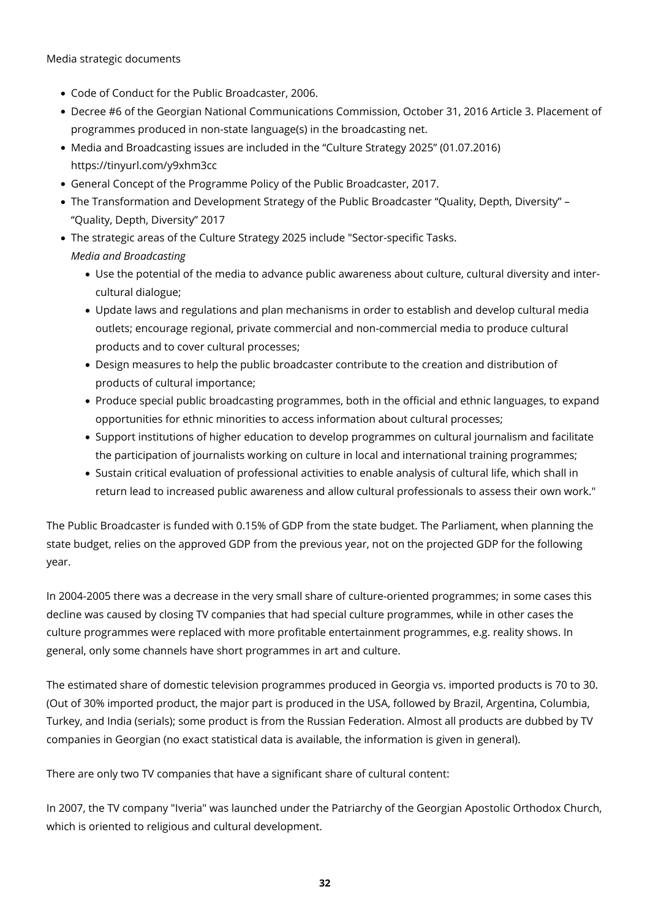Media strategic documents

- Code of Conduct for the Public Broadcaster, 2006.
- Decree #6 of the Georgian National Communications Commission, October 31, 2016 Article 3. Placement of programmes produced in non-state language(s) in the broadcasting net.
- Media and Broadcasting issues are included in the "Culture Strategy 2025" (01.07.2016) https://tinyurl.com/y9xhm3cc
- General Concept of the Programme Policy of the Public Broadcaster, 2017.
- The Transformation and Development Strategy of the Public Broadcaster "Quality, Depth, Diversity" "Quality, Depth, Diversity" 2017
- The strategic areas of the Culture Strategy 2025 include "Sector-specific Tasks. *Media and Broadcasting*
	- Use the potential of the media to advance public awareness about culture, cultural diversity and intercultural dialogue;
	- Update laws and regulations and plan mechanisms in order to establish and develop cultural media outlets; encourage regional, private commercial and non-commercial media to produce cultural products and to cover cultural processes;
	- Design measures to help the public broadcaster contribute to the creation and distribution of products of cultural importance;
	- Produce special public broadcasting programmes, both in the official and ethnic languages, to expand opportunities for ethnic minorities to access information about cultural processes;
	- Support institutions of higher education to develop programmes on cultural journalism and facilitate the participation of journalists working on culture in local and international training programmes;
	- Sustain critical evaluation of professional activities to enable analysis of cultural life, which shall in return lead to increased public awareness and allow cultural professionals to assess their own work."

The Public Broadcaster is funded with 0.15% of GDP from the state budget. The Parliament, when planning the state budget, relies on the approved GDP from the previous year, not on the projected GDP for the following year.

In 2004-2005 there was a decrease in the very small share of culture-oriented programmes; in some cases this decline was caused by closing TV companies that had special culture programmes, while in other cases the culture programmes were replaced with more profitable entertainment programmes, e.g. reality shows. In general, only some channels have short programmes in art and culture.

The estimated share of domestic television programmes produced in Georgia vs. imported products is 70 to 30. (Out of 30% imported product, the major part is produced in the USA, followed by Brazil, Argentina, Columbia, Turkey, and India (serials); some product is from the Russian Federation. Almost all products are dubbed by TV companies in Georgian (no exact statistical data is available, the information is given in general).

There are only two TV companies that have a significant share of cultural content:

In 2007, the TV company "Iveria" was launched under the Patriarchy of the Georgian Apostolic Orthodox Church, which is oriented to religious and cultural development.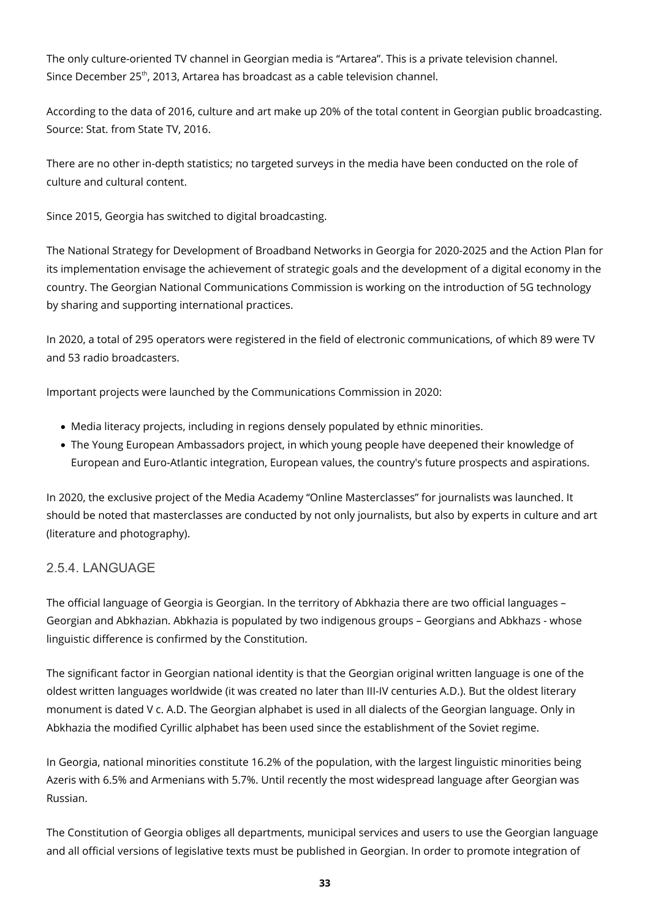The only culture-oriented TV channel in Georgian media is "Artarea". This is a private television channel. Since December 25<sup>th</sup>, 2013, Artarea has broadcast as a cable television channel.

According to the data of 2016, culture and art make up 20% of the total content in Georgian public broadcasting. Source: Stat. from State TV, 2016.

There are no other in-depth statistics; no targeted surveys in the media have been conducted on the role of culture and cultural content.

Since 2015, Georgia has switched to digital broadcasting.

The National Strategy for Development of Broadband Networks in Georgia for 2020-2025 and the Action Plan for its implementation envisage the achievement of strategic goals and the development of a digital economy in the country. The Georgian National Communications Commission is working on the introduction of 5G technology by sharing and supporting international practices.

In 2020, a total of 295 operators were registered in the field of electronic communications, of which 89 were TV and 53 radio broadcasters.

Important projects were launched by the Communications Commission in 2020:

- Media literacy projects, including in regions densely populated by ethnic minorities.
- The Young European Ambassadors project, in which young people have deepened their knowledge of European and Euro-Atlantic integration, European values, the country's future prospects and aspirations.

In 2020, the exclusive project of the Media Academy "Online Masterclasses" for journalists was launched. It should be noted that masterclasses are conducted by not only journalists, but also by experts in culture and art (literature and photography).

#### <span id="page-32-0"></span>2.5.4. LANGUAGE

The official language of Georgia is Georgian. In the territory of Abkhazia there are two official languages – Georgian and Abkhazian. Abkhazia is populated by two indigenous groups – Georgians and Abkhazs - whose linguistic difference is confirmed by the Constitution.

The significant factor in Georgian national identity is that the Georgian original written language is one of the oldest written languages worldwide (it was created no later than III-IV centuries A.D.). But the oldest literary monument is dated V c. A.D. The Georgian alphabet is used in all dialects of the Georgian language. Only in Abkhazia the modified Cyrillic alphabet has been used since the establishment of the Soviet regime.

In Georgia, national minorities constitute 16.2% of the population, with the largest linguistic minorities being Azeris with 6.5% and Armenians with 5.7%. Until recently the most widespread language after Georgian was Russian.

The Constitution of Georgia obliges all departments, municipal services and users to use the Georgian language and all official versions of legislative texts must be published in Georgian. In order to promote integration of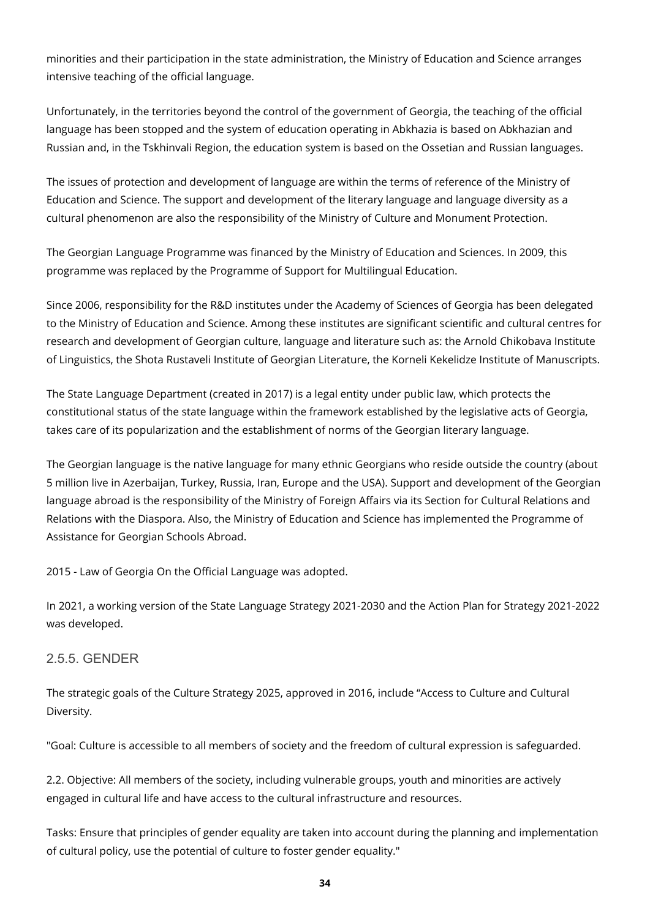minorities and their participation in the state administration, the Ministry of Education and Science arranges intensive teaching of the official language.

Unfortunately, in the territories beyond the control of the government of Georgia, the teaching of the official language has been stopped and the system of education operating in Abkhazia is based on Abkhazian and Russian and, in the Tskhinvali Region, the education system is based on the Ossetian and Russian languages.

The issues of protection and development of language are within the terms of reference of the Ministry of Education and Science. The support and development of the literary language and language diversity as a cultural phenomenon are also the responsibility of the Ministry of Culture and Monument Protection.

The Georgian Language Programme was financed by the Ministry of Education and Sciences. In 2009, this programme was replaced by the Programme of Support for Multilingual Education.

Since 2006, responsibility for the R&D institutes under the Academy of Sciences of Georgia has been delegated to the Ministry of Education and Science. Among these institutes are significant scientific and cultural centres for research and development of Georgian culture, language and literature such as: the Arnold Chikobava Institute of Linguistics, the Shota Rustaveli Institute of Georgian Literature, the Korneli Kekelidze Institute of Manuscripts.

The State Language Department (created in 2017) is a legal entity under public law, which protects the constitutional status of the state language within the framework established by the legislative acts of Georgia, takes care of its popularization and the establishment of norms of the Georgian literary language.

The Georgian language is the native language for many ethnic Georgians who reside outside the country (about 5 million live in Azerbaijan, Turkey, Russia, Iran, Europe and the USA). Support and development of the Georgian language abroad is the responsibility of the Ministry of Foreign Affairs via its Section for Cultural Relations and Relations with the Diaspora. Also, the Ministry of Education and Science has implemented the Programme of Assistance for Georgian Schools Abroad.

2015 - Law of Georgia On the Official Language was adopted.

In 2021, a working version of the State Language Strategy 2021-2030 and the Action Plan for Strategy 2021-2022 was developed.

#### <span id="page-33-0"></span>2.5.5. GENDER

The strategic goals of the Culture Strategy 2025, approved in 2016, include "Access to Culture and Cultural Diversity.

"Goal: Culture is accessible to all members of society and the freedom of cultural expression is safeguarded.

2.2. Objective: All members of the society, including vulnerable groups, youth and minorities are actively engaged in cultural life and have access to the cultural infrastructure and resources.

Tasks: Ensure that principles of gender equality are taken into account during the planning and implementation of cultural policy, use the potential of culture to foster gender equality."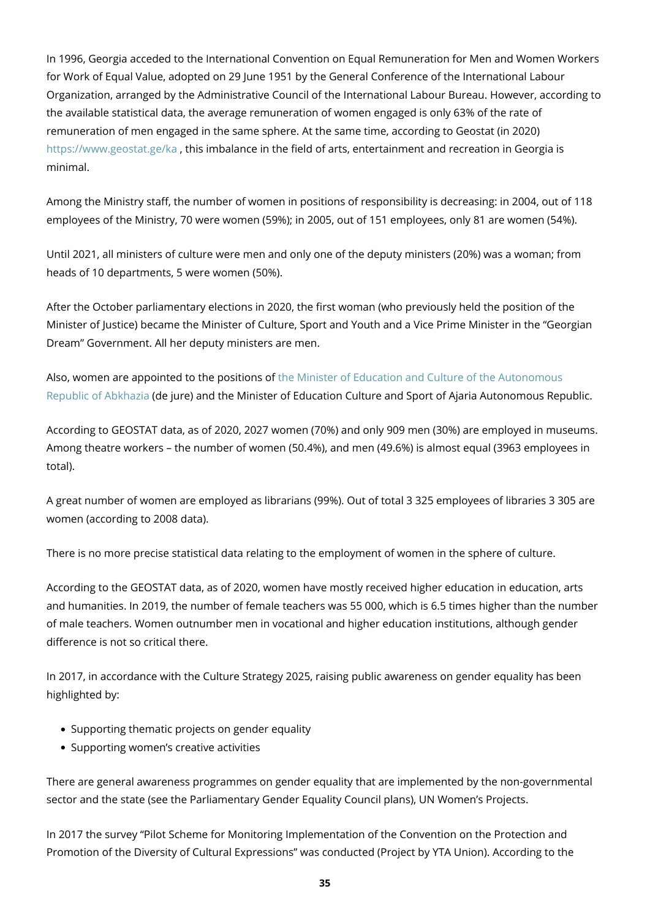In 1996, Georgia acceded to the International Convention on Equal Remuneration for Men and Women Workers for Work of Equal Value, adopted on 29 June 1951 by the General Conference of the International Labour Organization, arranged by the Administrative Council of the International Labour Bureau. However, according to the available statistical data, the average remuneration of women engaged is only 63% of the rate of remuneration of men engaged in the same sphere. At the same time, according to Geostat (in 2020) <https://www.geostat.ge/ka> , this imbalance in the field of arts, entertainment and recreation in Georgia is minimal.

Among the Ministry staff, the number of women in positions of responsibility is decreasing: in 2004, out of 118 employees of the Ministry, 70 were women (59%); in 2005, out of 151 employees, only 81 are women (54%).

Until 2021, all ministers of culture were men and only one of the deputy ministers (20%) was a woman; from heads of 10 departments, 5 were women (50%).

After the October parliamentary elections in 2020, the first woman (who previously held the position of the Minister of Justice) became the Minister of Culture, Sport and Youth and a Vice Prime Minister in the "Georgian Dream" Government. All her deputy ministers are men.

Also, women are appointed to the positions o[f the Minister of Education and Culture of the Autonomous](http://www.abkhazia.gov.ge/saministro/MINISTRY-OF-EDUCATION-AND-CULTURE/structure/Eka-Khoperia) [Republic of Abkhazia](http://www.abkhazia.gov.ge/saministro/MINISTRY-OF-EDUCATION-AND-CULTURE/structure/Eka-Khoperia) (de jure) and the Minister of Education Culture and Sport of Ajaria Autonomous Republic.

According to GEOSTAT data, as of 2020, 2027 women (70%) and only 909 men (30%) are employed in museums. Among theatre workers – the number of women (50.4%), and men (49.6%) is almost equal (3963 employees in total).

A great number of women are employed as librarians (99%). Out of total 3 325 employees of libraries 3 305 are women (according to 2008 data).

There is no more precise statistical data relating to the employment of women in the sphere of culture.

According to the GEOSTAT data, as of 2020, women have mostly received higher education in education, arts and humanities. In 2019, the number of female teachers was 55 000, which is 6.5 times higher than the number of male teachers. Women outnumber men in vocational and higher education institutions, although gender difference is not so critical there.

In 2017, in accordance with the Culture Strategy 2025, raising public awareness on gender equality has been highlighted by:

- Supporting thematic projects on gender equality
- Supporting women's creative activities

There are general awareness programmes on gender equality that are implemented by the non-governmental sector and the state (see the Parliamentary Gender Equality Council plans), UN Women's Projects.

In 2017 the survey "Pilot Scheme for Monitoring Implementation of the Convention on the Protection and Promotion of the Diversity of Cultural Expressions" was conducted (Project by YTA Union). According to the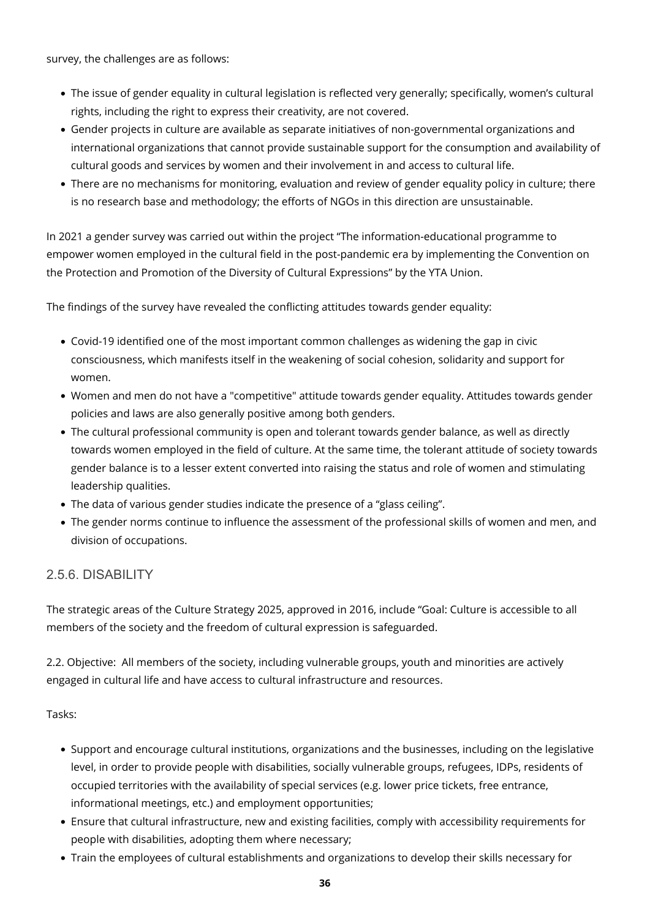survey, the challenges are as follows:

- The issue of gender equality in cultural legislation is reflected very generally; specifically, women's cultural rights, including the right to express their creativity, are not covered.
- Gender projects in culture are available as separate initiatives of non-governmental organizations and international organizations that cannot provide sustainable support for the consumption and availability of cultural goods and services by women and their involvement in and access to cultural life.
- There are no mechanisms for monitoring, evaluation and review of gender equality policy in culture; there is no research base and methodology; the efforts of NGOs in this direction are unsustainable.

In 2021 a gender survey was carried out within the project "The information-educational programme to empower women employed in the cultural field in the post-pandemic era by implementing the Convention on the Protection and Promotion of the Diversity of Cultural Expressions" by the YTA Union.

The findings of the survey have revealed the conflicting attitudes towards gender equality:

- Covid-19 identified one of the most important common challenges as widening the gap in civic consciousness, which manifests itself in the weakening of social cohesion, solidarity and support for women.
- Women and men do not have a "competitive" attitude towards gender equality. Attitudes towards gender policies and laws are also generally positive among both genders.
- The cultural professional community is open and tolerant towards gender balance, as well as directly towards women employed in the field of culture. At the same time, the tolerant attitude of society towards gender balance is to a lesser extent converted into raising the status and role of women and stimulating leadership qualities.
- The data of various gender studies indicate the presence of a "glass ceiling".
- The gender norms continue to influence the assessment of the professional skills of women and men, and division of occupations.

#### <span id="page-35-0"></span>2.5.6. DISABILITY

The strategic areas of the Culture Strategy 2025, approved in 2016, include "Goal: Culture is accessible to all members of the society and the freedom of cultural expression is safeguarded.

2.2. Objective: All members of the society, including vulnerable groups, youth and minorities are actively engaged in cultural life and have access to cultural infrastructure and resources.

Tasks:

- Support and encourage cultural institutions, organizations and the businesses, including on the legislative level, in order to provide people with disabilities, socially vulnerable groups, refugees, IDPs, residents of occupied territories with the availability of special services (e.g. lower price tickets, free entrance, informational meetings, etc.) and employment opportunities;
- Ensure that cultural infrastructure, new and existing facilities, comply with accessibility requirements for people with disabilities, adopting them where necessary;
- Train the employees of cultural establishments and organizations to develop their skills necessary for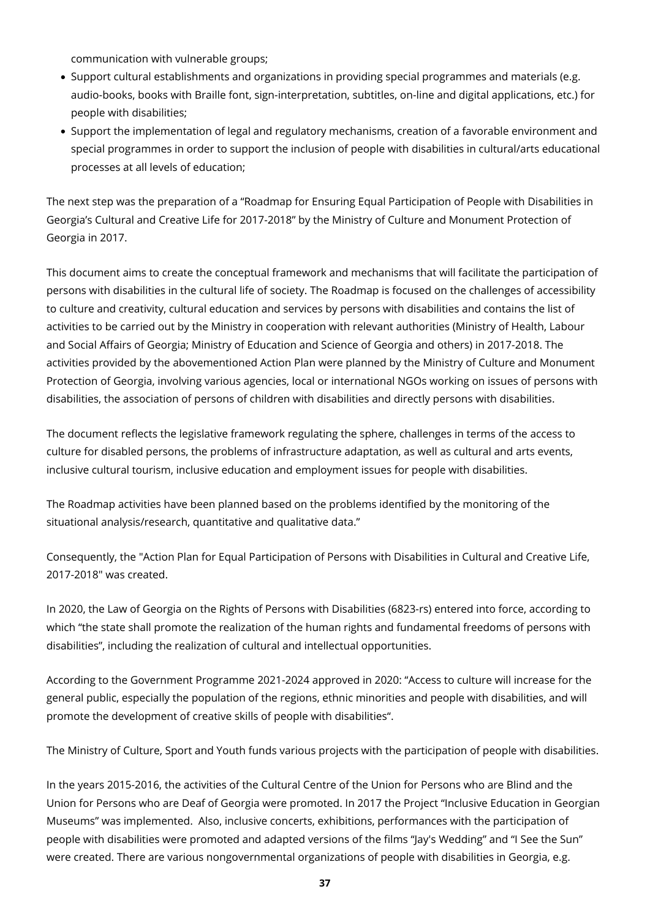communication with vulnerable groups;

- Support cultural establishments and organizations in providing special programmes and materials (e.g. audio-books, books with Braille font, sign-interpretation, subtitles, on-line and digital applications, etc.) for people with disabilities;
- Support the implementation of legal and regulatory mechanisms, creation of a favorable environment and special programmes in order to support the inclusion of people with disabilities in cultural/arts educational processes at all levels of education;

The next step was the preparation of a "Roadmap for Ensuring Equal Participation of People with Disabilities in Georgia's Cultural and Creative Life for 2017-2018" by the Ministry of Culture and Monument Protection of Georgia in 2017.

This document aims to create the conceptual framework and mechanisms that will facilitate the participation of persons with disabilities in the cultural life of society. The Roadmap is focused on the challenges of accessibility to culture and creativity, cultural education and services by persons with disabilities and contains the list of activities to be carried out by the Ministry in cooperation with relevant authorities (Ministry of Health, Labour and Social Affairs of Georgia; Ministry of Education and Science of Georgia and others) in 2017-2018. The activities provided by the abovementioned Action Plan were planned by the Ministry of Culture and Monument Protection of Georgia, involving various agencies, local or international NGOs working on issues of persons with disabilities, the association of persons of children with disabilities and directly persons with disabilities.

The document reflects the legislative framework regulating the sphere, challenges in terms of the access to culture for disabled persons, the problems of infrastructure adaptation, as well as cultural and arts events, inclusive cultural tourism, inclusive education and employment issues for people with disabilities.

The Roadmap activities have been planned based on the problems identified by the monitoring of the situational analysis/research, quantitative and qualitative data."

Consequently, the "Action Plan for Equal Participation of Persons with Disabilities in Cultural and Creative Life, 2017-2018" was created.

In 2020, the Law of Georgia on the Rights of Persons with Disabilities (6823-rs) entered into force, according to which "the state shall promote the realization of the human rights and fundamental freedoms of persons with disabilities", including the realization of cultural and intellectual opportunities.

According to the Government Programme 2021-2024 approved in 2020: "Access to culture will increase for the general public, especially the population of the regions, ethnic minorities and people with disabilities, and will promote the development of creative skills of people with disabilities".

The Ministry of Culture, Sport and Youth funds various projects with the participation of people with disabilities.

In the years 2015-2016, the activities of the Cultural Centre of the Union for Persons who are Blind and the Union for Persons who are Deaf of Georgia were promoted. In 2017 the Project "Inclusive Education in Georgian Museums" was implemented. Also, inclusive concerts, exhibitions, performances with the participation of people with disabilities were promoted and adapted versions of the films "Jay's Wedding" and "I See the Sun" were created. There are various nongovernmental organizations of people with disabilities in Georgia, e.g.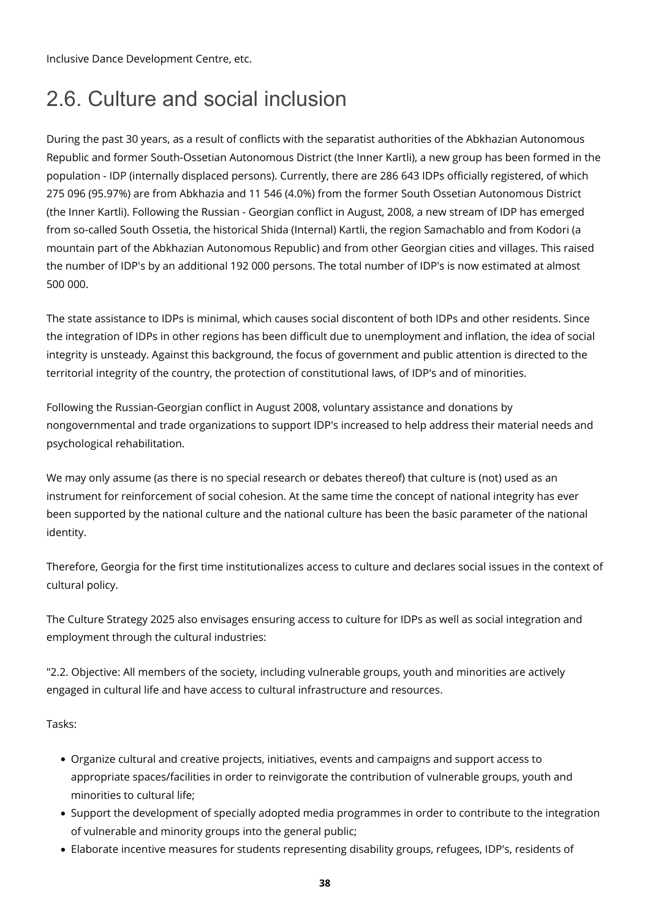Inclusive Dance Development Centre, etc.

## 2.6. Culture and social inclusion

During the past 30 years, as a result of conflicts with the separatist authorities of the Abkhazian Autonomous Republic and former South-Ossetian Autonomous District (the Inner Kartli), a new group has been formed in the population - IDP (internally displaced persons). Currently, there are 286 643 IDPs officially registered, of which 275 096 (95.97%) are from Abkhazia and 11 546 (4.0%) from the former South Ossetian Autonomous District (the Inner Kartli). Following the Russian - Georgian conflict in August, 2008, a new stream of IDP has emerged from so-called South Ossetia, the historical Shida (Internal) Kartli, the region Samachablo and from Kodori (a mountain part of the Abkhazian Autonomous Republic) and from other Georgian cities and villages. This raised the number of IDP's by an additional 192 000 persons. The total number of IDP's is now estimated at almost 500 000.

The state assistance to IDPs is minimal, which causes social discontent of both IDPs and other residents. Since the integration of IDPs in other regions has been difficult due to unemployment and inflation, the idea of social integrity is unsteady. Against this background, the focus of government and public attention is directed to the territorial integrity of the country, the protection of constitutional laws, of IDP's and of minorities.

Following the Russian-Georgian conflict in August 2008, voluntary assistance and donations by nongovernmental and trade organizations to support IDP's increased to help address their material needs and psychological rehabilitation.

We may only assume (as there is no special research or debates thereof) that culture is (not) used as an instrument for reinforcement of social cohesion. At the same time the concept of national integrity has ever been supported by the national culture and the national culture has been the basic parameter of the national identity.

Therefore, Georgia for the first time institutionalizes access to culture and declares social issues in the context of cultural policy.

The Culture Strategy 2025 also envisages ensuring access to culture for IDPs as well as social integration and employment through the cultural industries:

"2.2. Objective: All members of the society, including vulnerable groups, youth and minorities are actively engaged in cultural life and have access to cultural infrastructure and resources.

Tasks:

- Organize cultural and creative projects, initiatives, events and campaigns and support access to appropriate spaces/facilities in order to reinvigorate the contribution of vulnerable groups, youth and minorities to cultural life;
- Support the development of specially adopted media programmes in order to contribute to the integration of vulnerable and minority groups into the general public;
- Elaborate incentive measures for students representing disability groups, refugees, IDP's, residents of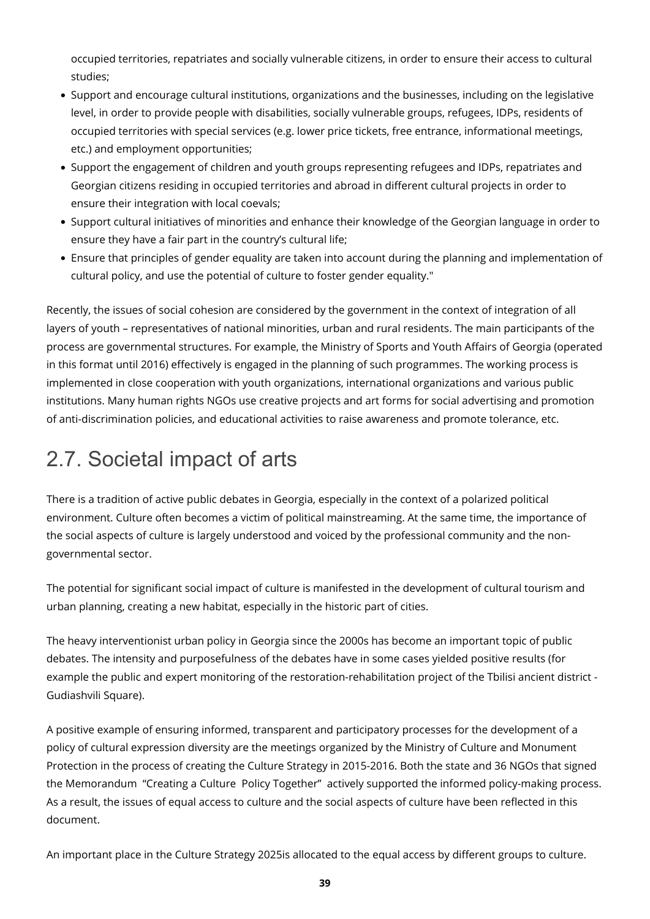occupied territories, repatriates and socially vulnerable citizens, in order to ensure their access to cultural studies;

- Support and encourage cultural institutions, organizations and the businesses, including on the legislative level, in order to provide people with disabilities, socially vulnerable groups, refugees, IDPs, residents of occupied territories with special services (e.g. lower price tickets, free entrance, informational meetings, etc.) and employment opportunities;
- Support the engagement of children and youth groups representing refugees and IDPs, repatriates and Georgian citizens residing in occupied territories and abroad in different cultural projects in order to ensure their integration with local coevals;
- Support cultural initiatives of minorities and enhance their knowledge of the Georgian language in order to ensure they have a fair part in the country's cultural life;
- Ensure that principles of gender equality are taken into account during the planning and implementation of cultural policy, and use the potential of culture to foster gender equality."

Recently, the issues of social cohesion are considered by the government in the context of integration of all layers of youth – representatives of national minorities, urban and rural residents. The main participants of the process are governmental structures. For example, the Ministry of Sports and Youth Affairs of Georgia (operated in this format until 2016) effectively is engaged in the planning of such programmes. The working process is implemented in close cooperation with youth organizations, international organizations and various public institutions. Many human rights NGOs use creative projects and art forms for social advertising and promotion of anti-discrimination policies, and educational activities to raise awareness and promote tolerance, etc.

# 2.7. Societal impact of arts

There is a tradition of active public debates in Georgia, especially in the context of a polarized political environment. Culture often becomes a victim of political mainstreaming. At the same time, the importance of the social aspects of culture is largely understood and voiced by the professional community and the nongovernmental sector.

The potential for significant social impact of culture is manifested in the development of cultural tourism and urban planning, creating a new habitat, especially in the historic part of cities.

The heavy interventionist urban policy in Georgia since the 2000s has become an important topic of public debates. The intensity and purposefulness of the debates have in some cases yielded positive results (for example the public and expert monitoring of the restoration-rehabilitation project of the Tbilisi ancient district - Gudiashvili Square).

A positive example of ensuring informed, transparent and participatory processes for the development of a policy of cultural expression diversity are the meetings organized by the Ministry of Culture and Monument Protection in the process of creating the Culture Strategy in 2015-2016. Both the state and 36 NGOs that signed the Memorandum "Creating a Culture Policy Together" actively supported the informed policy-making process. As a result, the issues of equal access to culture and the social aspects of culture have been reflected in this document.

An important place in the Culture Strategy 2025is allocated to the equal access by different groups to culture.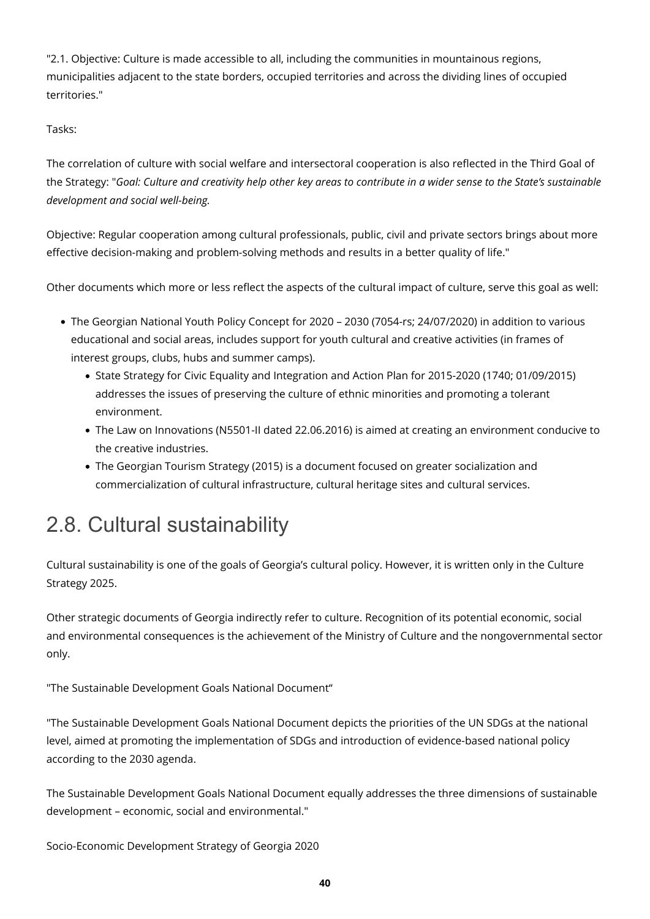"2.1. Objective: Culture is made accessible to all, including the communities in mountainous regions, municipalities adjacent to the state borders, occupied territories and across the dividing lines of occupied territories."

#### Tasks:

The correlation of culture with social welfare and intersectoral cooperation is also reflected in the Third Goal of the Strategy: "*Goal: Culture and creativity help other key areas to contribute in a wider sense to the State's sustainable development and social well-being.*

Objective: Regular cooperation among cultural professionals, public, civil and private sectors brings about more effective decision-making and problem-solving methods and results in a better quality of life."

Other documents which more or less reflect the aspects of the cultural impact of culture, serve this goal as well:

- The Georgian National Youth Policy Concept for 2020 2030 (7054-rs; 24/07/2020) in addition to various educational and social areas, includes support for youth cultural and creative activities (in frames of interest groups, clubs, hubs and summer camps).
	- State Strategy for Civic Equality and Integration and Action Plan for 2015-2020 (1740; 01/09/2015) addresses the issues of preserving the culture of ethnic minorities and promoting a tolerant environment.
	- The Law on Innovations (N5501-II dated 22.06.2016) is aimed at creating an environment conducive to the creative industries.
	- The Georgian Tourism Strategy (2015) is a document focused on greater socialization and commercialization of cultural infrastructure, cultural heritage sites and cultural services.

### 2.8. Cultural sustainability

Cultural sustainability is one of the goals of Georgia's cultural policy. However, it is written only in the Culture Strategy 2025.

Other strategic documents of Georgia indirectly refer to culture. Recognition of its potential economic, social and environmental consequences is the achievement of the Ministry of Culture and the nongovernmental sector only.

"The Sustainable Development Goals National Document"

"The Sustainable Development Goals National Document depicts the priorities of the UN SDGs at the national level, aimed at promoting the implementation of SDGs and introduction of evidence-based national policy according to the 2030 agenda.

The Sustainable Development Goals National Document equally addresses the three dimensions of sustainable development – economic, social and environmental."

Socio-Economic Development Strategy of Georgia 2020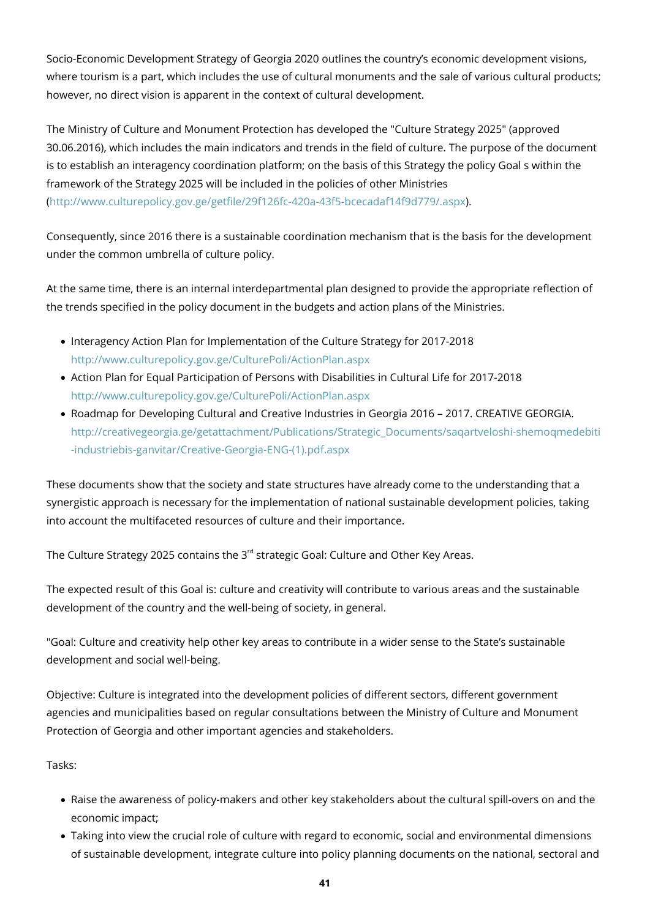Socio-Economic Development Strategy of Georgia 2020 outlines the country's economic development visions, where tourism is a part, which includes the use of cultural monuments and the sale of various cultural products; however, no direct vision is apparent in the context of cultural development.

The Ministry of Culture and Monument Protection has developed the "Culture Strategy 2025" (approved 30.06.2016), which includes the main indicators and trends in the field of culture. The purpose of the document is to establish an interagency coordination platform; on the basis of this Strategy the policy Goal s within the framework of the Strategy 2025 will be included in the policies of other Ministries [\(http://www.culturepolicy.gov.ge/getfile/29f126fc-420a-43f5-bcecadaf14f9d779/.aspx\)](http://www.culturepolicy.gov.ge/getfile/29f126fc-420a-43f5-bcecadaf14f9d779/.aspx).

Consequently, since 2016 there is a sustainable coordination mechanism that is the basis for the development under the common umbrella of culture policy.

At the same time, there is an internal interdepartmental plan designed to provide the appropriate reflection of the trends specified in the policy document in the budgets and action plans of the Ministries.

- Interagency Action Plan for Implementation of the Culture Strategy for 2017-2018 <http://www.culturepolicy.gov.ge/CulturePoli/ActionPlan.aspx>
- Action Plan for Equal Participation of Persons with Disabilities in Cultural Life for 2017-2018 <http://www.culturepolicy.gov.ge/CulturePoli/ActionPlan.aspx>
- Roadmap for Developing Cultural and Creative Industries in Georgia 2016 2017. CREATIVE GEORGIA. [http://creativegeorgia.ge/getattachment/Publications/Strategic\\_Documents/saqartveloshi-shemoqmedebiti](http://creativegeorgia.ge/getattachment/Publications/Strategic_Documents/saqartveloshi-shemoqmedebiti-industriebis-ganvitar/Creative-Georgia-ENG-(1).pdf.aspx) [-industriebis-ganvitar/Creative-Georgia-ENG-\(1\).pdf.aspx](http://creativegeorgia.ge/getattachment/Publications/Strategic_Documents/saqartveloshi-shemoqmedebiti-industriebis-ganvitar/Creative-Georgia-ENG-(1).pdf.aspx)

These documents show that the society and state structures have already come to the understanding that a synergistic approach is necessary for the implementation of national sustainable development policies, taking into account the multifaceted resources of culture and their importance.

The Culture Strategy 2025 contains the  $3<sup>rd</sup>$  strategic Goal: Culture and Other Key Areas.

The expected result of this Goal is: culture and creativity will contribute to various areas and the sustainable development of the country and the well-being of society, in general.

"Goal: Culture and creativity help other key areas to contribute in a wider sense to the State's sustainable development and social well-being.

Objective: Culture is integrated into the development policies of different sectors, different government agencies and municipalities based on regular consultations between the Ministry of Culture and Monument Protection of Georgia and other important agencies and stakeholders.

#### Tasks:

- Raise the awareness of policy-makers and other key stakeholders about the cultural spill-overs on and the economic impact;
- Taking into view the crucial role of culture with regard to economic, social and environmental dimensions of sustainable development, integrate culture into policy planning documents on the national, sectoral and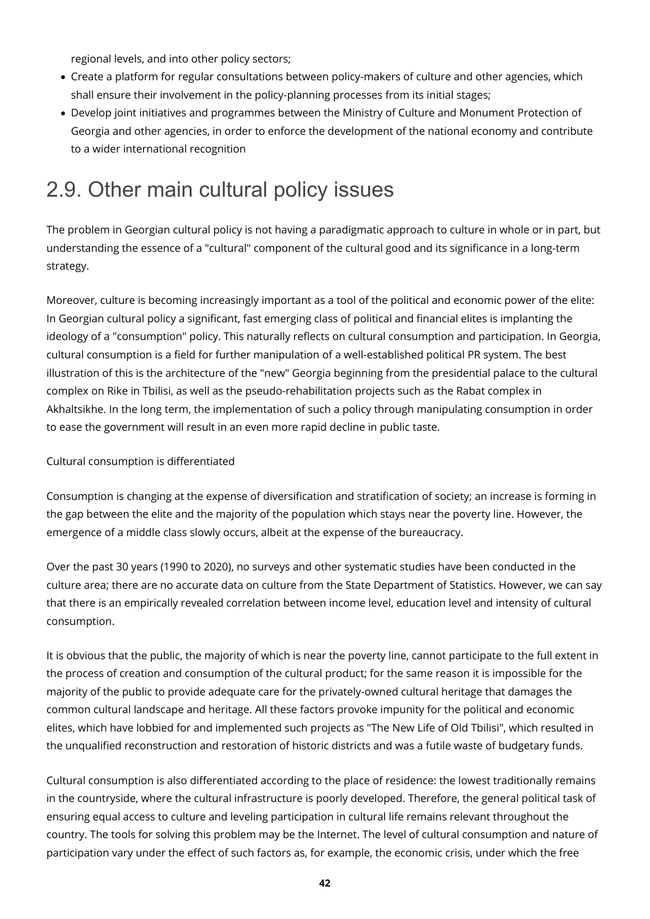regional levels, and into other policy sectors;

- Create a platform for regular consultations between policy-makers of culture and other agencies, which shall ensure their involvement in the policy-planning processes from its initial stages;
- Develop joint initiatives and programmes between the Ministry of Culture and Monument Protection of Georgia and other agencies, in order to enforce the development of the national economy and contribute to a wider international recognition

## 2.9. Other main cultural policy issues

The problem in Georgian cultural policy is not having a paradigmatic approach to culture in whole or in part, but understanding the essence of a "cultural" component of the cultural good and its significance in a long-term strategy.

Moreover, culture is becoming increasingly important as a tool of the political and economic power of the elite: In Georgian cultural policy a significant, fast emerging class of political and financial elites is implanting the ideology of a "consumption" policy. This naturally reflects on cultural consumption and participation. In Georgia, cultural consumption is a field for further manipulation of a well-established political PR system. The best illustration of this is the architecture of the "new" Georgia beginning from the presidential palace to the cultural complex on Rike in Tbilisi, as well as the pseudo-rehabilitation projects such as the Rabat complex in Akhaltsikhe. In the long term, the implementation of such a policy through manipulating consumption in order to ease the government will result in an even more rapid decline in public taste.

#### Cultural consumption is differentiated

Consumption is changing at the expense of diversification and stratification of society; an increase is forming in the gap between the elite and the majority of the population which stays near the poverty line. However, the emergence of a middle class slowly occurs, albeit at the expense of the bureaucracy.

Over the past 30 years (1990 to 2020), no surveys and other systematic studies have been conducted in the culture area; there are no accurate data on culture from the State Department of Statistics. However, we can say that there is an empirically revealed correlation between income level, education level and intensity of cultural consumption.

It is obvious that the public, the majority of which is near the poverty line, cannot participate to the full extent in the process of creation and consumption of the cultural product; for the same reason it is impossible for the majority of the public to provide adequate care for the privately-owned cultural heritage that damages the common cultural landscape and heritage. All these factors provoke impunity for the political and economic elites, which have lobbied for and implemented such projects as "The New Life of Old Tbilisi", which resulted in the unqualified reconstruction and restoration of historic districts and was a futile waste of budgetary funds.

Cultural consumption is also differentiated according to the place of residence: the lowest traditionally remains in the countryside, where the cultural infrastructure is poorly developed. Therefore, the general political task of ensuring equal access to culture and leveling participation in cultural life remains relevant throughout the country. The tools for solving this problem may be the Internet. The level of cultural consumption and nature of participation vary under the effect of such factors as, for example, the economic crisis, under which the free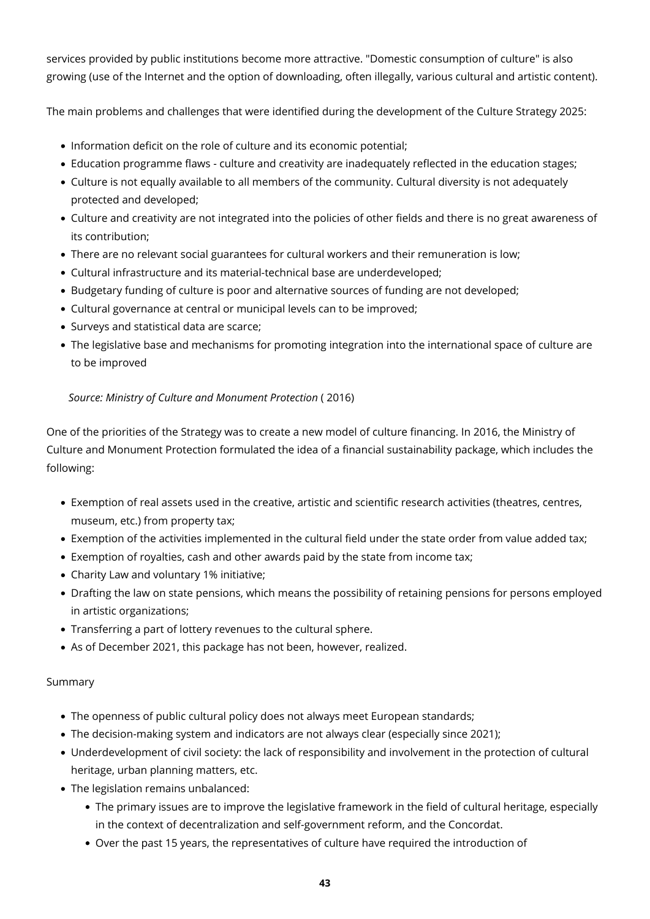services provided by public institutions become more attractive. "Domestic consumption of culture" is also growing (use of the Internet and the option of downloading, often illegally, various cultural and artistic content).

The main problems and challenges that were identified during the development of the Culture Strategy 2025:

- Information deficit on the role of culture and its economic potential;
- Education programme flaws culture and creativity are inadequately reflected in the education stages;
- Culture is not equally available to all members of the community. Cultural diversity is not adequately protected and developed;
- Culture and creativity are not integrated into the policies of other fields and there is no great awareness of its contribution;
- There are no relevant social guarantees for cultural workers and their remuneration is low;
- Cultural infrastructure and its material-technical base are underdeveloped;
- Budgetary funding of culture is poor and alternative sources of funding are not developed;
- Cultural governance at central or municipal levels can to be improved;
- Surveys and statistical data are scarce;
- The legislative base and mechanisms for promoting integration into the international space of culture are to be improved

#### *Source: Ministry of Culture and Monument Protection* ( 2016)

One of the priorities of the Strategy was to create a new model of culture financing. In 2016, the Ministry of Culture and Monument Protection formulated the idea of a financial sustainability package, which includes the following:

- Exemption of real assets used in the creative, artistic and scientific research activities (theatres, centres, museum, etc.) from property tax;
- Exemption of the activities implemented in the cultural field under the state order from value added tax;
- Exemption of royalties, cash and other awards paid by the state from income tax;
- Charity Law and voluntary 1% initiative;
- Drafting the law on state pensions, which means the possibility of retaining pensions for persons employed in artistic organizations;
- Transferring a part of lottery revenues to the cultural sphere.
- As of December 2021, this package has not been, however, realized.

#### Summary

- The openness of public cultural policy does not always meet European standards;
- The decision-making system and indicators are not always clear (especially since 2021);
- Underdevelopment of civil society: the lack of responsibility and involvement in the protection of cultural heritage, urban planning matters, etc.
- The legislation remains unbalanced:
	- The primary issues are to improve the legislative framework in the field of cultural heritage, especially in the context of decentralization and self-government reform, and the Concordat.
	- Over the past 15 years, the representatives of culture have required the introduction of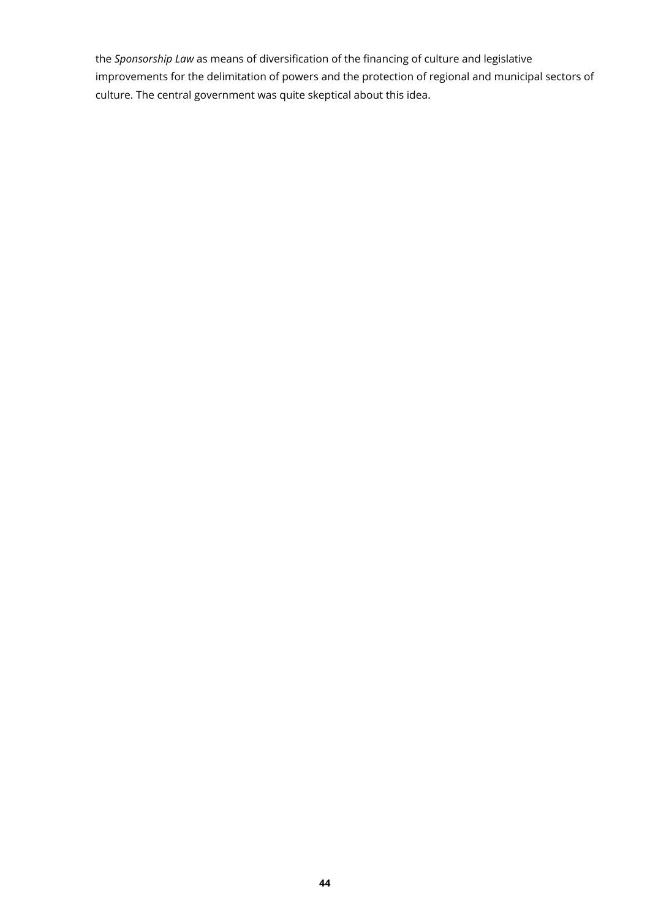the *Sponsorship Law* as means of diversification of the financing of culture and legislative improvements for the delimitation of powers and the protection of regional and municipal sectors of culture. The central government was quite skeptical about this idea.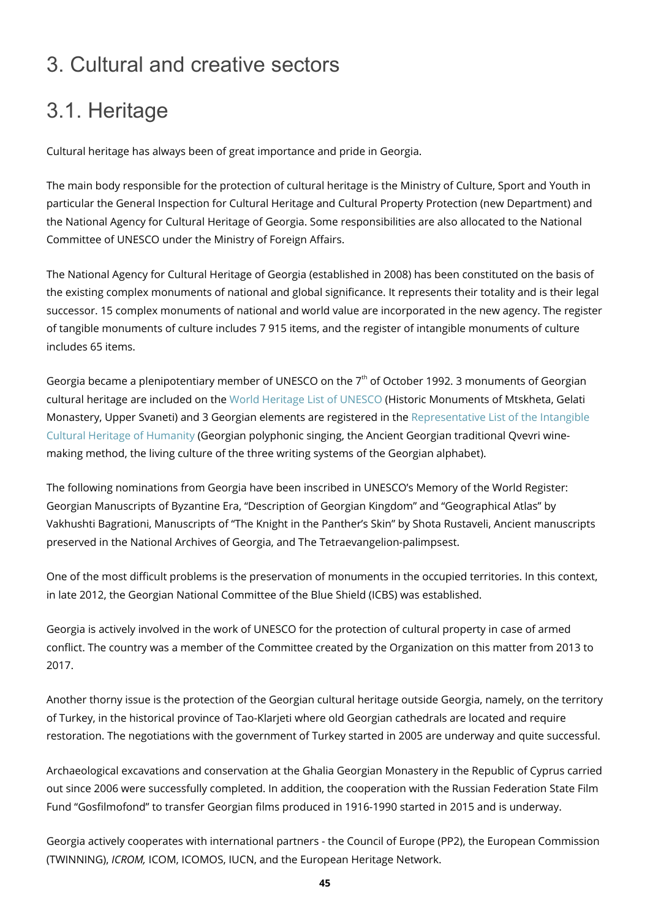## 3. Cultural and creative sectors

# 3.1. Heritage

Cultural heritage has always been of great importance and pride in Georgia.

The main body responsible for the protection of cultural heritage is the Ministry of Culture, Sport and Youth in particular the General Inspection for Cultural Heritage and Cultural Property Protection (new Department) and the National Agency for Cultural Heritage of Georgia. Some responsibilities are also allocated to the National Committee of UNESCO under the Ministry of Foreign Affairs.

The National Agency for Cultural Heritage of Georgia (established in 2008) has been constituted on the basis of the existing complex monuments of national and global significance. It represents their totality and is their legal successor. 15 complex monuments of national and world value are incorporated in the new agency. The register of tangible monuments of culture includes 7 915 items, and the register of intangible monuments of culture includes 65 items.

Georgia became a plenipotentiary member of UNESCO on the 7<sup>th</sup> of October 1992. 3 monuments of Georgian cultural heritage are included on the [World Heritage List of UNESCO](http://whc.unesco.org/en/list/) (Historic Monuments of Mtskheta, Gelati Monastery, Upper Svaneti) and 3 Georgian elements are registered in the [Representative List of the Intangible](http://www.unesco.org/culture/ich/en/lists) [Cultural Heritage of Humanity](http://www.unesco.org/culture/ich/en/lists) (Georgian polyphonic singing, the Ancient Georgian traditional Qvevri winemaking method, the living culture of the three writing systems of the Georgian alphabet).

The following nominations from Georgia have been inscribed in UNESCO's Memory of the World Register: Georgian Manuscripts of Byzantine Era, "Description of Georgian Kingdom" and "Geographical Atlas" by Vakhushti Bagrationi, Manuscripts of "The Knight in the Panther's Skin" by Shota Rustaveli, Ancient manuscripts preserved in the National Archives of Georgia, and The Tetraevangelion-palimpsest.

One of the most difficult problems is the preservation of monuments in the occupied territories. In this context, in late 2012, the Georgian National Committee of the Blue Shield (ICBS) was established.

Georgia is actively involved in the work of UNESCO for the protection of cultural property in case of armed conflict. The country was a member of the Committee created by the Organization on this matter from 2013 to 2017.

Another thorny issue is the protection of the Georgian cultural heritage outside Georgia, namely, on the territory of Turkey, in the historical province of Tao-Klarjeti where old Georgian cathedrals are located and require restoration. The negotiations with the government of Turkey started in 2005 are underway and quite successful.

Archaeological excavations and conservation at the Ghalia Georgian Monastery in the Republic of Cyprus carried out since 2006 were successfully completed. In addition, the cooperation with the Russian Federation State Film Fund "Gosfilmofond" to transfer Georgian films produced in 1916-1990 started in 2015 and is underway.

Georgia actively cooperates with international partners - the Council of Europe (PP2), the European Commission (TWINNING), *ICROM,* ICOM, ICOMOS, IUCN, and the European Heritage Network.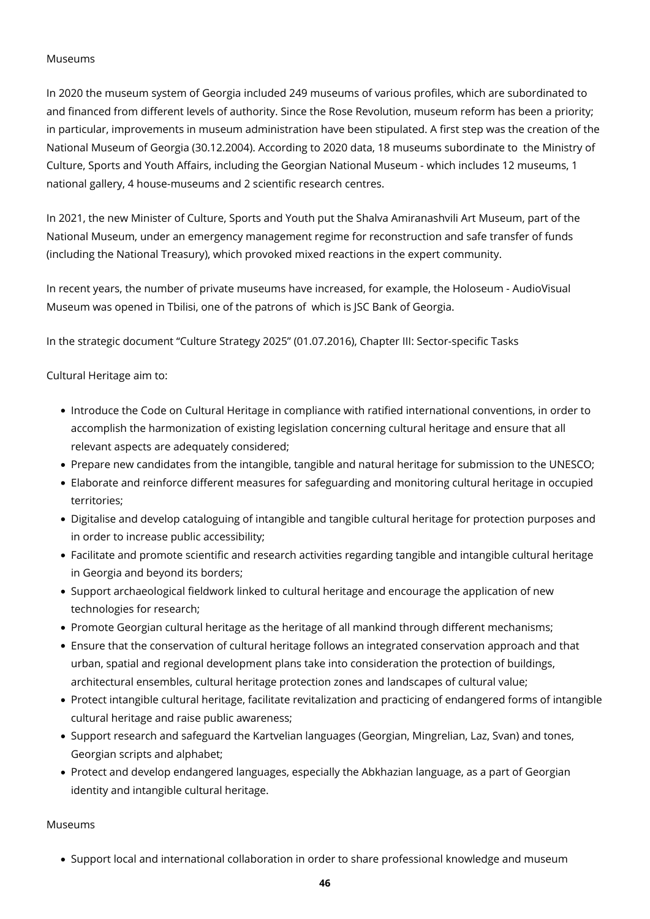#### Museums

In 2020 the museum system of Georgia included 249 museums of various profiles, which are subordinated to and financed from different levels of authority. Since the Rose Revolution, museum reform has been a priority; in particular, improvements in museum administration have been stipulated. A first step was the creation of the National Museum of Georgia (30.12.2004). According to 2020 data, 18 museums subordinate to the Ministry of Culture, Sports and Youth Affairs, including the Georgian National Museum - which includes 12 museums, 1 national gallery, 4 house-museums and 2 scientific research centres.

In 2021, the new Minister of Culture, Sports and Youth put the Shalva Amiranashvili Art Museum, part of the National Museum, under an emergency management regime for reconstruction and safe transfer of funds (including the National Treasury), which provoked mixed reactions in the expert community.

In recent years, the number of private museums have increased, for example, the Holoseum - AudioVisual Museum was opened in Tbilisi, one of the patrons of which is JSC Bank of Georgia.

In the strategic document "Culture Strategy 2025" (01.07.2016), Chapter III: Sector-specific Tasks

Cultural Heritage aim to:

- Introduce the Code on Cultural Heritage in compliance with ratified international conventions, in order to accomplish the harmonization of existing legislation concerning cultural heritage and ensure that all relevant aspects are adequately considered;
- Prepare new candidates from the intangible, tangible and natural heritage for submission to the UNESCO;
- Elaborate and reinforce different measures for safeguarding and monitoring cultural heritage in occupied territories;
- Digitalise and develop cataloguing of intangible and tangible cultural heritage for protection purposes and in order to increase public accessibility;
- Facilitate and promote scientific and research activities regarding tangible and intangible cultural heritage in Georgia and beyond its borders;
- Support archaeological fieldwork linked to cultural heritage and encourage the application of new technologies for research;
- Promote Georgian cultural heritage as the heritage of all mankind through different mechanisms;
- Ensure that the conservation of cultural heritage follows an integrated conservation approach and that urban, spatial and regional development plans take into consideration the protection of buildings, architectural ensembles, cultural heritage protection zones and landscapes of cultural value;
- Protect intangible cultural heritage, facilitate revitalization and practicing of endangered forms of intangible cultural heritage and raise public awareness;
- Support research and safeguard the Kartvelian languages (Georgian, Mingrelian, Laz, Svan) and tones, Georgian scripts and alphabet;
- Protect and develop endangered languages, especially the Abkhazian language, as a part of Georgian identity and intangible cultural heritage.

Museums

• Support local and international collaboration in order to share professional knowledge and museum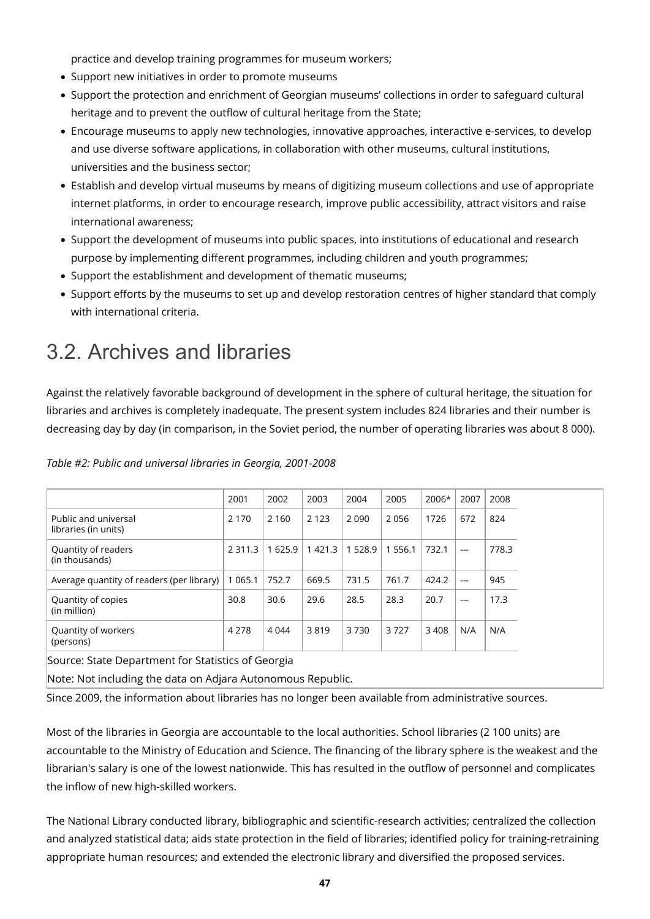practice and develop training programmes for museum workers;

- Support new initiatives in order to promote museums
- Support the protection and enrichment of Georgian museums' collections in order to safeguard cultural heritage and to prevent the outflow of cultural heritage from the State;
- Encourage museums to apply new technologies, innovative approaches, interactive e-services, to develop and use diverse software applications, in collaboration with other museums, cultural institutions, universities and the business sector;
- Establish and develop virtual museums by means of digitizing museum collections and use of appropriate internet platforms, in order to encourage research, improve public accessibility, attract visitors and raise international awareness;
- Support the development of museums into public spaces, into institutions of educational and research purpose by implementing different programmes, including children and youth programmes;
- Support the establishment and development of thematic museums;
- Support efforts by the museums to set up and develop restoration centres of higher standard that comply with international criteria.

### 3.2. Archives and libraries

Against the relatively favorable background of development in the sphere of cultural heritage, the situation for libraries and archives is completely inadequate. The present system includes 824 libraries and their number is decreasing day by day (in comparison, in the Soviet period, the number of operating libraries was about 8 000).

|                                              | 2001        | 2002    | 2003        | 2004        | 2005  | 2006* | 2007  | 2008  |
|----------------------------------------------|-------------|---------|-------------|-------------|-------|-------|-------|-------|
| Public and universal<br>libraries (in units) | 2 1 7 0     | 2 1 6 0 | 2 1 2 3     | 2090        | 2056  | 1726  | 672   | 824   |
| Quantity of readers<br>(in thousands)        | 2 3 1 1 . 3 | 1625.9  | 1 4 2 1 . 3 | 1 5 2 8 . 9 | 556.1 | 732.1 | $---$ | 778.3 |
| Average quantity of readers (per library)    | 1 0 6 5 . 1 | 752.7   | 669.5       | 731.5       | 761.7 | 424.2 | $---$ | 945   |
| Quantity of copies<br>(in million)           | 30.8        | 30.6    | 29.6        | 28.5        | 28.3  | 20.7  | $---$ | 17.3  |
| Quantity of workers<br>(persons)             | 4 2 7 8     | 4 0 4 4 | 3819        | 3730        | 3727  | 3408  | N/A   | N/A   |

*Table #2: Public and universal libraries in Georgia, 2001-2008*

Source: State Department for Statistics of Georgia

Note: Not including the data on Adjara Autonomous Republic.

Since 2009, the information about libraries has no longer been available from administrative sources.

Most of the libraries in Georgia are accountable to the local authorities. School libraries (2 100 units) are accountable to the Ministry of Education and Science. The financing of the library sphere is the weakest and the librarian's salary is one of the lowest nationwide. This has resulted in the outflow of personnel and complicates the inflow of new high-skilled workers.

The National Library conducted library, bibliographic and scientific-research activities; centralized the collection and analyzed statistical data; aids state protection in the field of libraries; identified policy for training-retraining appropriate human resources; and extended the electronic library and diversified the proposed services.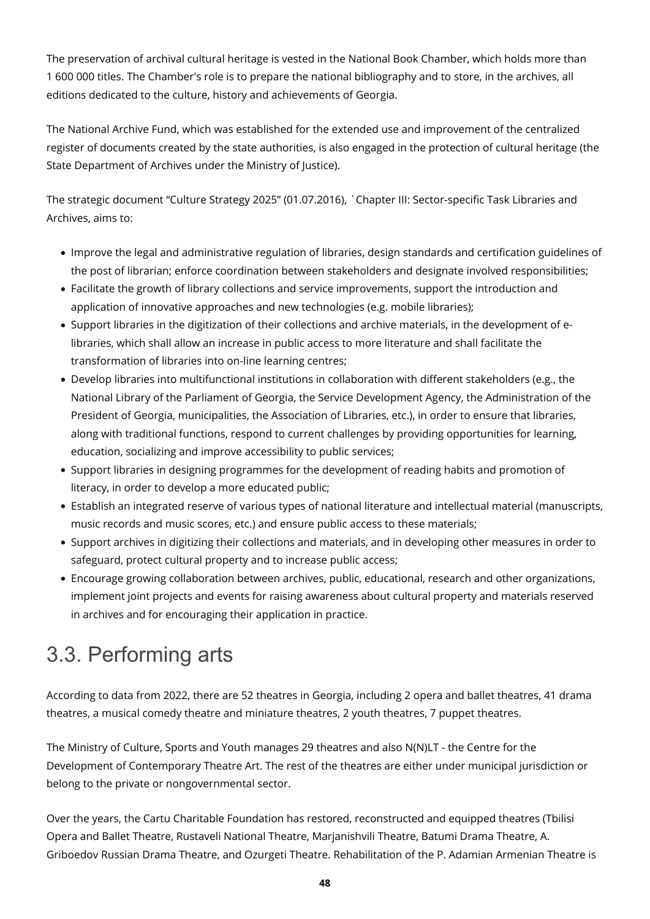The preservation of archival cultural heritage is vested in the National Book Chamber, which holds more than 1 600 000 titles. The Chamber's role is to prepare the national bibliography and to store, in the archives, all editions dedicated to the culture, history and achievements of Georgia.

The National Archive Fund, which was established for the extended use and improvement of the centralized register of documents created by the state authorities, is also engaged in the protection of cultural heritage (the State Department of Archives under the Ministry of Justice).

The strategic document "Culture Strategy 2025" (01.07.2016), `Chapter III: Sector-specific Task Libraries and Archives, aims to:

- Improve the legal and administrative regulation of libraries, design standards and certification guidelines of the post of librarian; enforce coordination between stakeholders and designate involved responsibilities;
- Facilitate the growth of library collections and service improvements, support the introduction and application of innovative approaches and new technologies (e.g. mobile libraries);
- Support libraries in the digitization of their collections and archive materials, in the development of elibraries, which shall allow an increase in public access to more literature and shall facilitate the transformation of libraries into on-line learning centres;
- Develop libraries into multifunctional institutions in collaboration with different stakeholders (e.g., the National Library of the Parliament of Georgia, the Service Development Agency, the Administration of the President of Georgia, municipalities, the Association of Libraries, etc.), in order to ensure that libraries, along with traditional functions, respond to current challenges by providing opportunities for learning, education, socializing and improve accessibility to public services;
- Support libraries in designing programmes for the development of reading habits and promotion of literacy, in order to develop a more educated public;
- Establish an integrated reserve of various types of national literature and intellectual material (manuscripts, music records and music scores, etc.) and ensure public access to these materials;
- Support archives in digitizing their collections and materials, and in developing other measures in order to safeguard, protect cultural property and to increase public access;
- Encourage growing collaboration between archives, public, educational, research and other organizations, implement joint projects and events for raising awareness about cultural property and materials reserved in archives and for encouraging their application in practice.

# 3.3. Performing arts

According to data from 2022, there are 52 theatres in Georgia, including 2 opera and ballet theatres, 41 drama theatres, a musical comedy theatre and miniature theatres, 2 youth theatres, 7 puppet theatres.

The Ministry of Culture, Sports and Youth manages 29 theatres and also N(N)LT - the Centre for the Development of Contemporary Theatre Art. The rest of the theatres are either under municipal jurisdiction or belong to the private or nongovernmental sector.

Over the years, the Cartu Charitable Foundation has restored, reconstructed and equipped theatres (Tbilisi Opera and Ballet Theatre, Rustaveli National Theatre, Marjanishvili Theatre, Batumi Drama Theatre, A. Griboedov Russian Drama Theatre, and Ozurgeti Theatre. Rehabilitation of the P. Adamian Armenian Theatre is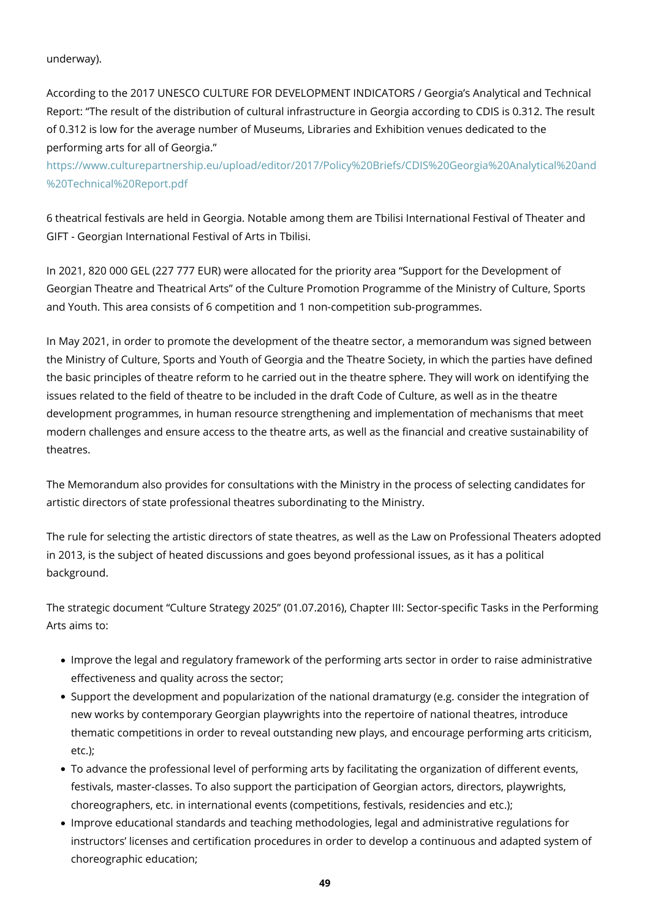underway).

According to the 2017 UNESCO CULTURE FOR DEVELOPMENT INDICATORS / Georgia's Analytical and Technical Report: "The result of the distribution of cultural infrastructure in Georgia according to CDIS is 0.312. The result of 0.312 is low for the average number of Museums, Libraries and Exhibition venues dedicated to the performing arts for all of Georgia."

[https://www.culturepartnership.eu/upload/editor/2017/Policy%20Briefs/CDIS%20Georgia%20Analytical%20and](https://www.culturepartnership.eu/upload/editor/2017/Policy%20Briefs/CDIS%20Georgia%20Analytical%20and%20Technical%20Report.pdf) [%20Technical%20Report.pdf](https://www.culturepartnership.eu/upload/editor/2017/Policy%20Briefs/CDIS%20Georgia%20Analytical%20and%20Technical%20Report.pdf)

6 theatrical festivals are held in Georgia. Notable among them are Tbilisi International Festival of Theater and GIFT - Georgian International Festival of Arts in Tbilisi.

In 2021, 820 000 GEL (227 777 EUR) were allocated for the priority area "Support for the Development of Georgian Theatre and Theatrical Arts" of the Culture Promotion Programme of the Ministry of Culture, Sports and Youth. This area consists of 6 competition and 1 non-competition sub-programmes.

In May 2021, in order to promote the development of the theatre sector, a memorandum was signed between the Ministry of Culture, Sports and Youth of Georgia and the Theatre Society, in which the parties have defined the basic principles of theatre reform to he carried out in the theatre sphere. They will work on identifying the issues related to the field of theatre to be included in the draft Code of Culture, as well as in the theatre development programmes, in human resource strengthening and implementation of mechanisms that meet modern challenges and ensure access to the theatre arts, as well as the financial and creative sustainability of theatres.

The Memorandum also provides for consultations with the Ministry in the process of selecting candidates for artistic directors of state professional theatres subordinating to the Ministry.

The rule for selecting the artistic directors of state theatres, as well as the Law on Professional Theaters adopted in 2013, is the subject of heated discussions and goes beyond professional issues, as it has a political background.

The strategic document "Culture Strategy 2025" (01.07.2016), Chapter III: Sector-specific Tasks in the Performing Arts aims to:

- Improve the legal and regulatory framework of the performing arts sector in order to raise administrative effectiveness and quality across the sector;
- Support the development and popularization of the national dramaturgy (e.g. consider the integration of new works by contemporary Georgian playwrights into the repertoire of national theatres, introduce thematic competitions in order to reveal outstanding new plays, and encourage performing arts criticism, etc.);
- To advance the professional level of performing arts by facilitating the organization of different events, festivals, master-classes. To also support the participation of Georgian actors, directors, playwrights, choreographers, etc. in international events (competitions, festivals, residencies and etc.);
- Improve educational standards and teaching methodologies, legal and administrative regulations for instructors' licenses and certification procedures in order to develop a continuous and adapted system of choreographic education;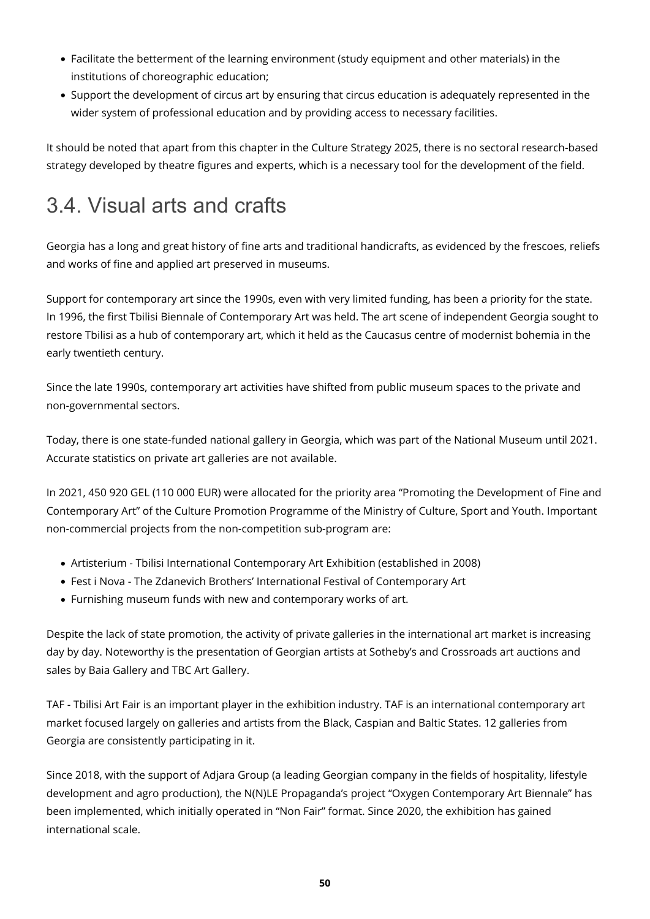- Facilitate the betterment of the learning environment (study equipment and other materials) in the institutions of choreographic education;
- Support the development of circus art by ensuring that circus education is adequately represented in the wider system of professional education and by providing access to necessary facilities.

It should be noted that apart from this chapter in the Culture Strategy 2025, there is no sectoral research-based strategy developed by theatre figures and experts, which is a necessary tool for the development of the field.

## 3.4. Visual arts and crafts

Georgia has a long and great history of fine arts and traditional handicrafts, as evidenced by the frescoes, reliefs and works of fine and applied art preserved in museums.

Support for contemporary art since the 1990s, even with very limited funding, has been a priority for the state. In 1996, the first Tbilisi Biennale of Contemporary Art was held. The art scene of independent Georgia sought to restore Tbilisi as a hub of contemporary art, which it held as the Caucasus centre of modernist bohemia in the early twentieth century.

Since the late 1990s, contemporary art activities have shifted from public museum spaces to the private and non-governmental sectors.

Today, there is one state-funded national gallery in Georgia, which was part of the National Museum until 2021. Accurate statistics on private art galleries are not available.

In 2021, 450 920 GEL (110 000 EUR) were allocated for the priority area "Promoting the Development of Fine and Contemporary Art" of the Culture Promotion Programme of the Ministry of Culture, Sport and Youth. Important non-commercial projects from the non-competition sub-program are:

- Artisterium Tbilisi International Contemporary Art Exhibition (established in 2008)
- Fest i Nova The Zdanevich Brothers' International Festival of Contemporary Art
- Furnishing museum funds with new and contemporary works of art.

Despite the lack of state promotion, the activity of private galleries in the international art market is increasing day by day. Noteworthy is the presentation of Georgian artists at Sotheby's and Crossroads art auctions and sales by Baia Gallery and TBC Art Gallery.

TAF - Tbilisi Art Fair is an important player in the exhibition industry. TAF is an international contemporary art market focused largely on galleries and artists from the Black, Caspian and Baltic States. 12 galleries from Georgia are consistently participating in it.

Since 2018, with the support of Adjara Group (a leading Georgian company in the fields of hospitality, lifestyle development and agro production), the N(N)LE Propaganda's project "Oxygen Contemporary Art Biennale" has been implemented, which initially operated in "Non Fair" format. Since 2020, the exhibition has gained international scale.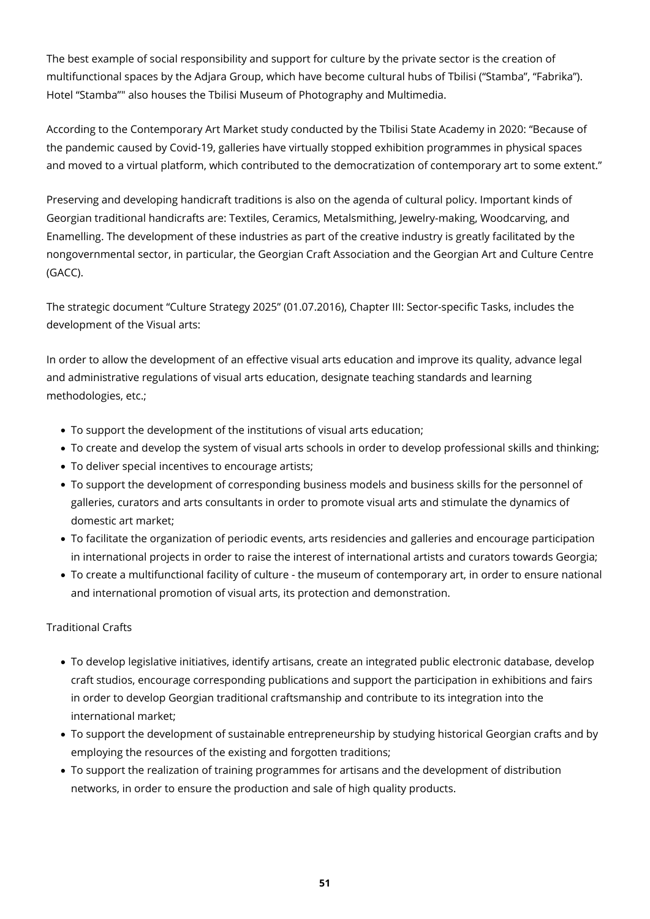The best example of social responsibility and support for culture by the private sector is the creation of multifunctional spaces by the Adjara Group, which have become cultural hubs of Tbilisi ("Stamba", "Fabrika"). Hotel "Stamba"" also houses the Tbilisi Museum of Photography and Multimedia.

According to the Contemporary Art Market study conducted by the Tbilisi State Academy in 2020: "Because of the pandemic caused by Covid-19, galleries have virtually stopped exhibition programmes in physical spaces and moved to a virtual platform, which contributed to the democratization of contemporary art to some extent."

Preserving and developing handicraft traditions is also on the agenda of cultural policy. Important kinds of Georgian traditional handicrafts are: Textiles, Ceramics, Metalsmithing, Jewelry-making, Woodcarving, and Enamelling. The development of these industries as part of the creative industry is greatly facilitated by the nongovernmental sector, in particular, the Georgian Craft Association and the Georgian Art and Culture Centre (GACC).

The strategic document "Culture Strategy 2025" (01.07.2016), Chapter III: Sector-specific Tasks, includes the development of the Visual arts:

In order to allow the development of an effective visual arts education and improve its quality, advance legal and administrative regulations of visual arts education, designate teaching standards and learning methodologies, etc.;

- To support the development of the institutions of visual arts education;
- To create and develop the system of visual arts schools in order to develop professional skills and thinking;
- To deliver special incentives to encourage artists;
- To support the development of corresponding business models and business skills for the personnel of galleries, curators and arts consultants in order to promote visual arts and stimulate the dynamics of domestic art market;
- To facilitate the organization of periodic events, arts residencies and galleries and encourage participation in international projects in order to raise the interest of international artists and curators towards Georgia;
- To create a multifunctional facility of culture the museum of contemporary art, in order to ensure national and international promotion of visual arts, its protection and demonstration.

#### Traditional Crafts

- To develop legislative initiatives, identify artisans, create an integrated public electronic database, develop craft studios, encourage corresponding publications and support the participation in exhibitions and fairs in order to develop Georgian traditional craftsmanship and contribute to its integration into the international market;
- To support the development of sustainable entrepreneurship by studying historical Georgian crafts and by employing the resources of the existing and forgotten traditions;
- To support the realization of training programmes for artisans and the development of distribution networks, in order to ensure the production and sale of high quality products.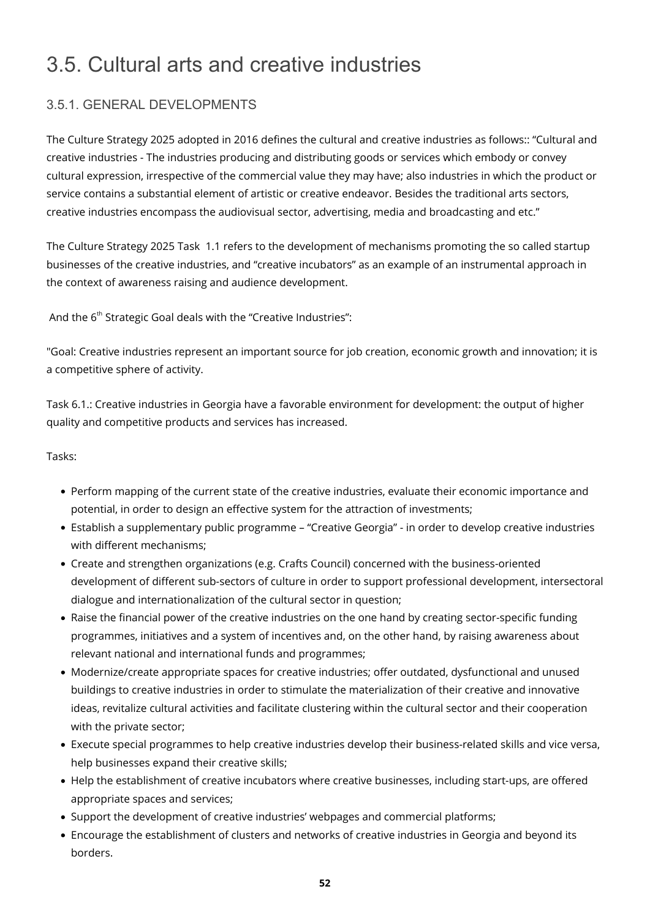## 3.5. Cultural arts and creative industries

### 3.5.1. GENERAL DEVELOPMENTS

The Culture Strategy 2025 adopted in 2016 defines the cultural and creative industries as follows:: "Cultural and creative industries - The industries producing and distributing goods or services which embody or convey cultural expression, irrespective of the commercial value they may have; also industries in which the product or service contains a substantial element of artistic or creative endeavor. Besides the traditional arts sectors, creative industries encompass the audiovisual sector, advertising, media and broadcasting and etc."

The Culture Strategy 2025 Task 1.1 refers to the development of mechanisms promoting the so called startup businesses of the creative industries, and "creative incubators" as an example of an instrumental approach in the context of awareness raising and audience development.

And the  $6<sup>th</sup>$  Strategic Goal deals with the "Creative Industries":

"Goal: Creative industries represent an important source for job creation, economic growth and innovation; it is a competitive sphere of activity.

Task 6.1.: Creative industries in Georgia have a favorable environment for development: the output of higher quality and competitive products and services has increased.

#### Tasks:

- Perform mapping of the current state of the creative industries, evaluate their economic importance and potential, in order to design an effective system for the attraction of investments;
- Establish a supplementary public programme "Creative Georgia" in order to develop creative industries with different mechanisms;
- Create and strengthen organizations (e.g. Crafts Council) concerned with the business-oriented development of different sub-sectors of culture in order to support professional development, intersectoral dialogue and internationalization of the cultural sector in question;
- Raise the financial power of the creative industries on the one hand by creating sector-specific funding programmes, initiatives and a system of incentives and, on the other hand, by raising awareness about relevant national and international funds and programmes;
- Modernize/create appropriate spaces for creative industries; offer outdated, dysfunctional and unused buildings to creative industries in order to stimulate the materialization of their creative and innovative ideas, revitalize cultural activities and facilitate clustering within the cultural sector and their cooperation with the private sector;
- Execute special programmes to help creative industries develop their business-related skills and vice versa, help businesses expand their creative skills;
- Help the establishment of creative incubators where creative businesses, including start-ups, are offered appropriate spaces and services;
- Support the development of creative industries' webpages and commercial platforms;
- Encourage the establishment of clusters and networks of creative industries in Georgia and beyond its borders.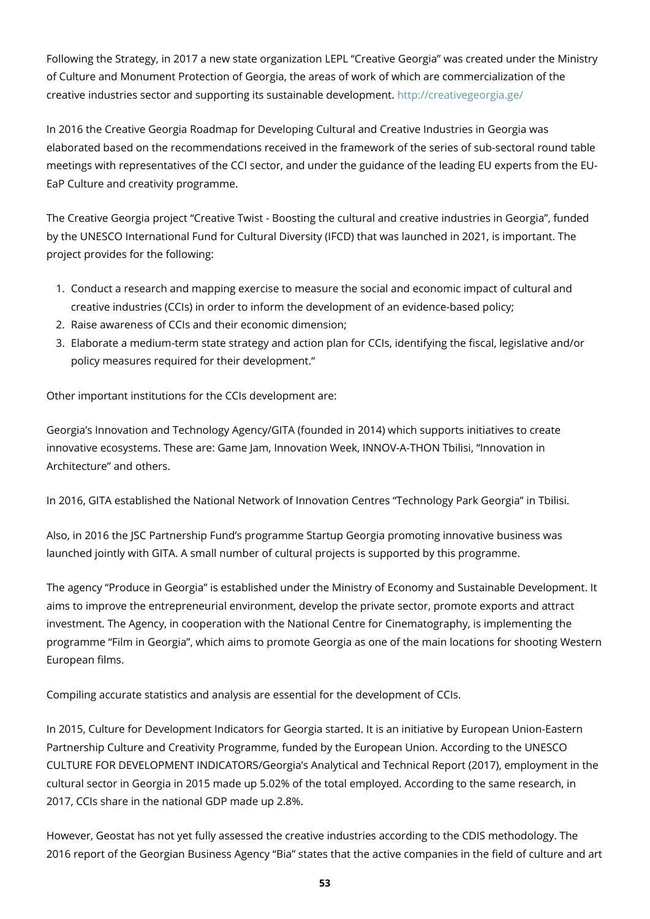Following the Strategy, in 2017 a new state organization LEPL "Creative Georgia" was created under the Ministry of Culture and Monument Protection of Georgia, the areas of work of which are commercialization of the creative industries sector and supporting its sustainable development. <http://creativegeorgia.ge/>

In 2016 the Creative Georgia Roadmap for Developing Cultural and Creative Industries in Georgia was elaborated based on the recommendations received in the framework of the series of sub-sectoral round table meetings with representatives of the CCI sector, and under the guidance of the leading EU experts from the EU-EaP Culture and creativity programme.

The Creative Georgia project "Creative Twist - Boosting the cultural and creative industries in Georgia", funded by the UNESCO International Fund for Cultural Diversity (IFCD) that was launched in 2021, is important. The project provides for the following:

- 1. Conduct a research and mapping exercise to measure the social and economic impact of cultural and creative industries (CCIs) in order to inform the development of an evidence-based policy;
- 2. Raise awareness of CCIs and their economic dimension;
- 3. Elaborate a medium-term state strategy and action plan for CCIs, identifying the fiscal, legislative and/or policy measures required for their development."

Other important institutions for the CCIs development are:

Georgia's Innovation and Technology Agency/GITA (founded in 2014) which supports initiatives to create innovative ecosystems. These are: Game Jam, Innovation Week, INNOV-A-THON Tbilisi, "Innovation in Architecture" and others.

In 2016, GITA established the National Network of Innovation Centres "Technology Park Georgia" in Tbilisi.

Also, in 2016 the JSC Partnership Fund's programme Startup Georgia promoting innovative business was launched jointly with GITA. A small number of cultural projects is supported by this programme.

The agency "Produce in Georgia" is established under the Ministry of Economy and Sustainable Development. It aims to improve the entrepreneurial environment, develop the private sector, promote exports and attract investment. The Agency, in cooperation with the National Centre for Cinematography, is implementing the programme "Film in Georgia", which aims to promote Georgia as one of the main locations for shooting Western European films.

Compiling accurate statistics and analysis are essential for the development of CCIs.

In 2015, Culture for Development Indicators for Georgia started. It is an initiative by European Union-Eastern Partnership Culture and Creativity Programme, funded by the European Union. According to the UNESCO CULTURE FOR DEVELOPMENT INDICATORS/Georgia's Analytical and Technical Report (2017), employment in the cultural sector in Georgia in 2015 made up 5.02% of the total employed. According to the same research, in 2017, CCIs share in the national GDP made up 2.8%.

However, Geostat has not yet fully assessed the creative industries according to the CDIS methodology. The 2016 report of the Georgian Business Agency "Bia" states that the active companies in the field of culture and art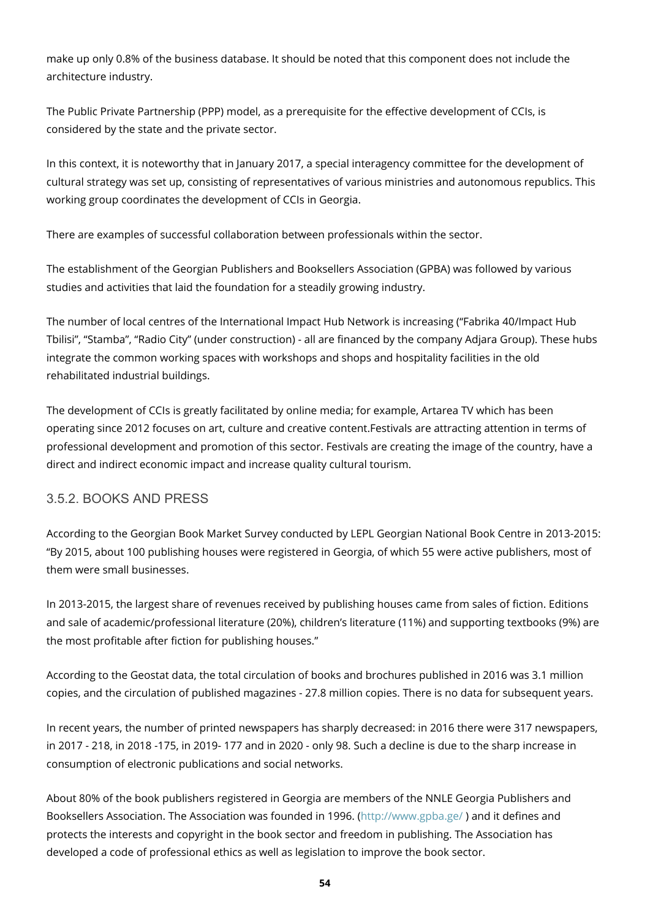make up only 0.8% of the business database. It should be noted that this component does not include the architecture industry.

The Public Private Partnership (PPP) model, as a prerequisite for the effective development of CCIs, is considered by the state and the private sector.

In this context, it is noteworthy that in January 2017, a special interagency committee for the development of cultural strategy was set up, consisting of representatives of various ministries and autonomous republics. This working group coordinates the development of CCIs in Georgia.

There are examples of successful collaboration between professionals within the sector.

The establishment of the Georgian Publishers and Booksellers Association (GPBA) was followed by various studies and activities that laid the foundation for a steadily growing industry.

The number of local centres of the International Impact Hub Network is increasing ("Fabrika 40/Impact Hub Tbilisi", "Stamba", "Radio City" (under construction) - all are financed by the company Adjara Group). These hubs integrate the common working spaces with workshops and shops and hospitality facilities in the old rehabilitated industrial buildings.

The development of CCIs is greatly facilitated by online media; for example, Artarea TV which has been operating since 2012 focuses on art, culture and creative content.Festivals are attracting attention in terms of professional development and promotion of this sector. Festivals are creating the image of the country, have a direct and indirect economic impact and increase quality cultural tourism.

#### 3.5.2. BOOKS AND PRESS

According to the Georgian Book Market Survey conducted by LEPL Georgian National Book Centre in 2013-2015: "By 2015, about 100 publishing houses were registered in Georgia, of which 55 were active publishers, most of them were small businesses.

In 2013-2015, the largest share of revenues received by publishing houses came from sales of fiction. Editions and sale of academic/professional literature (20%), children's literature (11%) and supporting textbooks (9%) are the most profitable after fiction for publishing houses."

According to the Geostat data, the total circulation of books and brochures published in 2016 was 3.1 million copies, and the circulation of published magazines - 27.8 million copies. There is no data for subsequent years.

In recent years, the number of printed newspapers has sharply decreased: in 2016 there were 317 newspapers, in 2017 - 218, in 2018 -175, in 2019- 177 and in 2020 - only 98. Such a decline is due to the sharp increase in consumption of electronic publications and social networks.

About 80% of the book publishers registered in Georgia are members of the NNLE Georgia Publishers and Booksellers Association. The Association was founded in 1996. [\(http://www.gpba.ge/](http://www.gpba.ge/) ) and it defines and protects the interests and copyright in the book sector and freedom in publishing. The Association has developed a code of professional ethics as well as legislation to improve the book sector.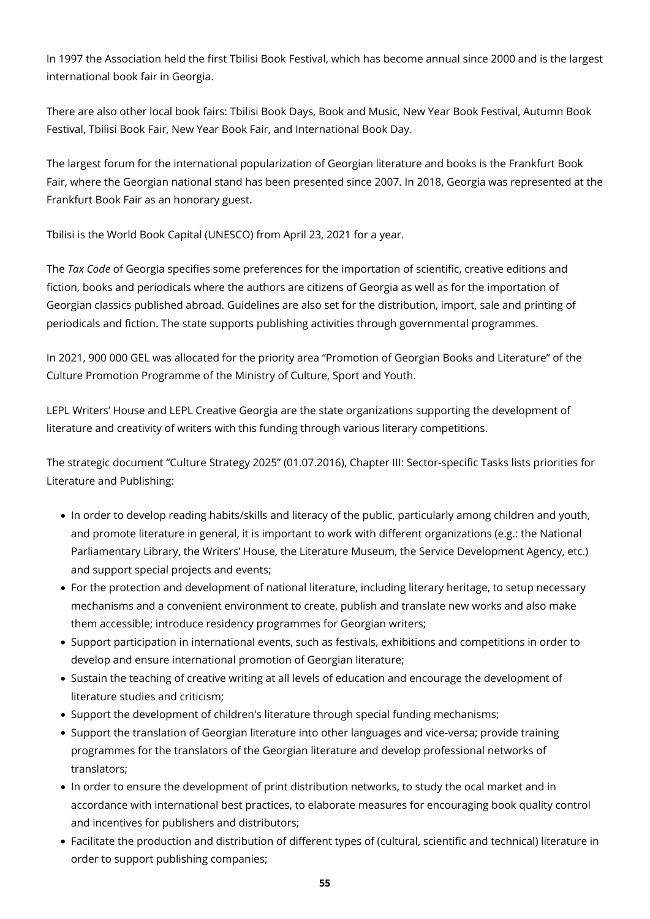In 1997 the Association held the first Tbilisi Book Festival, which has become annual since 2000 and is the largest international book fair in Georgia.

There are also other local book fairs: Tbilisi Book Days, Book and Music, New Year Book Festival, Autumn Book Festival, Tbilisi Book Fair, New Year Book Fair, and International Book Day.

The largest forum for the international popularization of Georgian literature and books is the Frankfurt Book Fair, where the Georgian national stand has been presented since 2007. In 2018, Georgia was represented at the Frankfurt Book Fair as an honorary guest.

Tbilisi is the World Book Capital (UNESCO) from April 23, 2021 for a year.

The *Tax Code* of Georgia specifies some preferences for the importation of scientific, creative editions and fiction, books and periodicals where the authors are citizens of Georgia as well as for the importation of Georgian classics published abroad. Guidelines are also set for the distribution, import, sale and printing of periodicals and fiction. The state supports publishing activities through governmental programmes.

In 2021, 900 000 GEL was allocated for the priority area "Promotion of Georgian Books and Literature" of the Culture Promotion Programme of the Ministry of Culture, Sport and Youth.

LEPL Writers' House and LEPL Creative Georgia are the state organizations supporting the development of literature and creativity of writers with this funding through various literary competitions.

The strategic document "Culture Strategy 2025" (01.07.2016), Chapter III: Sector-specific Tasks lists priorities for Literature and Publishing:

- In order to develop reading habits/skills and literacy of the public, particularly among children and youth, and promote literature in general, it is important to work with different organizations (e.g.: the National Parliamentary Library, the Writers' House, the Literature Museum, the Service Development Agency, etc.) and support special projects and events;
- For the protection and development of national literature, including literary heritage, to setup necessary mechanisms and a convenient environment to create, publish and translate new works and also make them accessible; introduce residency programmes for Georgian writers;
- Support participation in international events, such as festivals, exhibitions and competitions in order to develop and ensure international promotion of Georgian literature;
- Sustain the teaching of creative writing at all levels of education and encourage the development of literature studies and criticism;
- Support the development of children's literature through special funding mechanisms;
- Support the translation of Georgian literature into other languages and vice-versa; provide training programmes for the translators of the Georgian literature and develop professional networks of translators;
- In order to ensure the development of print distribution networks, to study the ocal market and in accordance with international best practices, to elaborate measures for encouraging book quality control and incentives for publishers and distributors;
- Facilitate the production and distribution of different types of (cultural, scientific and technical) literature in order to support publishing companies;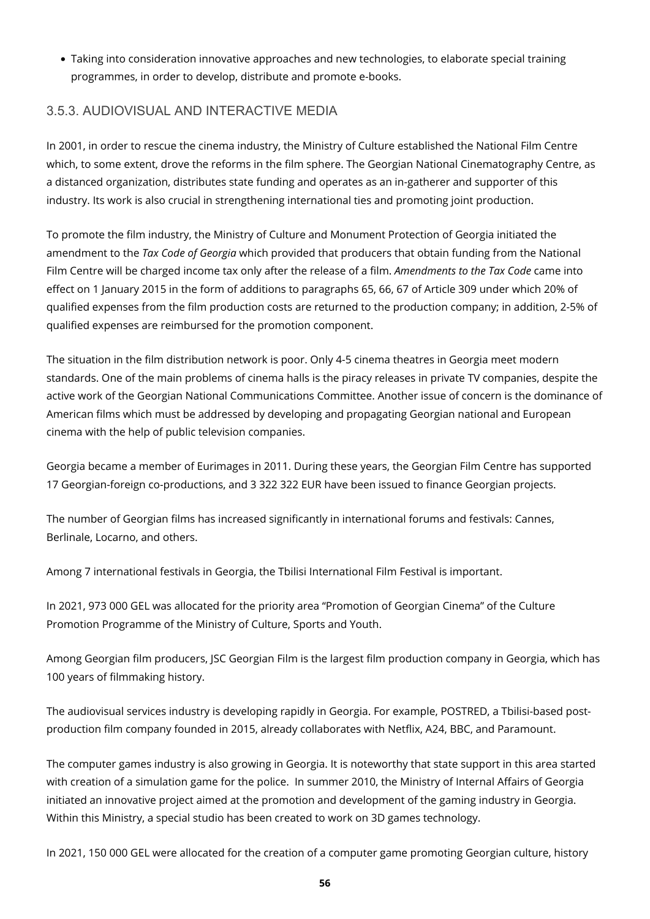Taking into consideration innovative approaches and new technologies, to elaborate special training programmes, in order to develop, distribute and promote e-books.

### 3.5.3. AUDIOVISUAL AND INTERACTIVE MEDIA

In 2001, in order to rescue the cinema industry, the Ministry of Culture established the National Film Centre which, to some extent, drove the reforms in the film sphere. The Georgian National Cinematography Centre, as a distanced organization, distributes state funding and operates as an in-gatherer and supporter of this industry. Its work is also crucial in strengthening international ties and promoting joint production.

To promote the film industry, the Ministry of Culture and Monument Protection of Georgia initiated the amendment to the *Tax Code of Georgia* which provided that producers that obtain funding from the National Film Centre will be charged income tax only after the release of a film. *Amendments to the Tax Code* came into effect on 1 January 2015 in the form of additions to paragraphs 65, 66, 67 of Article 309 under which 20% of qualified expenses from the film production costs are returned to the production company; in addition, 2-5% of qualified expenses are reimbursed for the promotion component.

The situation in the film distribution network is poor. Only 4-5 cinema theatres in Georgia meet modern standards. One of the main problems of cinema halls is the piracy releases in private TV companies, despite the active work of the Georgian National Communications Committee. Another issue of concern is the dominance of American films which must be addressed by developing and propagating Georgian national and European cinema with the help of public television companies.

Georgia became a member of Eurimages in 2011. During these years, the Georgian Film Centre has supported 17 Georgian-foreign co-productions, and 3 322 322 EUR have been issued to finance Georgian projects.

The number of Georgian films has increased significantly in international forums and festivals: Cannes, Berlinale, Locarno, and others.

Among 7 international festivals in Georgia, the Tbilisi International Film Festival is important.

In 2021, 973 000 GEL was allocated for the priority area "Promotion of Georgian Cinema" of the Culture Promotion Programme of the Ministry of Culture, Sports and Youth.

Among Georgian film producers, JSC Georgian Film is the largest film production company in Georgia, which has 100 years of filmmaking history.

The audiovisual services industry is developing rapidly in Georgia. For example, POSTRED, a Tbilisi-based postproduction film company founded in 2015, already collaborates with Netflix, A24, BBC, and Paramount.

The computer games industry is also growing in Georgia. It is noteworthy that state support in this area started with creation of a simulation game for the police. In summer 2010, the Ministry of Internal Affairs of Georgia initiated an innovative project aimed at the promotion and development of the gaming industry in Georgia. Within this Ministry, a special studio has been created to work on 3D games technology.

In 2021, 150 000 GEL were allocated for the creation of a computer game promoting Georgian culture, history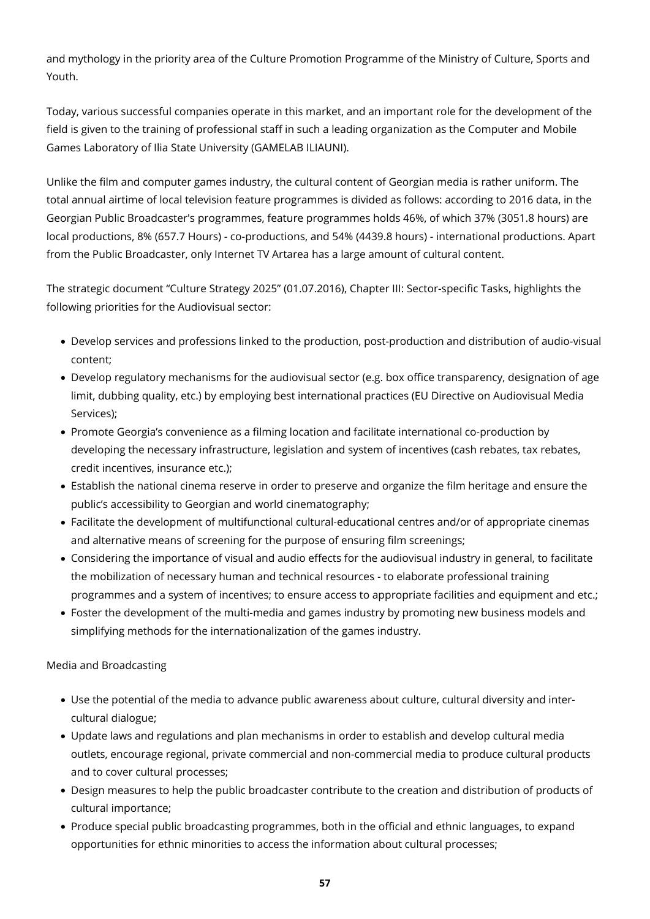and mythology in the priority area of the Culture Promotion Programme of the Ministry of Culture, Sports and Youth.

Today, various successful companies operate in this market, and an important role for the development of the field is given to the training of professional staff in such a leading organization as the Computer and Mobile Games Laboratory of Ilia State University (GAMELAB ILIAUNI).

Unlike the film and computer games industry, the cultural content of Georgian media is rather uniform. The total annual airtime of local television feature programmes is divided as follows: according to 2016 data, in the Georgian Public Broadcaster's programmes, feature programmes holds 46%, of which 37% (3051.8 hours) are local productions, 8% (657.7 Hours) - co-productions, and 54% (4439.8 hours) - international productions. Apart from the Public Broadcaster, only Internet TV Artarea has a large amount of cultural content.

The strategic document "Culture Strategy 2025" (01.07.2016), Chapter III: Sector-specific Tasks, highlights the following priorities for the Audiovisual sector:

- Develop services and professions linked to the production, post-production and distribution of audio-visual content;
- Develop regulatory mechanisms for the audiovisual sector (e.g. box office transparency, designation of age limit, dubbing quality, etc.) by employing best international practices (EU Directive on Audiovisual Media Services);
- Promote Georgia's convenience as a filming location and facilitate international co-production by developing the necessary infrastructure, legislation and system of incentives (cash rebates, tax rebates, credit incentives, insurance etc.);
- Establish the national cinema reserve in order to preserve and organize the film heritage and ensure the public's accessibility to Georgian and world cinematography;
- Facilitate the development of multifunctional cultural-educational centres and/or of appropriate cinemas and alternative means of screening for the purpose of ensuring film screenings;
- Considering the importance of visual and audio effects for the audiovisual industry in general, to facilitate the mobilization of necessary human and technical resources - to elaborate professional training programmes and a system of incentives; to ensure access to appropriate facilities and equipment and etc.;
- Foster the development of the multi-media and games industry by promoting new business models and simplifying methods for the internationalization of the games industry.

Media and Broadcasting

- Use the potential of the media to advance public awareness about culture, cultural diversity and intercultural dialogue;
- Update laws and regulations and plan mechanisms in order to establish and develop cultural media outlets, encourage regional, private commercial and non-commercial media to produce cultural products and to cover cultural processes;
- Design measures to help the public broadcaster contribute to the creation and distribution of products of cultural importance;
- Produce special public broadcasting programmes, both in the official and ethnic languages, to expand opportunities for ethnic minorities to access the information about cultural processes;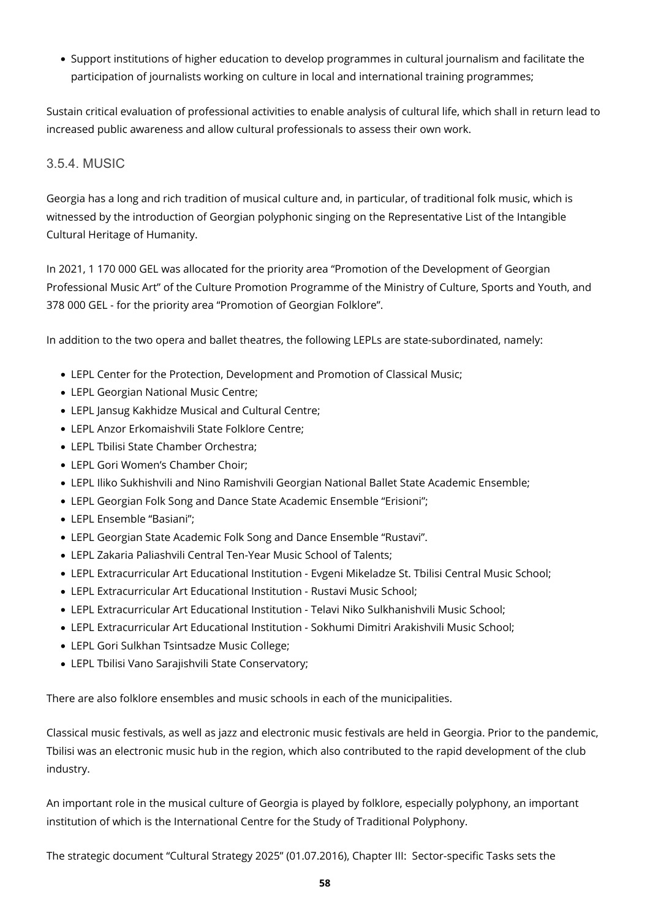Support institutions of higher education to develop programmes in cultural journalism and facilitate the participation of journalists working on culture in local and international training programmes;

Sustain critical evaluation of professional activities to enable analysis of cultural life, which shall in return lead to increased public awareness and allow cultural professionals to assess their own work.

#### 3.5.4. MUSIC

Georgia has a long and rich tradition of musical culture and, in particular, of traditional folk music, which is witnessed by the introduction of Georgian polyphonic singing on the Representative List of the Intangible Cultural Heritage of Humanity.

In 2021, 1 170 000 GEL was allocated for the priority area "Promotion of the Development of Georgian Professional Music Art" of the Culture Promotion Programme of the Ministry of Culture, Sports and Youth, and 378 000 GEL - for the priority area "Promotion of Georgian Folklore".

In addition to the two opera and ballet theatres, the following LEPLs are state-subordinated, namely:

- LEPL Center for the Protection, Development and Promotion of Classical Music;
- LEPL Georgian National Music Centre;
- LEPL Jansug Kakhidze Musical and Cultural Centre;
- LEPL Anzor Erkomaishvili State Folklore Centre;
- LEPL Tbilisi State Chamber Orchestra;
- LEPL Gori Women's Chamber Choir;
- LEPL Iliko Sukhishvili and Nino Ramishvili Georgian National Ballet State Academic Ensemble;
- LEPL Georgian Folk Song and Dance State Academic Ensemble "Erisioni";
- LEPL Ensemble "Basiani";
- LEPL Georgian State Academic Folk Song and Dance Ensemble "Rustavi".
- LEPL Zakaria Paliashvili Central Ten-Year Music School of Talents;
- LEPL Extracurricular Art Educational Institution Evgeni Mikeladze St. Tbilisi Central Music School;
- LEPL Extracurricular Art Educational Institution Rustavi Music School;
- LEPL Extracurricular Art Educational Institution Telavi Niko Sulkhanishvili Music School;
- LEPL Extracurricular Art Educational Institution Sokhumi Dimitri Arakishvili Music School;
- LEPL Gori Sulkhan Tsintsadze Music College;
- LEPL Tbilisi Vano Sarajishvili State Conservatory;

There are also folklore ensembles and music schools in each of the municipalities.

Classical music festivals, as well as jazz and electronic music festivals are held in Georgia. Prior to the pandemic, Tbilisi was an electronic music hub in the region, which also contributed to the rapid development of the club industry.

An important role in the musical culture of Georgia is played by folklore, especially polyphony, an important institution of which is the International Centre for the Study of Traditional Polyphony.

The strategic document "Cultural Strategy 2025" (01.07.2016), Chapter III: Sector-specific Tasks sets the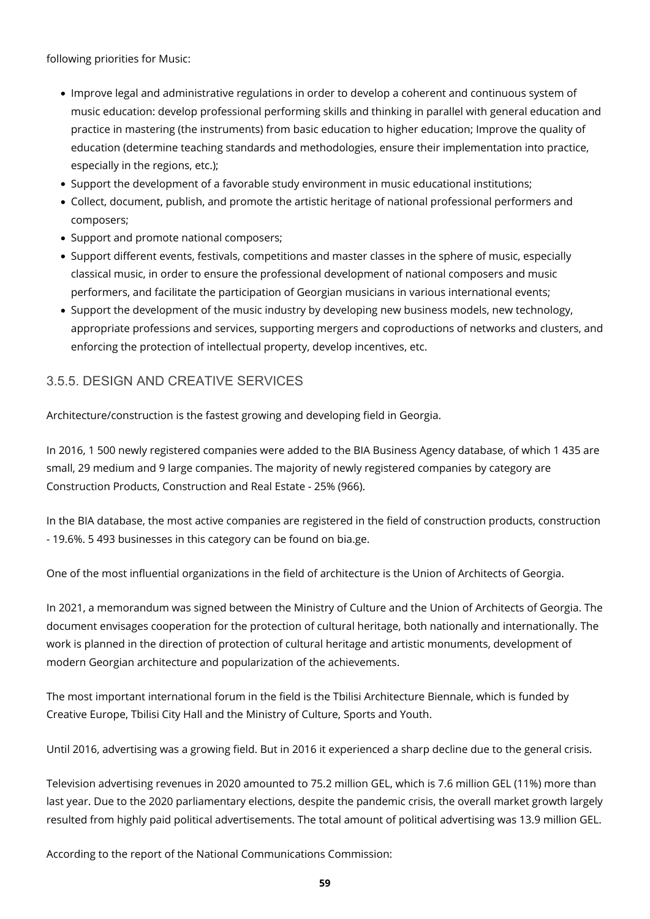following priorities for Music:

- Improve legal and administrative regulations in order to develop a coherent and continuous system of music education: develop professional performing skills and thinking in parallel with general education and practice in mastering (the instruments) from basic education to higher education; Improve the quality of education (determine teaching standards and methodologies, ensure their implementation into practice, especially in the regions, etc.);
- Support the development of a favorable study environment in music educational institutions;
- Collect, document, publish, and promote the artistic heritage of national professional performers and composers;
- Support and promote national composers;
- Support different events, festivals, competitions and master classes in the sphere of music, especially classical music, in order to ensure the professional development of national composers and music performers, and facilitate the participation of Georgian musicians in various international events;
- Support the development of the music industry by developing new business models, new technology, appropriate professions and services, supporting mergers and coproductions of networks and clusters, and enforcing the protection of intellectual property, develop incentives, etc.

#### 3.5.5. DESIGN AND CREATIVE SERVICES

Architecture/construction is the fastest growing and developing field in Georgia.

In 2016, 1 500 newly registered companies were added to the BIA Business Agency database, of which 1 435 are small, 29 medium and 9 large companies. The majority of newly registered companies by category are Construction Products, Construction and Real Estate - 25% (966).

In the BIA database, the most active companies are registered in the field of construction products, construction - 19.6%. 5 493 businesses in this category can be found on bia.ge.

One of the most influential organizations in the field of architecture is the Union of Architects of Georgia.

In 2021, a memorandum was signed between the Ministry of Culture and the Union of Architects of Georgia. The document envisages cooperation for the protection of cultural heritage, both nationally and internationally. The work is planned in the direction of protection of cultural heritage and artistic monuments, development of modern Georgian architecture and popularization of the achievements.

The most important international forum in the field is the Tbilisi Architecture Biennale, which is funded by Creative Europe, Tbilisi City Hall and the Ministry of Culture, Sports and Youth.

Until 2016, advertising was a growing field. But in 2016 it experienced a sharp decline due to the general crisis.

Television advertising revenues in 2020 amounted to 75.2 million GEL, which is 7.6 million GEL (11%) more than last year. Due to the 2020 parliamentary elections, despite the pandemic crisis, the overall market growth largely resulted from highly paid political advertisements. The total amount of political advertising was 13.9 million GEL.

According to the report of the National Communications Commission: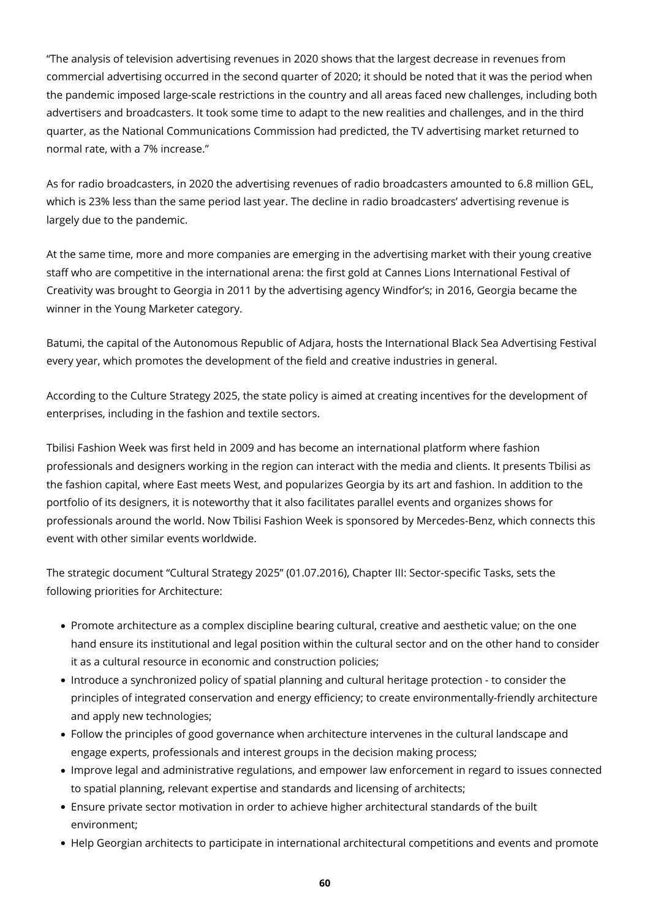"The analysis of television advertising revenues in 2020 shows that the largest decrease in revenues from commercial advertising occurred in the second quarter of 2020; it should be noted that it was the period when the pandemic imposed large-scale restrictions in the country and all areas faced new challenges, including both advertisers and broadcasters. It took some time to adapt to the new realities and challenges, and in the third quarter, as the National Communications Commission had predicted, the TV advertising market returned to normal rate, with a 7% increase."

As for radio broadcasters, in 2020 the advertising revenues of radio broadcasters amounted to 6.8 million GEL, which is 23% less than the same period last year. The decline in radio broadcasters' advertising revenue is largely due to the pandemic.

At the same time, more and more companies are emerging in the advertising market with their young creative staff who are competitive in the international arena: the first gold at Cannes Lions International Festival of Creativity was brought to Georgia in 2011 by the advertising agency Windfor's; in 2016, Georgia became the winner in the Young Marketer category.

Batumi, the capital of the Autonomous Republic of Adjara, hosts the International Black Sea Advertising Festival every year, which promotes the development of the field and creative industries in general.

According to the Culture Strategy 2025, the state policy is aimed at creating incentives for the development of enterprises, including in the fashion and textile sectors.

Tbilisi Fashion Week was first held in 2009 and has become an international platform where fashion professionals and designers working in the region can interact with the media and clients. It presents Tbilisi as the fashion capital, where East meets West, and popularizes Georgia by its art and fashion. In addition to the portfolio of its designers, it is noteworthy that it also facilitates parallel events and organizes shows for professionals around the world. Now Tbilisi Fashion Week is sponsored by Mercedes-Benz, which connects this event with other similar events worldwide.

The strategic document "Cultural Strategy 2025" (01.07.2016), Chapter III: Sector-specific Tasks, sets the following priorities for Architecture:

- Promote architecture as a complex discipline bearing cultural, creative and aesthetic value; on the one hand ensure its institutional and legal position within the cultural sector and on the other hand to consider it as a cultural resource in economic and construction policies;
- Introduce a synchronized policy of spatial planning and cultural heritage protection to consider the principles of integrated conservation and energy efficiency; to create environmentally-friendly architecture and apply new technologies;
- Follow the principles of good governance when architecture intervenes in the cultural landscape and engage experts, professionals and interest groups in the decision making process;
- Improve legal and administrative regulations, and empower law enforcement in regard to issues connected to spatial planning, relevant expertise and standards and licensing of architects;
- Ensure private sector motivation in order to achieve higher architectural standards of the built environment;
- Help Georgian architects to participate in international architectural competitions and events and promote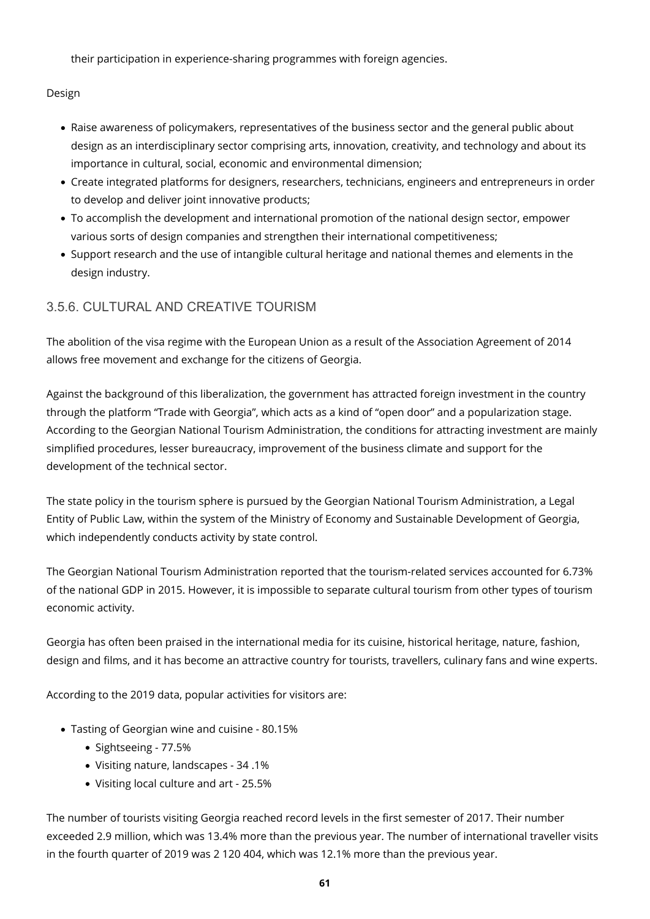their participation in experience-sharing programmes with foreign agencies.

Design

- Raise awareness of policymakers, representatives of the business sector and the general public about design as an interdisciplinary sector comprising arts, innovation, creativity, and technology and about its importance in cultural, social, economic and environmental dimension;
- Create integrated platforms for designers, researchers, technicians, engineers and entrepreneurs in order to develop and deliver joint innovative products;
- To accomplish the development and international promotion of the national design sector, empower various sorts of design companies and strengthen their international competitiveness;
- Support research and the use of intangible cultural heritage and national themes and elements in the design industry.

### 3.5.6. CULTURAL AND CREATIVE TOURISM

The abolition of the visa regime with the European Union as a result of the Association Agreement of 2014 allows free movement and exchange for the citizens of Georgia.

Against the background of this liberalization, the government has attracted foreign investment in the country through the platform "Trade with Georgia", which acts as a kind of "open door" and a popularization stage. According to the Georgian National Tourism Administration, the conditions for attracting investment are mainly simplified procedures, lesser bureaucracy, improvement of the business climate and support for the development of the technical sector.

The state policy in the tourism sphere is pursued by the Georgian National Tourism Administration, a Legal Entity of Public Law, within the system of the Ministry of Economy and Sustainable Development of Georgia, which independently conducts activity by state control.

The Georgian National Tourism Administration reported that the tourism-related services accounted for 6.73% of the national GDP in 2015. However, it is impossible to separate cultural tourism from other types of tourism economic activity.

Georgia has often been praised in the international media for its cuisine, historical heritage, nature, fashion, design and films, and it has become an attractive country for tourists, travellers, culinary fans and wine experts.

According to the 2019 data, popular activities for visitors are:

- Tasting of Georgian wine and cuisine 80.15%
	- Sightseeing 77.5%
	- Visiting nature, landscapes 34 .1%
	- Visiting local culture and art 25.5%

The number of tourists visiting Georgia reached record levels in the first semester of 2017. Their number exceeded 2.9 million, which was 13.4% more than the previous year. The number of international traveller visits in the fourth quarter of 2019 was 2 120 404, which was 12.1% more than the previous year.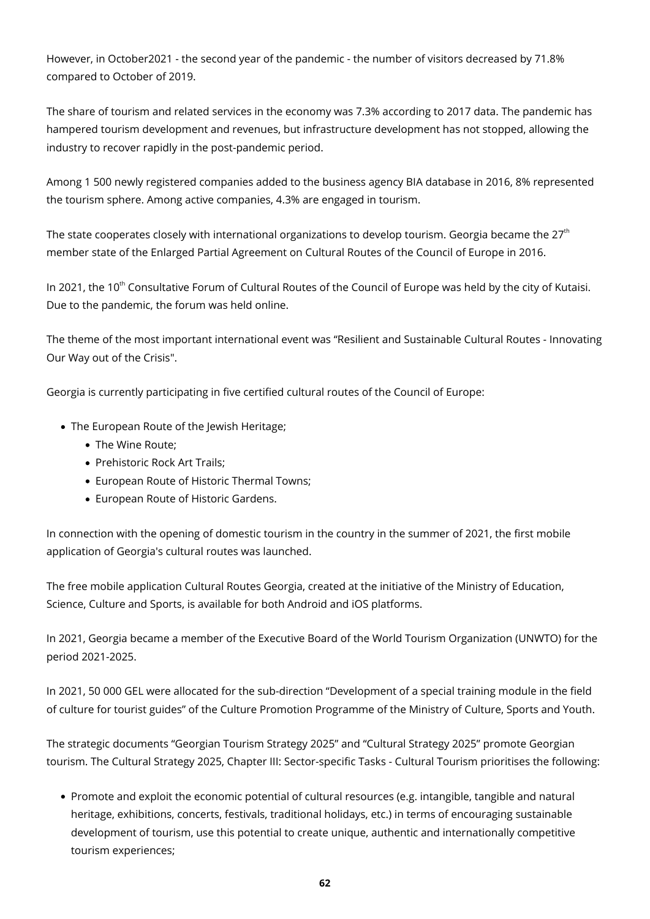However, in October2021 - the second year of the pandemic - the number of visitors decreased by 71.8% compared to October of 2019.

The share of tourism and related services in the economy was 7.3% according to 2017 data. The pandemic has hampered tourism development and revenues, but infrastructure development has not stopped, allowing the industry to recover rapidly in the post-pandemic period.

Among 1 500 newly registered companies added to the business agency BIA database in 2016, 8% represented the tourism sphere. Among active companies, 4.3% are engaged in tourism.

The state cooperates closely with international organizations to develop tourism. Georgia became the  $27<sup>th</sup>$ member state of the Enlarged Partial Agreement on Cultural Routes of the Council of Europe in 2016.

In 2021, the 10<sup>th</sup> Consultative Forum of Cultural Routes of the Council of Europe was held by the city of Kutaisi. Due to the pandemic, the forum was held online.

The theme of the most important international event was "Resilient and Sustainable Cultural Routes - Innovating Our Way out of the Crisis".

Georgia is currently participating in five certified cultural routes of the Council of Europe:

- The European Route of the Jewish Heritage;
	- The Wine Route;
	- Prehistoric Rock Art Trails:
	- European Route of Historic Thermal Towns;
	- European Route of Historic Gardens.

In connection with the opening of domestic tourism in the country in the summer of 2021, the first mobile application of Georgia's cultural routes was launched.

The free mobile application Cultural Routes Georgia, created at the initiative of the Ministry of Education, Science, Culture and Sports, is available for both Android and iOS platforms.

In 2021, Georgia became a member of the Executive Board of the World Tourism Organization (UNWTO) for the period 2021-2025.

In 2021, 50 000 GEL were allocated for the sub-direction "Development of a special training module in the field of culture for tourist guides" of the Culture Promotion Programme of the Ministry of Culture, Sports and Youth.

The strategic documents "Georgian Tourism Strategy 2025" and "Cultural Strategy 2025" promote Georgian tourism. The Cultural Strategy 2025, Chapter III: Sector-specific Tasks - Cultural Tourism prioritises the following:

Promote and exploit the economic potential of cultural resources (e.g. intangible, tangible and natural heritage, exhibitions, concerts, festivals, traditional holidays, etc.) in terms of encouraging sustainable development of tourism, use this potential to create unique, authentic and internationally competitive tourism experiences;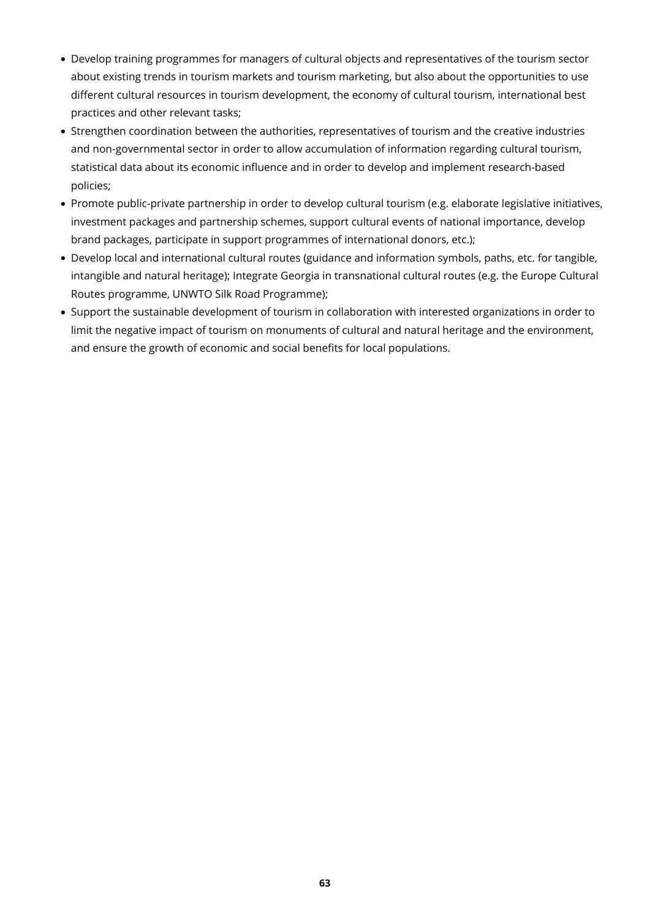- Develop training programmes for managers of cultural objects and representatives of the tourism sector about existing trends in tourism markets and tourism marketing, but also about the opportunities to use different cultural resources in tourism development, the economy of cultural tourism, international best practices and other relevant tasks;
- Strengthen coordination between the authorities, representatives of tourism and the creative industries and non-governmental sector in order to allow accumulation of information regarding cultural tourism, statistical data about its economic influence and in order to develop and implement research-based policies;
- Promote public-private partnership in order to develop cultural tourism (e.g. elaborate legislative initiatives, investment packages and partnership schemes, support cultural events of national importance, develop brand packages, participate in support programmes of international donors, etc.);
- Develop local and international cultural routes (guidance and information symbols, paths, etc. for tangible, intangible and natural heritage); Integrate Georgia in transnational cultural routes (e.g. the Europe Cultural Routes programme, UNWTO Silk Road Programme);
- Support the sustainable development of tourism in collaboration with interested organizations in order to limit the negative impact of tourism on monuments of cultural and natural heritage and the environment, and ensure the growth of economic and social benefits for local populations.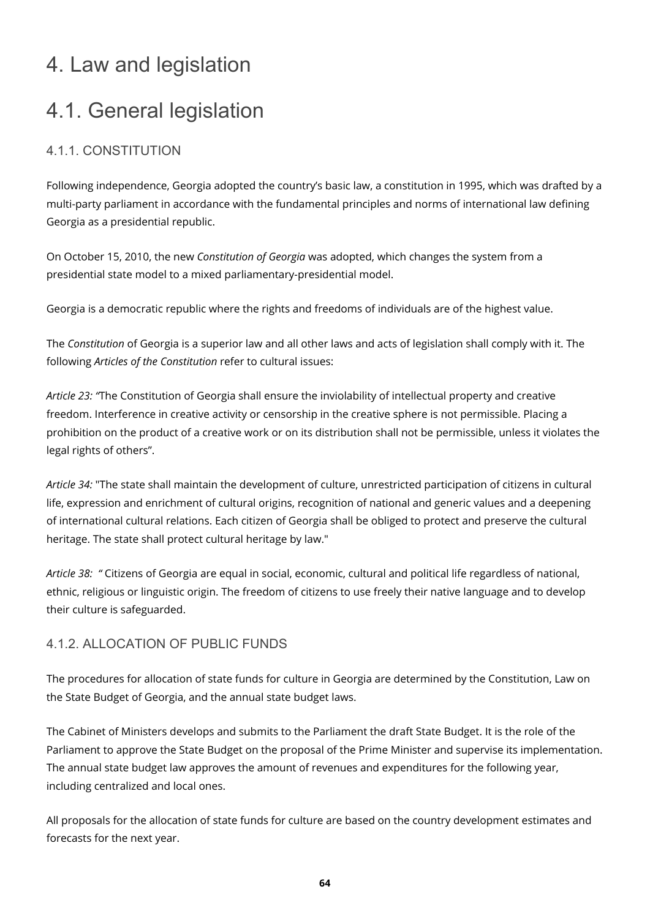### 4. Law and legislation

## 4.1. General legislation

### 4.1.1. CONSTITUTION

Following independence, Georgia adopted the country's basic law, a constitution in 1995, which was drafted by a multi-party parliament in accordance with the fundamental principles and norms of international law defining Georgia as a presidential republic.

On October 15, 2010, the new *Constitution of Georgia* was adopted, which changes the system from a presidential state model to a mixed parliamentary-presidential model.

Georgia is a democratic republic where the rights and freedoms of individuals are of the highest value.

The *Constitution* of Georgia is a superior law and all other laws and acts of legislation shall comply with it. The following *Articles of the Constitution* refer to cultural issues:

*Article 23: "*The Constitution of Georgia shall ensure the inviolability of intellectual property and creative freedom. Interference in creative activity or censorship in the creative sphere is not permissible. Placing a prohibition on the product of a creative work or on its distribution shall not be permissible, unless it violates the legal rights of others".

*Article 34:* "The state shall maintain the development of culture, unrestricted participation of citizens in cultural life, expression and enrichment of cultural origins, recognition of national and generic values and a deepening of international cultural relations. Each citizen of Georgia shall be obliged to protect and preserve the cultural heritage. The state shall protect cultural heritage by law."

*Article 38: "* Citizens of Georgia are equal in social, economic, cultural and political life regardless of national, ethnic, religious or linguistic origin. The freedom of citizens to use freely their native language and to develop their culture is safeguarded.

#### 4.1.2. ALLOCATION OF PUBLIC FUNDS

The procedures for allocation of state funds for culture in Georgia are determined by the Constitution, Law on the State Budget of Georgia, and the annual state budget laws.

The Cabinet of Ministers develops and submits to the Parliament the draft State Budget. It is the role of the Parliament to approve the State Budget on the proposal of the Prime Minister and supervise its implementation. The annual state budget law approves the amount of revenues and expenditures for the following year, including centralized and local ones.

All proposals for the allocation of state funds for culture are based on the country development estimates and forecasts for the next year.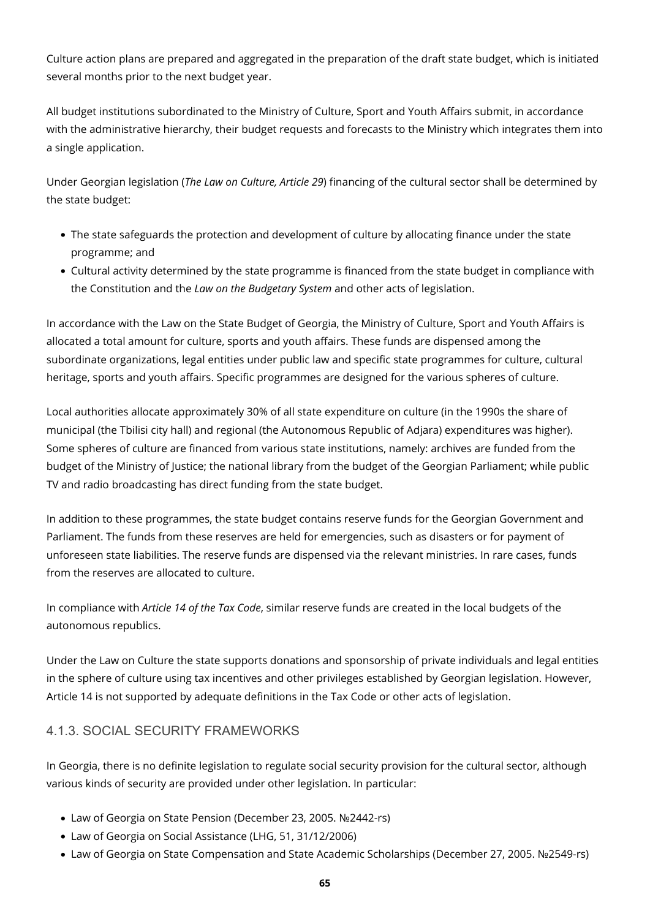Culture action plans are prepared and aggregated in the preparation of the draft state budget, which is initiated several months prior to the next budget year.

All budget institutions subordinated to the Ministry of Culture, Sport and Youth Affairs submit, in accordance with the administrative hierarchy, their budget requests and forecasts to the Ministry which integrates them into a single application.

Under Georgian legislation (*The Law on Culture, Article 29*) financing of the cultural sector shall be determined by the state budget:

- The state safeguards the protection and development of culture by allocating finance under the state programme; and
- Cultural activity determined by the state programme is financed from the state budget in compliance with the Constitution and the *Law on the Budgetary System* and other acts of legislation.

In accordance with the Law on the State Budget of Georgia, the Ministry of Culture, Sport and Youth Affairs is allocated a total amount for culture, sports and youth affairs. These funds are dispensed among the subordinate organizations, legal entities under public law and specific state programmes for culture, cultural heritage, sports and youth affairs. Specific programmes are designed for the various spheres of culture.

Local authorities allocate approximately 30% of all state expenditure on culture (in the 1990s the share of municipal (the Tbilisi city hall) and regional (the Autonomous Republic of Adjara) expenditures was higher). Some spheres of culture are financed from various state institutions, namely: archives are funded from the budget of the Ministry of Justice; the national library from the budget of the Georgian Parliament; while public TV and radio broadcasting has direct funding from the state budget.

In addition to these programmes, the state budget contains reserve funds for the Georgian Government and Parliament. The funds from these reserves are held for emergencies, such as disasters or for payment of unforeseen state liabilities. The reserve funds are dispensed via the relevant ministries. In rare cases, funds from the reserves are allocated to culture.

In compliance with *Article 14 of the Tax Code*, similar reserve funds are created in the local budgets of the autonomous republics.

Under the Law on Culture the state supports donations and sponsorship of private individuals and legal entities in the sphere of culture using tax incentives and other privileges established by Georgian legislation. However, Article 14 is not supported by adequate definitions in the Tax Code or other acts of legislation.

#### 4.1.3. SOCIAL SECURITY FRAMEWORKS

In Georgia, there is no definite legislation to regulate social security provision for the cultural sector, although various kinds of security are provided under other legislation. In particular:

- Law of Georgia on State Pension (December 23, 2005. №2442-rs)
- Law of Georgia on Social Assistance (LHG, 51, 31/12/2006)
- Law of Georgia on State Compensation and State Academic Scholarships (December 27, 2005. №2549-rs)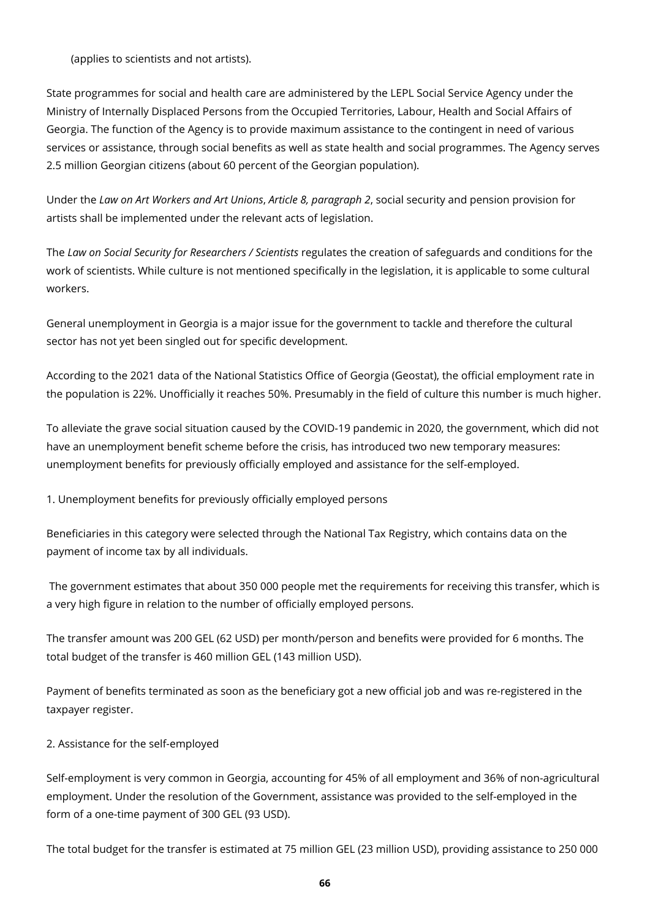(applies to scientists and not artists).

State programmes for social and health care are administered by the LEPL Social Service Agency under the Ministry of Internally Displaced Persons from the Occupied Territories, Labour, Health and Social Affairs of Georgia. The function of the Agency is to provide maximum assistance to the contingent in need of various services or assistance, through social benefits as well as state health and social programmes. The Agency serves 2.5 million Georgian citizens (about 60 percent of the Georgian population).

Under the *Law on Art Workers and Art Unions*, *Article 8, paragraph 2*, social security and pension provision for artists shall be implemented under the relevant acts of legislation.

The *Law on Social Security for Researchers / Scientists* regulates the creation of safeguards and conditions for the work of scientists. While culture is not mentioned specifically in the legislation, it is applicable to some cultural workers.

General unemployment in Georgia is a major issue for the government to tackle and therefore the cultural sector has not yet been singled out for specific development.

According to the 2021 data of the National Statistics Office of Georgia (Geostat), the official employment rate in the population is 22%. Unofficially it reaches 50%. Presumably in the field of culture this number is much higher.

To alleviate the grave social situation caused by the COVID-19 pandemic in 2020, the government, which did not have an unemployment benefit scheme before the crisis, has introduced two new temporary measures: unemployment benefits for previously officially employed and assistance for the self-employed.

1. Unemployment benefits for previously officially employed persons

Beneficiaries in this category were selected through the National Tax Registry, which contains data on the payment of income tax by all individuals.

 The government estimates that about 350 000 people met the requirements for receiving this transfer, which is a very high figure in relation to the number of officially employed persons.

The transfer amount was 200 GEL (62 USD) per month/person and benefits were provided for 6 months. The total budget of the transfer is 460 million GEL (143 million USD).

Payment of benefits terminated as soon as the beneficiary got a new official job and was re-registered in the taxpayer register.

2. Assistance for the self-employed

Self-employment is very common in Georgia, accounting for 45% of all employment and 36% of non-agricultural employment. Under the resolution of the Government, assistance was provided to the self-employed in the form of a one-time payment of 300 GEL (93 USD).

The total budget for the transfer is estimated at 75 million GEL (23 million USD), providing assistance to 250 000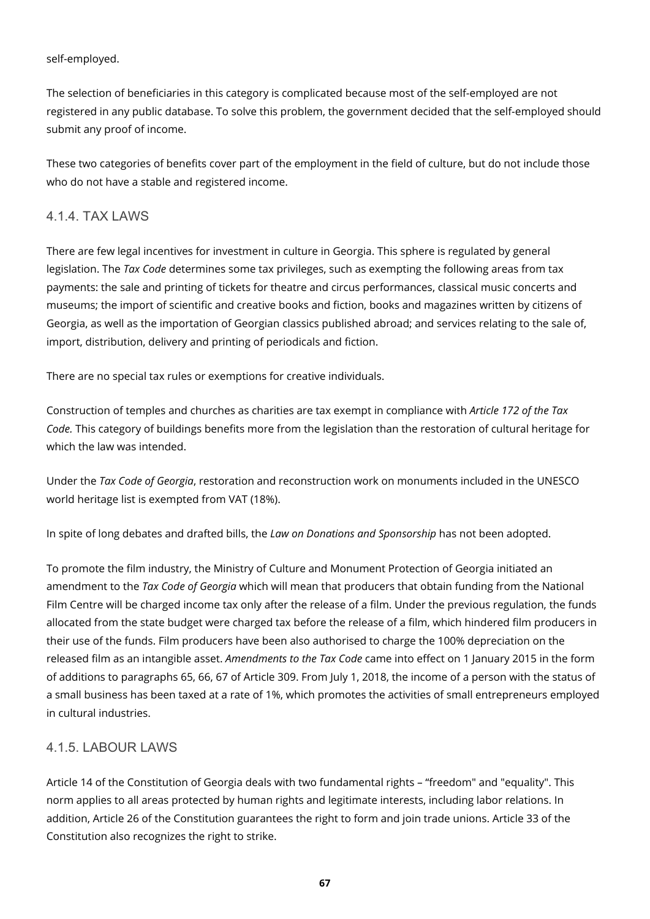#### self-employed.

The selection of beneficiaries in this category is complicated because most of the self-employed are not registered in any public database. To solve this problem, the government decided that the self-employed should submit any proof of income.

These two categories of benefits cover part of the employment in the field of culture, but do not include those who do not have a stable and registered income.

#### 4.1.4. TAX LAWS

There are few legal incentives for investment in culture in Georgia. This sphere is regulated by general legislation. The *Tax Code* determines some tax privileges, such as exempting the following areas from tax payments: the sale and printing of tickets for theatre and circus performances, classical music concerts and museums; the import of scientific and creative books and fiction, books and magazines written by citizens of Georgia, as well as the importation of Georgian classics published abroad; and services relating to the sale of, import, distribution, delivery and printing of periodicals and fiction.

There are no special tax rules or exemptions for creative individuals.

Construction of temples and churches as charities are tax exempt in compliance with *Article 172 of the Tax Code.* This category of buildings benefits more from the legislation than the restoration of cultural heritage for which the law was intended.

Under the *Tax Code of Georgia*, restoration and reconstruction work on monuments included in the UNESCO world heritage list is exempted from VAT (18%).

In spite of long debates and drafted bills, the *Law on Donations and Sponsorship* has not been adopted.

To promote the film industry, the Ministry of Culture and Monument Protection of Georgia initiated an amendment to the *Tax Code of Georgia* which will mean that producers that obtain funding from the National Film Centre will be charged income tax only after the release of a film. Under the previous regulation, the funds allocated from the state budget were charged tax before the release of a film, which hindered film producers in their use of the funds. Film producers have been also authorised to charge the 100% depreciation on the released film as an intangible asset. *Amendments to the Tax Code* came into effect on 1 January 2015 in the form of additions to paragraphs 65, 66, 67 of Article 309. From July 1, 2018, the income of a person with the status of a small business has been taxed at a rate of 1%, which promotes the activities of small entrepreneurs employed in cultural industries.

#### 4.1.5. LABOUR LAWS

Article 14 of the Constitution of Georgia deals with two fundamental rights – "freedom" and "equality". This norm applies to all areas protected by human rights and legitimate interests, including labor relations. In addition, Article 26 of the Constitution guarantees the right to form and join trade unions. Article 33 of the Constitution also recognizes the right to strike.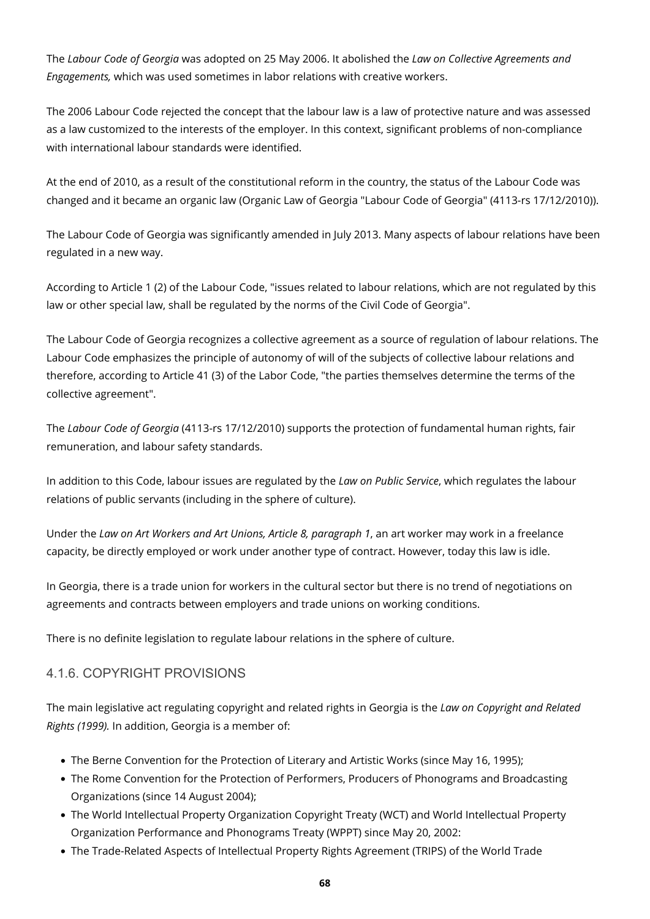The *Labour Code of Georgia* was adopted on 25 May 2006. It abolished the *Law on Collective Agreements and Engagements,* which was used sometimes in labor relations with creative workers.

The 2006 Labour Code rejected the concept that the labour law is a law of protective nature and was assessed as a law customized to the interests of the employer. In this context, significant problems of non-compliance with international labour standards were identified.

At the end of 2010, as a result of the constitutional reform in the country, the status of the Labour Code was changed and it became an organic law (Organic Law of Georgia "Labour Code of Georgia" (4113-rs 17/12/2010)).

The Labour Code of Georgia was significantly amended in July 2013. Many aspects of labour relations have been regulated in a new way.

According to Article 1 (2) of the Labour Code, "issues related to labour relations, which are not regulated by this law or other special law, shall be regulated by the norms of the Civil Code of Georgia".

The Labour Code of Georgia recognizes a collective agreement as a source of regulation of labour relations. The Labour Code emphasizes the principle of autonomy of will of the subjects of collective labour relations and therefore, according to Article 41 (3) of the Labor Code, "the parties themselves determine the terms of the collective agreement".

The *Labour Code of Georgia* (4113-rs 17/12/2010) supports the protection of fundamental human rights, fair remuneration, and labour safety standards.

In addition to this Code, labour issues are regulated by the *Law on Public Service*, which regulates the labour relations of public servants (including in the sphere of culture).

Under the *Law on Art Workers and Art Unions, Article 8, paragraph 1*, an art worker may work in a freelance capacity, be directly employed or work under another type of contract. However, today this law is idle.

In Georgia, there is a trade union for workers in the cultural sector but there is no trend of negotiations on agreements and contracts between employers and trade unions on working conditions.

There is no definite legislation to regulate labour relations in the sphere of culture.

#### 4.1.6. COPYRIGHT PROVISIONS

The main legislative act regulating copyright and related rights in Georgia is the *Law on Copyright and Related Rights (1999).* In addition, Georgia is a member of:

- The Berne Convention for the Protection of Literary and Artistic Works (since May 16, 1995);
- The Rome Convention for the Protection of Performers, Producers of Phonograms and Broadcasting Organizations (since 14 August 2004);
- The World Intellectual Property Organization Copyright Treaty (WCT) and World Intellectual Property Organization Performance and Phonograms Treaty (WPPT) since May 20, 2002:
- The Trade-Related Aspects of Intellectual Property Rights Agreement (TRIPS) of the World Trade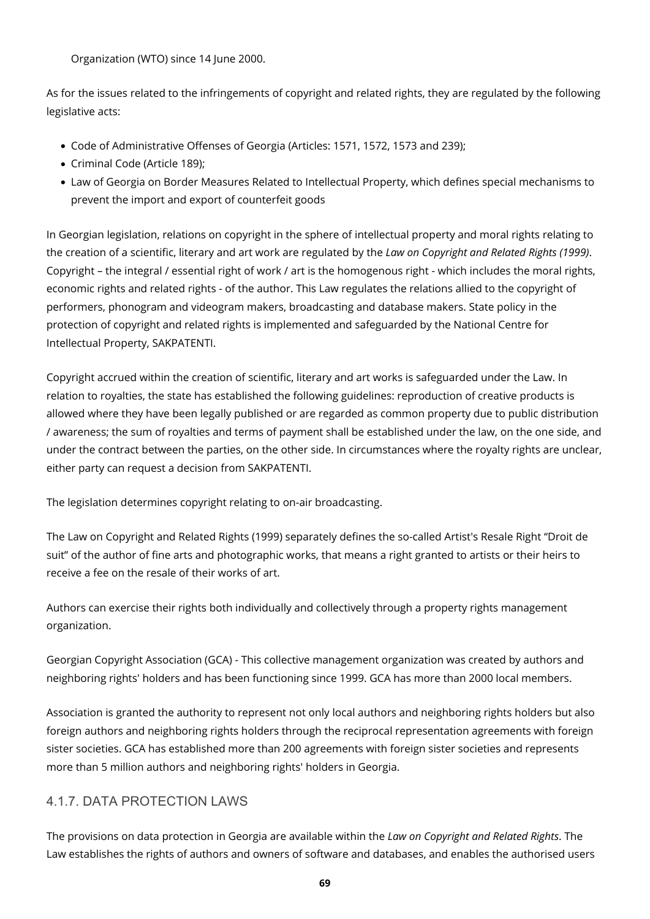Organization (WTO) since 14 June 2000.

As for the issues related to the infringements of copyright and related rights, they are regulated by the following legislative acts:

- Code of Administrative Offenses of Georgia (Articles: 1571, 1572, 1573 and 239);
- Criminal Code (Article 189);
- Law of Georgia on Border Measures Related to Intellectual Property, which defines special mechanisms to prevent the import and export of counterfeit goods

In Georgian legislation, relations on copyright in the sphere of intellectual property and moral rights relating to the creation of a scientific, literary and art work are regulated by the *Law on Copyright and Related Rights (1999)*. Copyright – the integral / essential right of work / art is the homogenous right - which includes the moral rights, economic rights and related rights - of the author. This Law regulates the relations allied to the copyright of performers, phonogram and videogram makers, broadcasting and database makers. State policy in the protection of copyright and related rights is implemented and safeguarded by the National Centre for Intellectual Property, SAKPATENTI.

Copyright accrued within the creation of scientific, literary and art works is safeguarded under the Law. In relation to royalties, the state has established the following guidelines: reproduction of creative products is allowed where they have been legally published or are regarded as common property due to public distribution / awareness; the sum of royalties and terms of payment shall be established under the law, on the one side, and under the contract between the parties, on the other side. In circumstances where the royalty rights are unclear, either party can request a decision from SAKPATENTI.

The legislation determines copyright relating to on-air broadcasting.

The Law on Copyright and Related Rights (1999) separately defines the so-called Artist's Resale Right "Droit de suit" of the author of fine arts and photographic works, that means a right granted to artists or their heirs to receive a fee on the resale of their works of art.

Authors can exercise their rights both individually and collectively through a property rights management organization.

Georgian Copyright Association (GCA) - This collective management organization was created by authors and neighboring rights' holders and has been functioning since 1999. GCA has more than 2000 local members.

Association is granted the authority to represent not only local authors and neighboring rights holders but also foreign authors and neighboring rights holders through the reciprocal representation agreements with foreign sister societies. GCA has established more than 200 agreements with foreign sister societies and represents more than 5 million authors and neighboring rights' holders in Georgia.

### 4.1.7. DATA PROTECTION LAWS

The provisions on data protection in Georgia are available within the *Law on Copyright and Related Rights*. The Law establishes the rights of authors and owners of software and databases, and enables the authorised users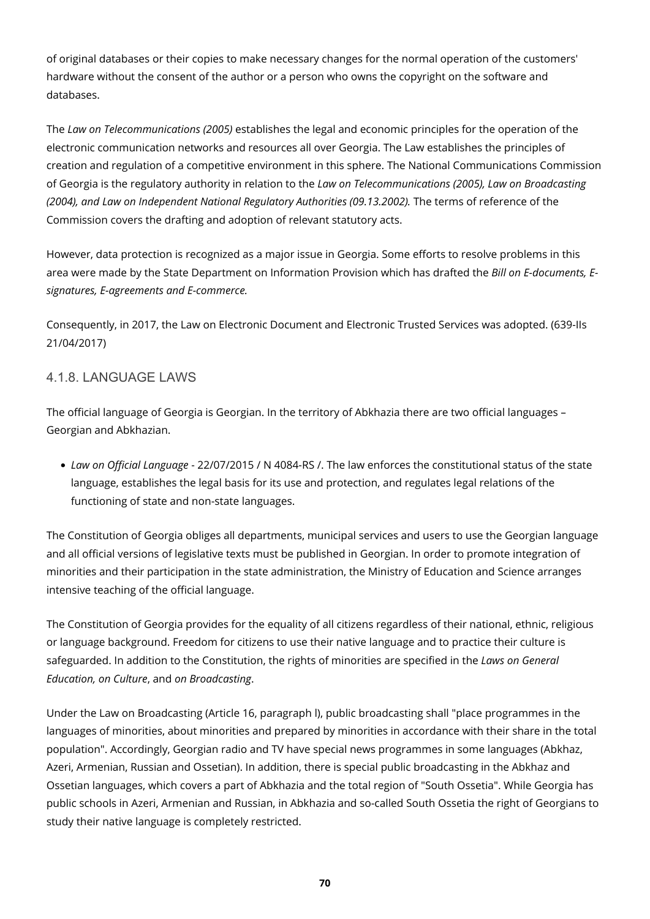of original databases or their copies to make necessary changes for the normal operation of the customers' hardware without the consent of the author or a person who owns the copyright on the software and databases.

The *Law on Telecommunications (2005)* establishes the legal and economic principles for the operation of the electronic communication networks and resources all over Georgia. The Law establishes the principles of creation and regulation of a competitive environment in this sphere. The National Communications Commission of Georgia is the regulatory authority in relation to the *Law on Telecommunications (2005), Law on Broadcasting (2004), and Law on Independent National Regulatory Authorities (09.13.2002).* The terms of reference of the Commission covers the drafting and adoption of relevant statutory acts.

However, data protection is recognized as a major issue in Georgia. Some efforts to resolve problems in this area were made by the State Department on Information Provision which has drafted the *Bill on E-documents, Esignatures, E-agreements and E-commerce.* 

Consequently, in 2017, the Law on Electronic Document and Electronic Trusted Services was adopted. (639-IIs 21/04/2017)

#### 4.1.8. LANGUAGE LAWS

The official language of Georgia is Georgian. In the territory of Abkhazia there are two official languages – Georgian and Abkhazian.

*Law on Official Language* - 22/07/2015 / N 4084-RS /. The law enforces the constitutional status of the state language, establishes the legal basis for its use and protection, and regulates legal relations of the functioning of state and non-state languages.

The Constitution of Georgia obliges all departments, municipal services and users to use the Georgian language and all official versions of legislative texts must be published in Georgian. In order to promote integration of minorities and their participation in the state administration, the Ministry of Education and Science arranges intensive teaching of the official language.

The Constitution of Georgia provides for the equality of all citizens regardless of their national, ethnic, religious or language background. Freedom for citizens to use their native language and to practice their culture is safeguarded. In addition to the Constitution, the rights of minorities are specified in the *Laws on General Education, on Culture*, and *on Broadcasting*.

Under the Law on Broadcasting (Article 16, paragraph l), public broadcasting shall "place programmes in the languages of minorities, about minorities and prepared by minorities in accordance with their share in the total population". Accordingly, Georgian radio and TV have special news programmes in some languages (Abkhaz, Azeri, Armenian, Russian and Ossetian). In addition, there is special public broadcasting in the Abkhaz and Ossetian languages, which covers a part of Abkhazia and the total region of "South Ossetia". While Georgia has public schools in Azeri, Armenian and Russian, in Abkhazia and so-called South Ossetia the right of Georgians to study their native language is completely restricted.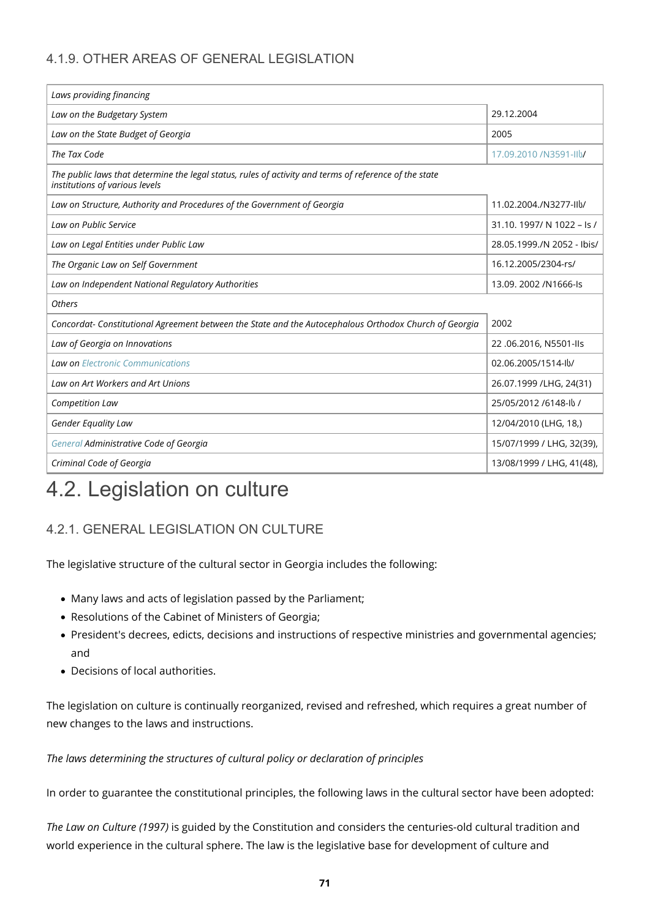### 4.1.9. OTHER AREAS OF GENERAL LEGISLATION

| Laws providing financing                                                                                                                 |                            |  |  |  |  |  |
|------------------------------------------------------------------------------------------------------------------------------------------|----------------------------|--|--|--|--|--|
| Law on the Budgetary System                                                                                                              | 29.12.2004                 |  |  |  |  |  |
| Law on the State Budget of Georgia                                                                                                       | 2005                       |  |  |  |  |  |
| The Tax Code                                                                                                                             | 17.09.2010 /N3591-IIV      |  |  |  |  |  |
| The public laws that determine the legal status, rules of activity and terms of reference of the state<br>institutions of various levels |                            |  |  |  |  |  |
| Law on Structure, Authority and Procedures of the Government of Georgia                                                                  | 11.02.2004./N3277-IIV/     |  |  |  |  |  |
| Law on Public Service                                                                                                                    | 31.10. 1997/ N 1022 - Is / |  |  |  |  |  |
| Law on Legal Entities under Public Law                                                                                                   | 28.05.1999./N 2052 - Ibis/ |  |  |  |  |  |
| The Organic Law on Self Government                                                                                                       | 16.12.2005/2304-rs/        |  |  |  |  |  |
| Law on Independent National Regulatory Authorities                                                                                       | 13.09. 2002 / N1666-Is     |  |  |  |  |  |
| <b>Others</b>                                                                                                                            |                            |  |  |  |  |  |
| Concordat- Constitutional Agreement between the State and the Autocephalous Orthodox Church of Georgia                                   | 2002                       |  |  |  |  |  |
| Law of Georgia on Innovations                                                                                                            | 22.06.2016, N5501-IIs      |  |  |  |  |  |
| <b>Law on Electronic Communications</b>                                                                                                  | 02.06.2005/1514-lb/        |  |  |  |  |  |
| Law on Art Workers and Art Unions                                                                                                        | 26.07.1999 / LHG, 24(31)   |  |  |  |  |  |
| Competition Law                                                                                                                          | 25/05/2012 /6148-ll /      |  |  |  |  |  |
| Gender Equality Law                                                                                                                      | 12/04/2010 (LHG, 18,)      |  |  |  |  |  |
| General Administrative Code of Georgia                                                                                                   | 15/07/1999 / LHG, 32(39),  |  |  |  |  |  |
| Criminal Code of Georgia                                                                                                                 | 13/08/1999 / LHG, 41(48),  |  |  |  |  |  |

### 4.2. Legislation on culture

### 4.2.1. GENERAL LEGISLATION ON CULTURE

The legislative structure of the cultural sector in Georgia includes the following:

- Many laws and acts of legislation passed by the Parliament;
- Resolutions of the Cabinet of Ministers of Georgia;
- President's decrees, edicts, decisions and instructions of respective ministries and governmental agencies; and
- Decisions of local authorities.

The legislation on culture is continually reorganized, revised and refreshed, which requires a great number of new changes to the laws and instructions.

*The laws determining the structures of cultural policy or declaration of principles*

In order to guarantee the constitutional principles, the following laws in the cultural sector have been adopted:

*The Law on Culture (1997)* is guided by the Constitution and considers the centuries-old cultural tradition and world experience in the cultural sphere. The law is the legislative base for development of culture and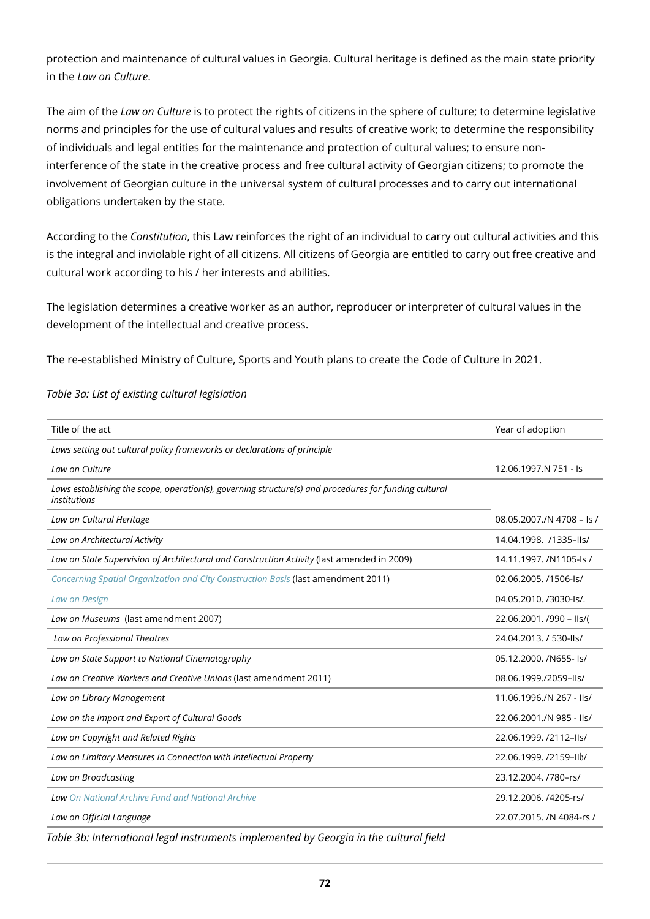protection and maintenance of cultural values in Georgia. Cultural heritage is defined as the main state priority in the *Law on Culture*.

The aim of the *Law on Culture* is to protect the rights of citizens in the sphere of culture; to determine legislative norms and principles for the use of cultural values and results of creative work; to determine the responsibility of individuals and legal entities for the maintenance and protection of cultural values; to ensure noninterference of the state in the creative process and free cultural activity of Georgian citizens; to promote the involvement of Georgian culture in the universal system of cultural processes and to carry out international obligations undertaken by the state.

According to the *Constitution*, this Law reinforces the right of an individual to carry out cultural activities and this is the integral and inviolable right of all citizens. All citizens of Georgia are entitled to carry out free creative and cultural work according to his / her interests and abilities.

The legislation determines a creative worker as an author, reproducer or interpreter of cultural values in the development of the intellectual and creative process.

The re-established Ministry of Culture, Sports and Youth plans to create the Code of Culture in 2021.

| Title of the act                                                                                                             | Year of adoption          |  |  |  |  |  |
|------------------------------------------------------------------------------------------------------------------------------|---------------------------|--|--|--|--|--|
| Laws setting out cultural policy frameworks or declarations of principle                                                     |                           |  |  |  |  |  |
| Law on Culture                                                                                                               | 12.06.1997.N 751 - Is     |  |  |  |  |  |
| Laws establishing the scope, operation(s), governing structure(s) and procedures for funding cultural<br><i>institutions</i> |                           |  |  |  |  |  |
| Law on Cultural Heritage                                                                                                     | 08.05.2007./N 4708 - Is / |  |  |  |  |  |
| Law on Architectural Activity                                                                                                | 14.04.1998. /1335-lls/    |  |  |  |  |  |
| Law on State Supervision of Architectural and Construction Activity (last amended in 2009)                                   | 14.11.1997, /N1105-ls /   |  |  |  |  |  |
| Concerning Spatial Organization and City Construction Basis (last amendment 2011)                                            | 02.06.2005. /1506-ls/     |  |  |  |  |  |
| Law on Design                                                                                                                | 04.05.2010. /3030-ls/.    |  |  |  |  |  |
| Law on Museums (last amendment 2007)                                                                                         | 22.06.2001. /990 - IIs/(  |  |  |  |  |  |
| Law on Professional Theatres                                                                                                 | 24.04.2013. / 530-lls/    |  |  |  |  |  |
| Law on State Support to National Cinematography                                                                              | 05.12.2000. /N655-1s/     |  |  |  |  |  |
| Law on Creative Workers and Creative Unions (last amendment 2011)                                                            | 08.06.1999./2059-lls/     |  |  |  |  |  |
| Law on Library Management                                                                                                    | 11.06.1996./N 267 - IIs/  |  |  |  |  |  |
| Law on the Import and Export of Cultural Goods                                                                               | 22.06.2001./N 985 - IIs/  |  |  |  |  |  |
| Law on Copyright and Related Rights                                                                                          | 22.06.1999. /2112-lls/    |  |  |  |  |  |
| Law on Limitary Measures in Connection with Intellectual Property                                                            | 22.06.1999. /2159-IIV     |  |  |  |  |  |
| Law on Broadcasting                                                                                                          | 23.12.2004. /780-rs/      |  |  |  |  |  |
| <b>Law</b> On National Archive Fund and National Archive                                                                     | 29.12.2006. /4205-rs/     |  |  |  |  |  |
| Law on Official Language                                                                                                     | 22.07.2015. /N 4084-rs /  |  |  |  |  |  |

*Table 3a: List of existing cultural legislation*

*Table 3b: International legal instruments implemented by Georgia in the cultural field*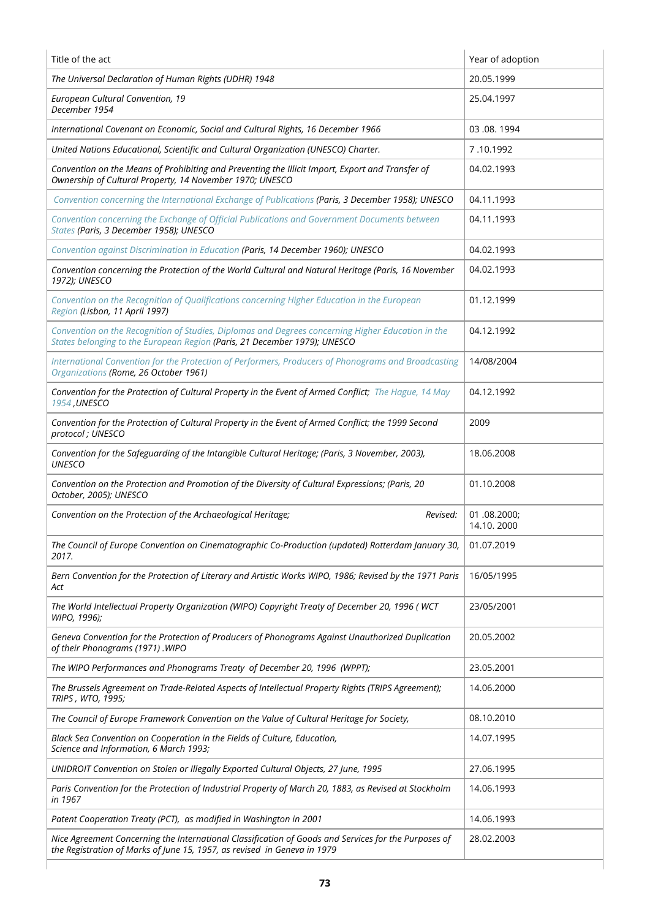| Title of the act                                                                                                                                                                 | Year of adoption          |
|----------------------------------------------------------------------------------------------------------------------------------------------------------------------------------|---------------------------|
| The Universal Declaration of Human Rights (UDHR) 1948                                                                                                                            | 20.05.1999                |
| European Cultural Convention, 19<br>December 1954                                                                                                                                | 25.04.1997                |
| International Covenant on Economic, Social and Cultural Rights, 16 December 1966                                                                                                 | 03.08.1994                |
| United Nations Educational, Scientific and Cultural Organization (UNESCO) Charter.                                                                                               | 7.10.1992                 |
| Convention on the Means of Prohibiting and Preventing the Illicit Import, Export and Transfer of<br>Ownership of Cultural Property, 14 November 1970; UNESCO                     | 04.02.1993                |
| Convention concerning the International Exchange of Publications (Paris, 3 December 1958); UNESCO                                                                                | 04.11.1993                |
| Convention concerning the Exchange of Official Publications and Government Documents between<br>States (Paris, 3 December 1958); UNESCO                                          | 04.11.1993                |
| Convention against Discrimination in Education (Paris, 14 December 1960); UNESCO                                                                                                 | 04.02.1993                |
| Convention concerning the Protection of the World Cultural and Natural Heritage (Paris, 16 November<br>1972); UNESCO                                                             | 04.02.1993                |
| Convention on the Recognition of Qualifications concerning Higher Education in the European<br>Region (Lisbon, 11 April 1997)                                                    | 01.12.1999                |
| Convention on the Recognition of Studies, Diplomas and Degrees concerning Higher Education in the<br>States belonging to the European Region (Paris, 21 December 1979); UNESCO   | 04.12.1992                |
| International Convention for the Protection of Performers, Producers of Phonograms and Broadcasting<br>Organizations (Rome, 26 October 1961)                                     | 14/08/2004                |
| Convention for the Protection of Cultural Property in the Event of Armed Conflict; The Hague, 14 May<br>1954, UNESCO                                                             | 04.12.1992                |
| Convention for the Protection of Cultural Property in the Event of Armed Conflict; the 1999 Second<br>protocol; UNESCO                                                           | 2009                      |
| Convention for the Safeguarding of the Intangible Cultural Heritage; (Paris, 3 November, 2003),<br><b>UNESCO</b>                                                                 | 18.06.2008                |
| Convention on the Protection and Promotion of the Diversity of Cultural Expressions; (Paris, 20<br>October, 2005); UNESCO                                                        | 01.10.2008                |
| Convention on the Protection of the Archaeological Heritage;<br>Revised:                                                                                                         | 01.08.2000;<br>14.10.2000 |
| The Council of Europe Convention on Cinematographic Co-Production (updated) Rotterdam January 30,<br>2017.                                                                       | 01.07.2019                |
| Bern Convention for the Protection of Literary and Artistic Works WIPO, 1986; Revised by the 1971 Paris<br>Act                                                                   | 16/05/1995                |
| The World Intellectual Property Organization (WIPO) Copyright Treaty of December 20, 1996 (WCT<br>WIPO, 1996);                                                                   | 23/05/2001                |
| Geneva Convention for the Protection of Producers of Phonograms Against Unauthorized Duplication<br>of their Phonograms (1971). WIPO                                             | 20.05.2002                |
| The WIPO Performances and Phonograms Treaty of December 20, 1996 (WPPT);                                                                                                         | 23.05.2001                |
| The Brussels Agreement on Trade-Related Aspects of Intellectual Property Rights (TRIPS Agreement);<br>TRIPS, WTO, 1995;                                                          | 14.06.2000                |
| The Council of Europe Framework Convention on the Value of Cultural Heritage for Society,                                                                                        | 08.10.2010                |
| Black Sea Convention on Cooperation in the Fields of Culture, Education,<br>Science and Information, 6 March 1993;                                                               | 14.07.1995                |
| UNIDROIT Convention on Stolen or Illegally Exported Cultural Objects, 27 June, 1995                                                                                              | 27.06.1995                |
| Paris Convention for the Protection of Industrial Property of March 20, 1883, as Revised at Stockholm<br>in 1967                                                                 | 14.06.1993                |
| Patent Cooperation Treaty (PCT), as modified in Washington in 2001                                                                                                               | 14.06.1993                |
| Nice Agreement Concerning the International Classification of Goods and Services for the Purposes of<br>the Registration of Marks of June 15, 1957, as revised in Geneva in 1979 | 28.02.2003                |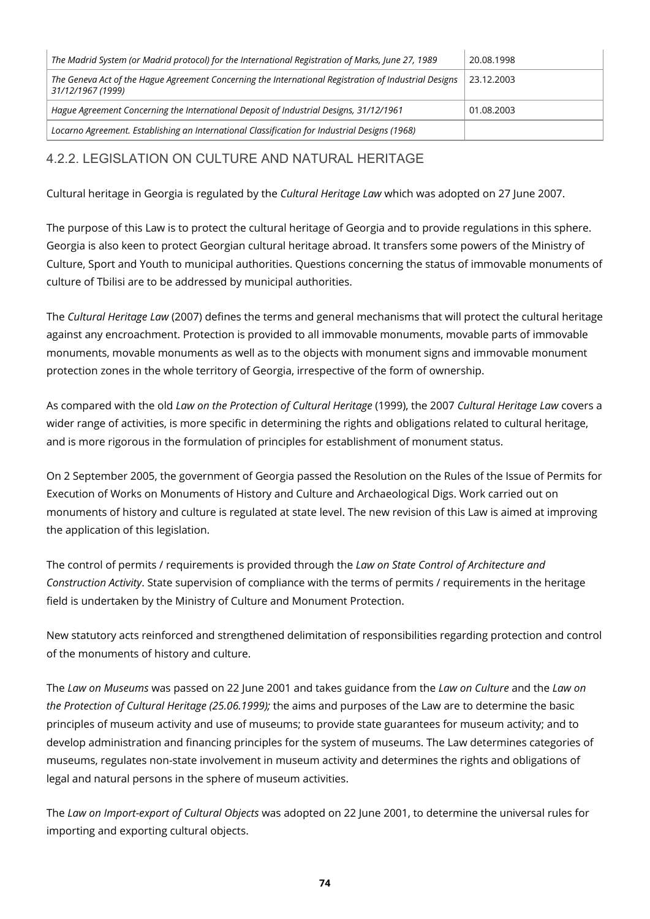| The Madrid System (or Madrid protocol) for the International Registration of Marks, June 27, 1989                          | 20.08.1998 |
|----------------------------------------------------------------------------------------------------------------------------|------------|
| The Geneva Act of the Hague Agreement Concerning the International Registration of Industrial Designs<br>31/12/1967 (1999) | 23.12.2003 |
| Hague Agreement Concerning the International Deposit of Industrial Designs, 31/12/1961                                     | 01.08.2003 |
| Locarno Agreement. Establishing an International Classification for Industrial Designs (1968)                              |            |

### 4.2.2. LEGISLATION ON CULTURE AND NATURAL HERITAGE

Cultural heritage in Georgia is regulated by the *Cultural Heritage Law* which was adopted on 27 June 2007.

The purpose of this Law is to protect the cultural heritage of Georgia and to provide regulations in this sphere. Georgia is also keen to protect Georgian cultural heritage abroad. It transfers some powers of the Ministry of Culture, Sport and Youth to municipal authorities. Questions concerning the status of immovable monuments of culture of Tbilisi are to be addressed by municipal authorities.

The *Cultural Heritage Law* (2007) defines the terms and general mechanisms that will protect the cultural heritage against any encroachment. Protection is provided to all immovable monuments, movable parts of immovable monuments, movable monuments as well as to the objects with monument signs and immovable monument protection zones in the whole territory of Georgia, irrespective of the form of ownership.

As compared with the old *Law on the Protection of Cultural Heritage* (1999), the 2007 *Cultural Heritage Law* covers a wider range of activities, is more specific in determining the rights and obligations related to cultural heritage, and is more rigorous in the formulation of principles for establishment of monument status.

On 2 September 2005, the government of Georgia passed the Resolution on the Rules of the Issue of Permits for Execution of Works on Monuments of History and Culture and Archaeological Digs. Work carried out on monuments of history and culture is regulated at state level. The new revision of this Law is aimed at improving the application of this legislation.

The control of permits / requirements is provided through the *Law on State Control of Architecture and Construction Activity*. State supervision of compliance with the terms of permits / requirements in the heritage field is undertaken by the Ministry of Culture and Monument Protection.

New statutory acts reinforced and strengthened delimitation of responsibilities regarding protection and control of the monuments of history and culture.

The *Law on Museums* was passed on 22 June 2001 and takes guidance from the *Law on Culture* and the *Law on the Protection of Cultural Heritage (25.06.1999);* the aims and purposes of the Law are to determine the basic principles of museum activity and use of museums; to provide state guarantees for museum activity; and to develop administration and financing principles for the system of museums. The Law determines categories of museums, regulates non-state involvement in museum activity and determines the rights and obligations of legal and natural persons in the sphere of museum activities.

The *Law on Import-export of Cultural Objects* was adopted on 22 June 2001, to determine the universal rules for importing and exporting cultural objects.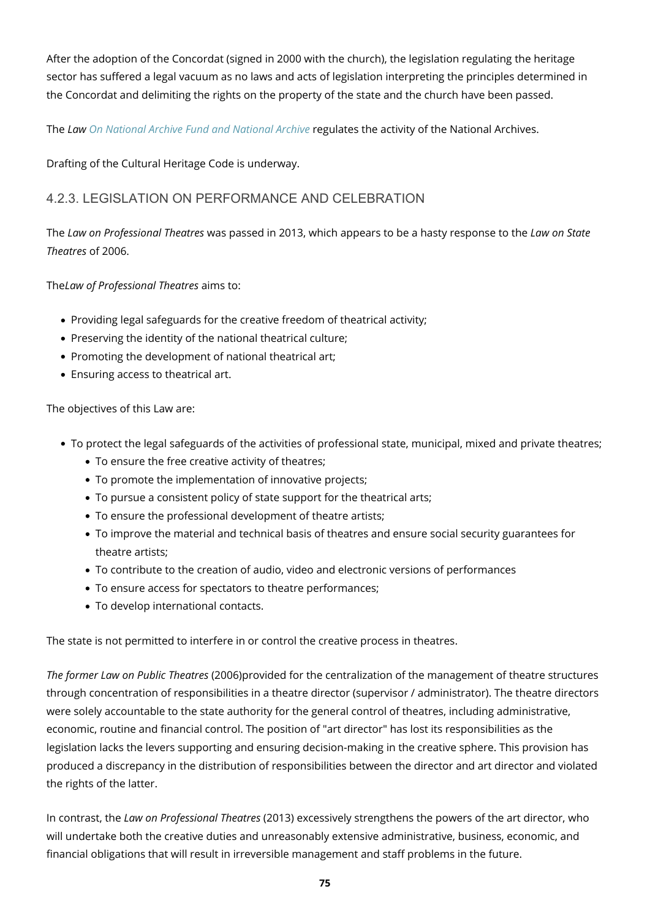After the adoption of the Concordat (signed in 2000 with the church), the legislation regulating the heritage sector has suffered a legal vacuum as no laws and acts of legislation interpreting the principles determined in the Concordat and delimiting the rights on the property of the state and the church have been passed.

The *Law [On National Archive Fund and National Archive](http://www.parliament.ge/index.php?lang_id=GEO&sec_id=69&kan_det=det&kan_id=2211)* regulates the activity of the National Archives.

Drafting of the Cultural Heritage Code is underway.

#### 4.2.3. LEGISLATION ON PERFORMANCE AND CELEBRATION

The *Law on Professional Theatres* was passed in 2013, which appears to be a hasty response to the *Law on State Theatres* of 2006.

The*Law of Professional Theatres* aims to:

- Providing legal safeguards for the creative freedom of theatrical activity;
- Preserving the identity of the national theatrical culture;
- Promoting the development of national theatrical art;
- Ensuring access to theatrical art.

The objectives of this Law are:

- To protect the legal safeguards of the activities of professional state, municipal, mixed and private theatres;
	- To ensure the free creative activity of theatres;
	- To promote the implementation of innovative projects;
	- To pursue a consistent policy of state support for the theatrical arts;
	- To ensure the professional development of theatre artists;
	- To improve the material and technical basis of theatres and ensure social security guarantees for theatre artists;
	- To contribute to the creation of audio, video and electronic versions of performances
	- To ensure access for spectators to theatre performances;
	- To develop international contacts.

The state is not permitted to interfere in or control the creative process in theatres.

*The former Law on Public Theatres* (2006)provided for the centralization of the management of theatre structures through concentration of responsibilities in a theatre director (supervisor / administrator). The theatre directors were solely accountable to the state authority for the general control of theatres, including administrative, economic, routine and financial control. The position of "art director" has lost its responsibilities as the legislation lacks the levers supporting and ensuring decision-making in the creative sphere. This provision has produced a discrepancy in the distribution of responsibilities between the director and art director and violated the rights of the latter.

In contrast, the *Law on Professional Theatres* (2013) excessively strengthens the powers of the art director, who will undertake both the creative duties and unreasonably extensive administrative, business, economic, and financial obligations that will result in irreversible management and staff problems in the future.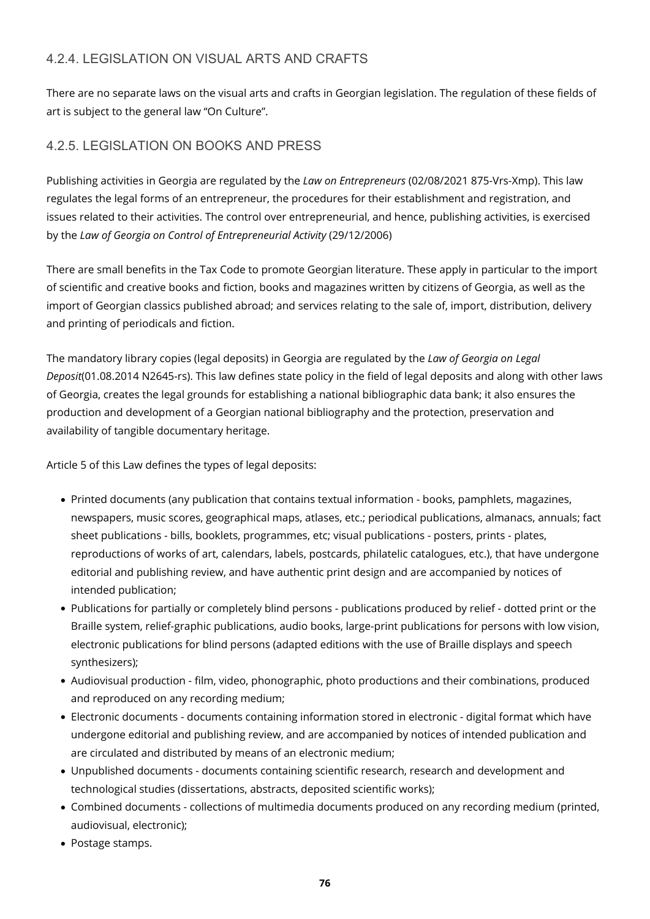#### 4.2.4. LEGISLATION ON VISUAL ARTS AND CRAFTS

There are no separate laws on the visual arts and crafts in Georgian legislation. The regulation of these fields of art is subject to the general law "On Culture".

#### 4.2.5. LEGISLATION ON BOOKS AND PRESS

Publishing activities in Georgia are regulated by the *Law on Entrepreneurs* (02/08/2021 875-Vrs-Xmp). This law regulates the legal forms of an entrepreneur, the procedures for their establishment and registration, and issues related to their activities. The control over entrepreneurial, and hence, publishing activities, is exercised by the *Law of Georgia on Control of Entrepreneurial Activity* (29/12/2006)

There are small benefits in the Tax Code to promote Georgian literature. These apply in particular to the import of scientific and creative books and fiction, books and magazines written by citizens of Georgia, as well as the import of Georgian classics published abroad; and services relating to the sale of, import, distribution, delivery and printing of periodicals and fiction.

The mandatory library copies (legal deposits) in Georgia are regulated by the *Law of Georgia on Legal Deposit*(01.08.2014 N2645-rs). This law defines state policy in the field of legal deposits and along with other laws of Georgia, creates the legal grounds for establishing a national bibliographic data bank; it also ensures the production and development of a Georgian national bibliography and the protection, preservation and availability of tangible documentary heritage.

Article 5 of this Law defines the types of legal deposits:

- Printed documents (any publication that contains textual information books, pamphlets, magazines, newspapers, music scores, geographical maps, atlases, etc.; periodical publications, almanacs, annuals; fact sheet publications - bills, booklets, programmes, etc; visual publications - posters, prints - plates, reproductions of works of art, calendars, labels, postcards, philatelic catalogues, etc.), that have undergone editorial and publishing review, and have authentic print design and are accompanied by notices of intended publication;
- Publications for partially or completely blind persons publications produced by relief dotted print or the Braille system, relief-graphic publications, audio books, large-print publications for persons with low vision, electronic publications for blind persons (adapted editions with the use of Braille displays and speech synthesizers);
- Audiovisual production film, video, phonographic, photo productions and their combinations, produced and reproduced on any recording medium;
- Electronic documents documents containing information stored in electronic digital format which have undergone editorial and publishing review, and are accompanied by notices of intended publication and are circulated and distributed by means of an electronic medium;
- Unpublished documents documents containing scientific research, research and development and technological studies (dissertations, abstracts, deposited scientific works);
- Combined documents collections of multimedia documents produced on any recording medium (printed, audiovisual, electronic);
- Postage stamps.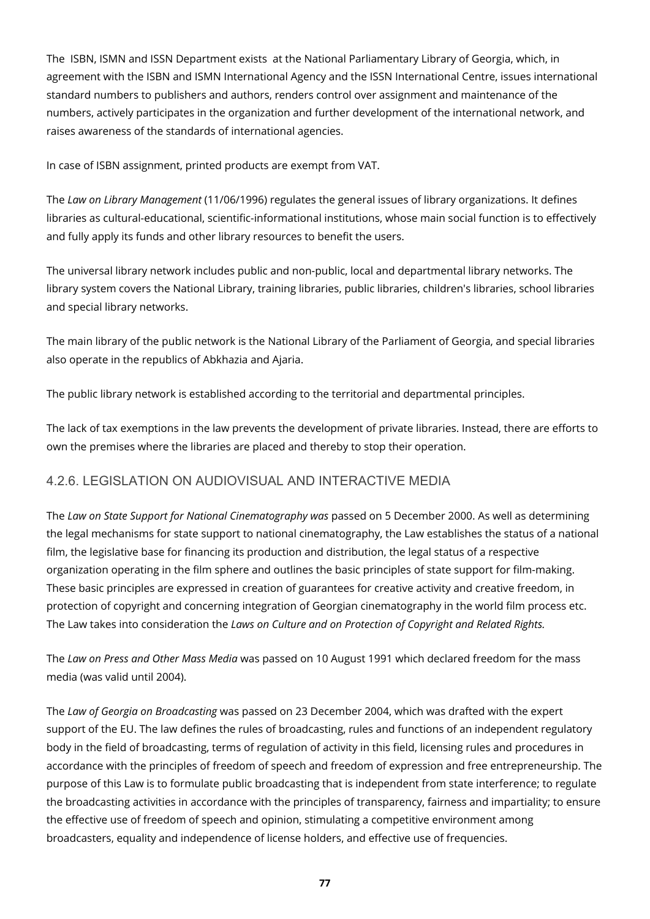The ISBN, ISMN and ISSN Department exists at the National Parliamentary Library of Georgia, which, in agreement with the ISBN and ISMN International Agency and the ISSN International Centre, issues international standard numbers to publishers and authors, renders control over assignment and maintenance of the numbers, actively participates in the organization and further development of the international network, and raises awareness of the standards of international agencies.

In case of ISBN assignment, printed products are exempt from VAT.

The *Law on Library Management* (11/06/1996) regulates the general issues of library organizations. It defines libraries as cultural-educational, scientific-informational institutions, whose main social function is to effectively and fully apply its funds and other library resources to benefit the users.

The universal library network includes public and non-public, local and departmental library networks. The library system covers the National Library, training libraries, public libraries, children's libraries, school libraries and special library networks.

The main library of the public network is the National Library of the Parliament of Georgia, and special libraries also operate in the republics of Abkhazia and Ajaria.

The public library network is established according to the territorial and departmental principles.

The lack of tax exemptions in the law prevents the development of private libraries. Instead, there are efforts to own the premises where the libraries are placed and thereby to stop their operation.

#### 4.2.6. LEGISLATION ON AUDIOVISUAL AND INTERACTIVE MEDIA

The *Law on State Support for National Cinematography was* passed on 5 December 2000. As well as determining the legal mechanisms for state support to national cinematography, the Law establishes the status of a national film, the legislative base for financing its production and distribution, the legal status of a respective organization operating in the film sphere and outlines the basic principles of state support for film-making. These basic principles are expressed in creation of guarantees for creative activity and creative freedom, in protection of copyright and concerning integration of Georgian cinematography in the world film process etc. The Law takes into consideration the *Laws on Culture and on Protection of Copyright and Related Rights.*

The *Law on Press and Other Mass Media* was passed on 10 August 1991 which declared freedom for the mass media (was valid until 2004).

The *Law of Georgia on Broadcasting* was passed on 23 December 2004, which was drafted with the expert support of the EU. The law defines the rules of broadcasting, rules and functions of an independent regulatory body in the field of broadcasting, terms of regulation of activity in this field, licensing rules and procedures in accordance with the principles of freedom of speech and freedom of expression and free entrepreneurship. The purpose of this Law is to formulate public broadcasting that is independent from state interference; to regulate the broadcasting activities in accordance with the principles of transparency, fairness and impartiality; to ensure the effective use of freedom of speech and opinion, stimulating a competitive environment among broadcasters, equality and independence of license holders, and effective use of frequencies.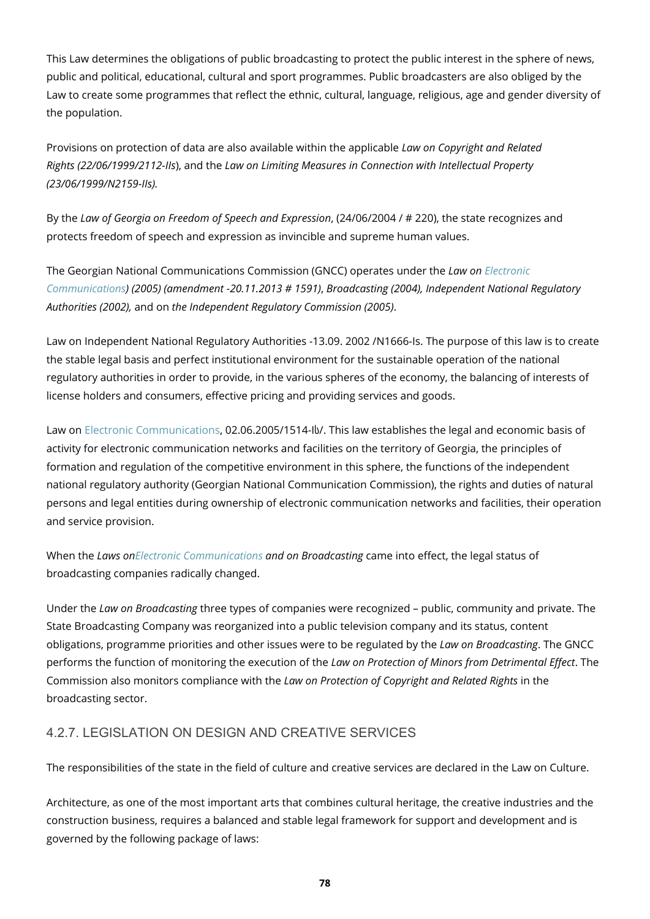This Law determines the obligations of public broadcasting to protect the public interest in the sphere of news, public and political, educational, cultural and sport programmes. Public broadcasters are also obliged by the Law to create some programmes that reflect the ethnic, cultural, language, religious, age and gender diversity of the population.

Provisions on protection of data are also available within the applicable *Law on Copyright and Related Rights (22/06/1999/2112-IIs*), and the *Law on Limiting Measures in Connection with Intellectual Property (23/06/1999/N2159-IIs).*

By the *Law of Georgia on Freedom of Speech and Expression*, (24/06/2004 / # 220), the state recognizes and protects freedom of speech and expression as invincible and supreme human values.

The Georgian National Communications Commission (GNCC) operates under the *Law on [Electronic](http://www.parliament.ge/index.php?lang_id=GEO&sec_id=69&kan_det=det&kan_id=371) [Communications](http://www.parliament.ge/index.php?lang_id=GEO&sec_id=69&kan_det=det&kan_id=371)) (2005) (amendment -20.11.2013 # 1591)*, *Broadcasting (2004), Independent National Regulatory Authorities (2002),* and on *the Independent Regulatory Commission (2005)*.

Law on Independent National Regulatory Authorities *-*13.09. 2002 /N1666-Is. The purpose of this law is to create the stable legal basis and perfect institutional environment for the sustainable operation of the national regulatory authorities in order to provide, in the various spheres of the economy, the balancing of interests of license holders and consumers, effective pricing and providing services and goods.

Law on [Electronic Communications,](http://www.parliament.ge/index.php?lang_id=GEO&sec_id=69&kan_det=det&kan_id=371) 02.06.2005/1514-Iს/. This law establishes the legal and economic basis of activity for electronic communication networks and facilities on the territory of Georgia, the principles of formation and regulation of the competitive environment in this sphere, the functions of the independent national regulatory authority (Georgian National Communication Commission), the rights and duties of natural persons and legal entities during ownership of electronic communication networks and facilities, their operation and service provision.

When the *Laws on[Electronic Communications](http://www.parliament.ge/index.php?lang_id=GEO&sec_id=69&kan_det=det&kan_id=371) and on Broadcasting* came into effect, the legal status of broadcasting companies radically changed.

Under the *Law on Broadcasting* three types of companies were recognized – public, community and private. The State Broadcasting Company was reorganized into a public television company and its status, content obligations, programme priorities and other issues were to be regulated by the *Law on Broadcasting*. The GNCC performs the function of monitoring the execution of the *Law on Protection of Minors from Detrimental Effect*. The Commission also monitors compliance with the *Law on Protection of Copyright and Related Rights* in the broadcasting sector.

#### 4.2.7. LEGISLATION ON DESIGN AND CREATIVE SERVICES

The responsibilities of the state in the field of culture and creative services are declared in the Law on Culture.

Architecture, as one of the most important arts that combines cultural heritage, the creative industries and the construction business, requires a balanced and stable legal framework for support and development and is governed by the following package of laws: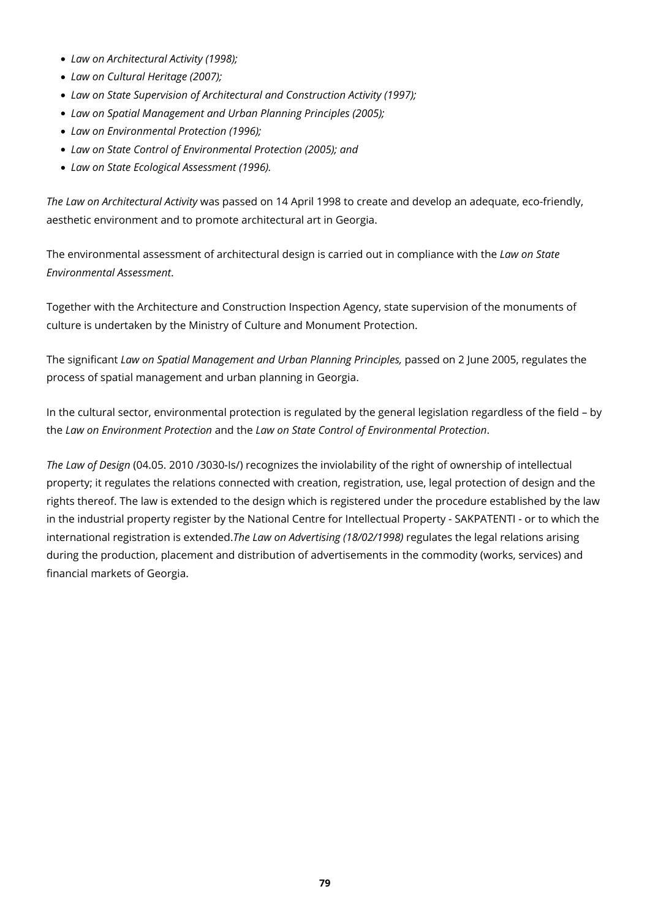- *Law on Architectural Activity (1998);*
- *Law on Cultural Heritage (2007);*
- *Law on State Supervision of Architectural and Construction Activity (1997);*
- *Law on Spatial Management and Urban Planning Principles (2005);*
- *Law on Environmental Protection (1996);*
- *Law on State Control of Environmental Protection (2005); and*
- *Law on State Ecological Assessment (1996).*

*The Law on Architectural Activity* was passed on 14 April 1998 to create and develop an adequate, eco-friendly, aesthetic environment and to promote architectural art in Georgia.

The environmental assessment of architectural design is carried out in compliance with the *Law on State Environmental Assessment*.

Together with the Architecture and Construction Inspection Agency, state supervision of the monuments of culture is undertaken by the Ministry of Culture and Monument Protection.

The significant *Law on Spatial Management and Urban Planning Principles,* passed on 2 June 2005, regulates the process of spatial management and urban planning in Georgia.

In the cultural sector, environmental protection is regulated by the general legislation regardless of the field – by the *Law on Environment Protection* and the *Law on State Control of Environmental Protection*.

*The Law of Design* (04.05. 2010 /3030-Is/) recognizes the inviolability of the right of ownership of intellectual property; it regulates the relations connected with creation, registration, use, legal protection of design and the rights thereof. The law is extended to the design which is registered under the procedure established by the law in the industrial property register by the National Centre for Intellectual Property - SAKPATENTI - or to which the international registration is extended.*The Law on Advertising (18/02/1998)* regulates the legal relations arising during the production, placement and distribution of advertisements in the commodity (works, services) and financial markets of Georgia.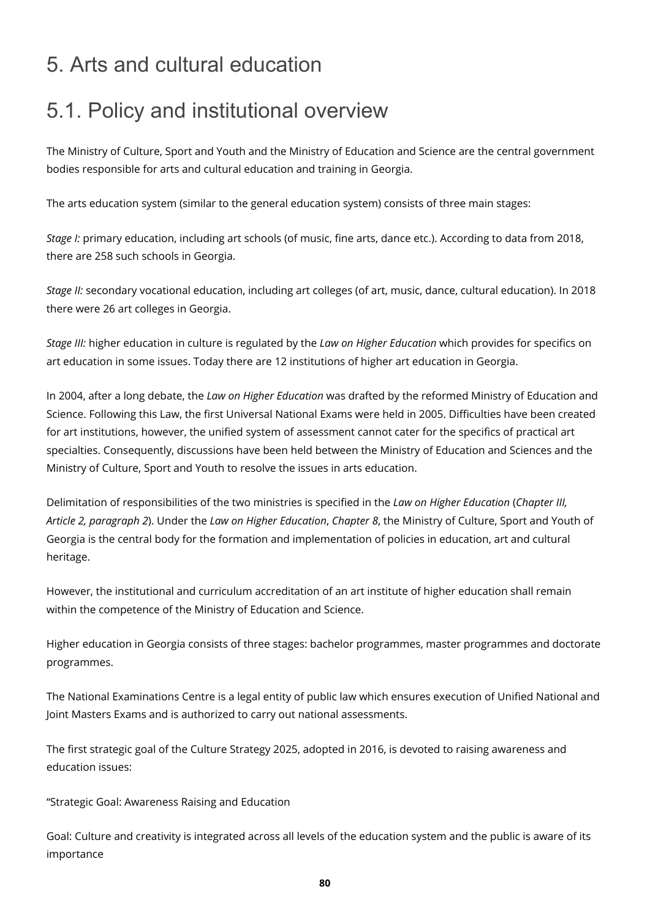### 5. Arts and cultural education

## 5.1. Policy and institutional overview

The Ministry of Culture, Sport and Youth and the Ministry of Education and Science are the central government bodies responsible for arts and cultural education and training in Georgia.

The arts education system (similar to the general education system) consists of three main stages:

*Stage I:* primary education, including art schools (of music, fine arts, dance etc.). According to data from 2018, there are 258 such schools in Georgia.

*Stage II:* secondary vocational education, including art colleges (of art, music, dance, cultural education). In 2018 there were 26 art colleges in Georgia.

*Stage III:* higher education in culture is regulated by the *Law on Higher Education* which provides for specifics on art education in some issues. Today there are 12 institutions of higher art education in Georgia.

In 2004, after a long debate, the *Law on Higher Education* was drafted by the reformed Ministry of Education and Science. Following this Law, the first Universal National Exams were held in 2005. Difficulties have been created for art institutions, however, the unified system of assessment cannot cater for the specifics of practical art specialties. Consequently, discussions have been held between the Ministry of Education and Sciences and the Ministry of Culture, Sport and Youth to resolve the issues in arts education.

Delimitation of responsibilities of the two ministries is specified in the *Law on Higher Education* (*Chapter III, Article 2, paragraph 2*). Under the *Law on Higher Education*, *Chapter 8*, the Ministry of Culture, Sport and Youth of Georgia is the central body for the formation and implementation of policies in education, art and cultural heritage.

However, the institutional and curriculum accreditation of an art institute of higher education shall remain within the competence of the Ministry of Education and Science.

Higher education in Georgia consists of three stages: bachelor programmes, master programmes and doctorate programmes.

The National Examinations Centre is a legal entity of public law which ensures execution of Unified National and Joint Masters Exams and is authorized to carry out national assessments.

The first strategic goal of the Culture Strategy 2025, adopted in 2016, is devoted to raising awareness and education issues:

"Strategic Goal: Awareness Raising and Education

Goal: Culture and creativity is integrated across all levels of the education system and the public is aware of its importance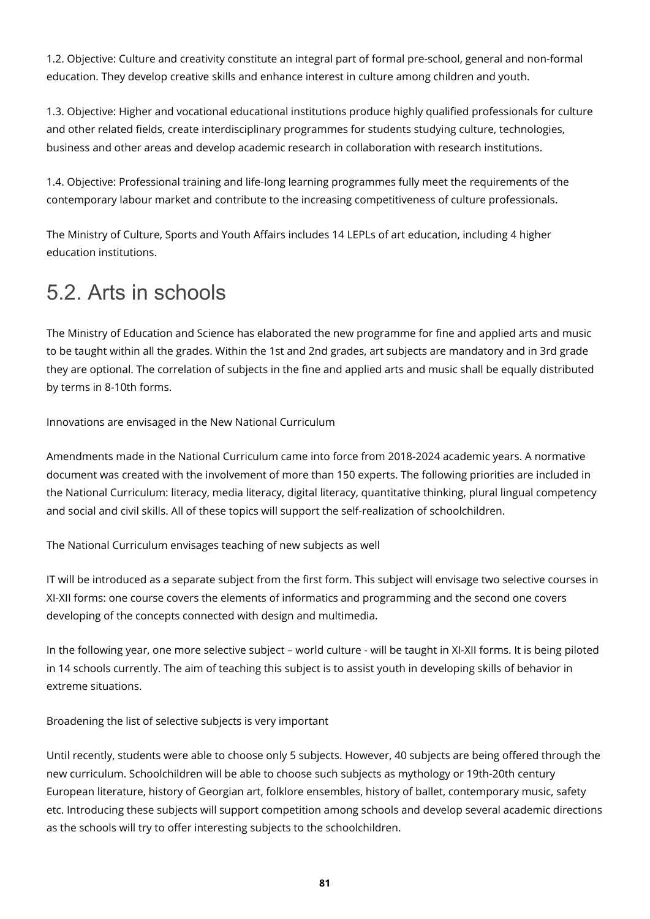1.2. Objective: Culture and creativity constitute an integral part of formal pre-school, general and non-formal education. They develop creative skills and enhance interest in culture among children and youth.

1.3. Objective: Higher and vocational educational institutions produce highly qualified professionals for culture and other related fields, create interdisciplinary programmes for students studying culture, technologies, business and other areas and develop academic research in collaboration with research institutions.

1.4. Objective: Professional training and life-long learning programmes fully meet the requirements of the contemporary labour market and contribute to the increasing competitiveness of culture professionals.

The Ministry of Culture, Sports and Youth Affairs includes 14 LEPLs of art education, including 4 higher education institutions.

## 5.2. Arts in schools

The Ministry of Education and Science has elaborated the new programme for fine and applied arts and music to be taught within all the grades. Within the 1st and 2nd grades, art subjects are mandatory and in 3rd grade they are optional. The correlation of subjects in the fine and applied arts and music shall be equally distributed by terms in 8-10th forms.

Innovations are envisaged in the New National Curriculum

Amendments made in the National Curriculum came into force from 2018-2024 academic years. A normative document was created with the involvement of more than 150 experts. The following priorities are included in the National Curriculum: literacy, media literacy, digital literacy, quantitative thinking, plural lingual competency and social and civil skills. All of these topics will support the self-realization of schoolchildren.

The National Curriculum envisages teaching of new subjects as well

IT will be introduced as a separate subject from the first form. This subject will envisage two selective courses in XI-XII forms: one course covers the elements of informatics and programming and the second one covers developing of the concepts connected with design and multimedia.

In the following year, one more selective subject – world culture - will be taught in XI-XII forms. It is being piloted in 14 schools currently. The aim of teaching this subject is to assist youth in developing skills of behavior in extreme situations.

Broadening the list of selective subjects is very important

Until recently, students were able to choose only 5 subjects. However, 40 subjects are being offered through the new curriculum. Schoolchildren will be able to choose such subjects as mythology or 19th-20th century European literature, history of Georgian art, folklore ensembles, history of ballet, contemporary music, safety etc. Introducing these subjects will support competition among schools and develop several academic directions as the schools will try to offer interesting subjects to the schoolchildren.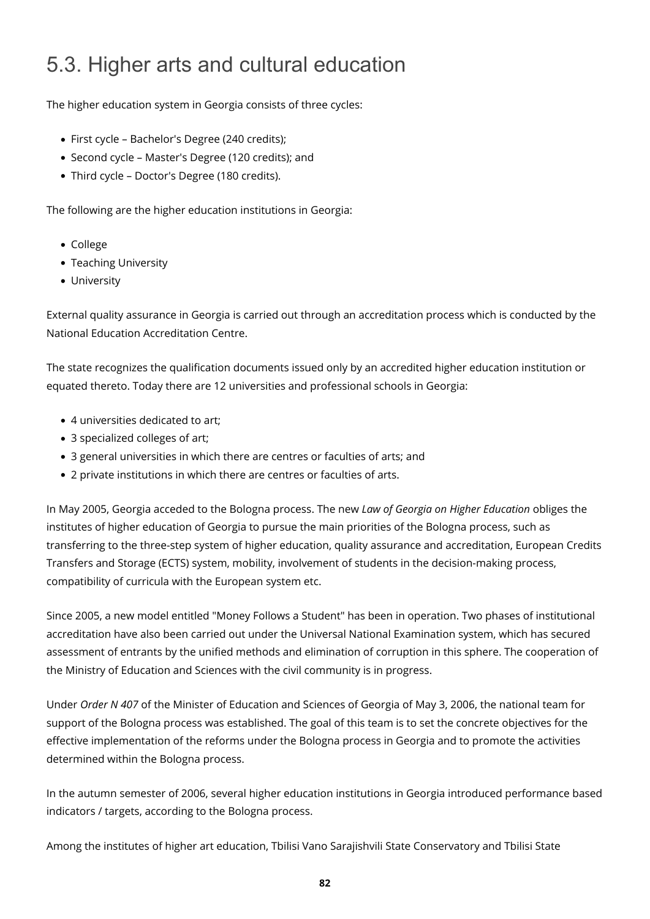# 5.3. Higher arts and cultural education

The higher education system in Georgia consists of three cycles:

- First cycle Bachelor's Degree (240 credits);
- Second cycle Master's Degree (120 credits); and
- Third cycle Doctor's Degree (180 credits).

The following are the higher education institutions in Georgia:

- College
- Teaching University
- University

External quality assurance in Georgia is carried out through an accreditation process which is conducted by the National Education Accreditation Centre.

The state recognizes the qualification documents issued only by an accredited higher education institution or equated thereto. Today there are 12 universities and professional schools in Georgia:

- 4 universities dedicated to art;
- 3 specialized colleges of art;
- 3 general universities in which there are centres or faculties of arts; and
- 2 private institutions in which there are centres or faculties of arts.

In May 2005, Georgia acceded to the Bologna process. The new *Law of Georgia on Higher Education* obliges the institutes of higher education of Georgia to pursue the main priorities of the Bologna process, such as transferring to the three-step system of higher education, quality assurance and accreditation, European Credits Transfers and Storage (ECTS) system, mobility, involvement of students in the decision-making process, compatibility of curricula with the European system etc.

Since 2005, a new model entitled "Money Follows a Student" has been in operation. Two phases of institutional accreditation have also been carried out under the Universal National Examination system, which has secured assessment of entrants by the unified methods and elimination of corruption in this sphere. The cooperation of the Ministry of Education and Sciences with the civil community is in progress.

Under *Order N 407* of the Minister of Education and Sciences of Georgia of May 3, 2006, the national team for support of the Bologna process was established. The goal of this team is to set the concrete objectives for the effective implementation of the reforms under the Bologna process in Georgia and to promote the activities determined within the Bologna process.

In the autumn semester of 2006, several higher education institutions in Georgia introduced performance based indicators / targets, according to the Bologna process.

Among the institutes of higher art education, Tbilisi Vano Sarajishvili State Conservatory and Tbilisi State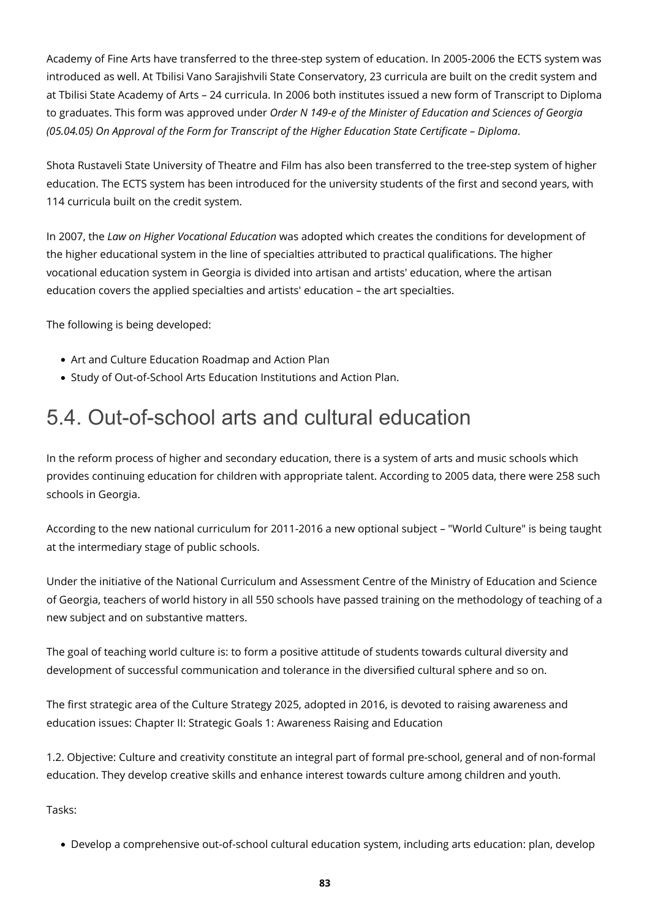Academy of Fine Arts have transferred to the three-step system of education. In 2005-2006 the ECTS system was introduced as well. At Tbilisi Vano Sarajishvili State Conservatory, 23 curricula are built on the credit system and at Tbilisi State Academy of Arts – 24 curricula. In 2006 both institutes issued a new form of Transcript to Diploma to graduates. This form was approved under *Order N 149-e of the Minister of Education and Sciences of Georgia (05.04.05) On Approval of the Form for Transcript of the Higher Education State Certificate – Diploma*.

Shota Rustaveli State University of Theatre and Film has also been transferred to the tree-step system of higher education. The ECTS system has been introduced for the university students of the first and second years, with 114 curricula built on the credit system.

In 2007, the *Law on Higher Vocational Education* was adopted which creates the conditions for development of the higher educational system in the line of specialties attributed to practical qualifications. The higher vocational education system in Georgia is divided into artisan and artists' education, where the artisan education covers the applied specialties and artists' education – the art specialties.

The following is being developed:

- Art and Culture Education Roadmap and Action Plan
- Study of Out-of-School Arts Education Institutions and Action Plan.

### 5.4. Out-of-school arts and cultural education

In the reform process of higher and secondary education, there is a system of arts and music schools which provides continuing education for children with appropriate talent. According to 2005 data, there were 258 such schools in Georgia.

According to the new national curriculum for 2011-2016 a new optional subject – "World Culture" is being taught at the intermediary stage of public schools.

Under the initiative of the National Curriculum and Assessment Centre of the Ministry of Education and Science of Georgia, teachers of world history in all 550 schools have passed training on the methodology of teaching of a new subject and on substantive matters.

The goal of teaching world culture is: to form a positive attitude of students towards cultural diversity and development of successful communication and tolerance in the diversified cultural sphere and so on.

The first strategic area of the Culture Strategy 2025, adopted in 2016, is devoted to raising awareness and education issues: Chapter II: Strategic Goals 1: Awareness Raising and Education

1.2. Objective: Culture and creativity constitute an integral part of formal pre-school, general and of non-formal education. They develop creative skills and enhance interest towards culture among children and youth.

Tasks:

Develop a comprehensive out-of-school cultural education system, including arts education: plan, develop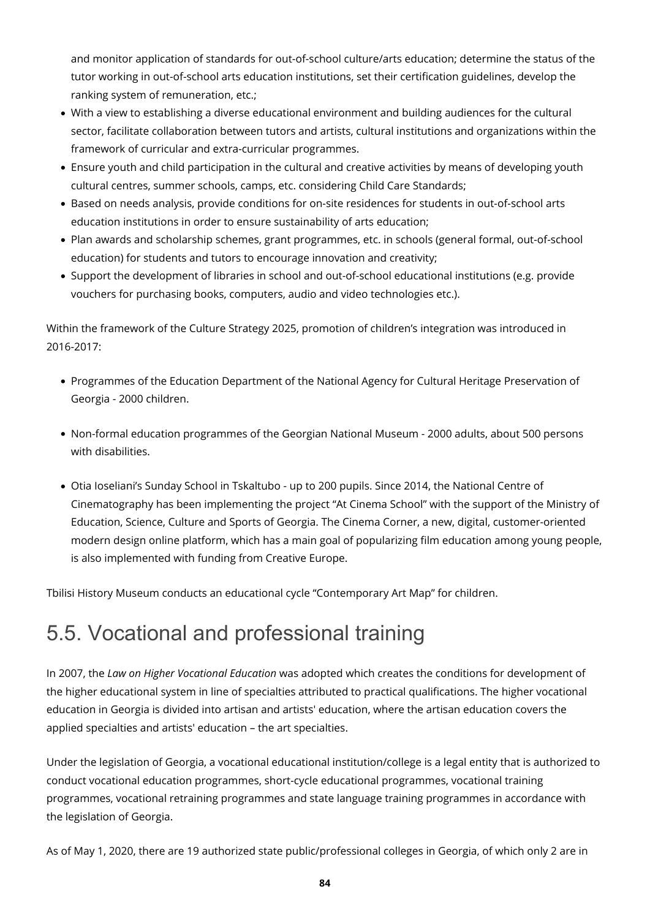and monitor application of standards for out-of-school culture/arts education; determine the status of the tutor working in out-of-school arts education institutions, set their certification guidelines, develop the ranking system of remuneration, etc.;

- With a view to establishing a diverse educational environment and building audiences for the cultural sector, facilitate collaboration between tutors and artists, cultural institutions and organizations within the framework of curricular and extra-curricular programmes.
- Ensure youth and child participation in the cultural and creative activities by means of developing youth cultural centres, summer schools, camps, etc. considering Child Care Standards;
- Based on needs analysis, provide conditions for on-site residences for students in out-of-school arts education institutions in order to ensure sustainability of arts education;
- Plan awards and scholarship schemes, grant programmes, etc. in schools (general formal, out-of-school education) for students and tutors to encourage innovation and creativity;
- Support the development of libraries in school and out-of-school educational institutions (e.g. provide vouchers for purchasing books, computers, audio and video technologies etc.).

Within the framework of the Culture Strategy 2025, promotion of children's integration was introduced in 2016-2017:

- Programmes of the Education Department of the National Agency for Cultural Heritage Preservation of Georgia - 2000 children.
- Non-formal education programmes of the Georgian National Museum 2000 adults, about 500 persons with disabilities.
- Otia Ioseliani's Sunday School in Tskaltubo up to 200 pupils. Since 2014, the National Centre of Cinematography has been implementing the project "At Cinema School" with the support of the Ministry of Education, Science, Culture and Sports of Georgia. The Cinema Corner, a new, digital, customer-oriented modern design online platform, which has a main goal of popularizing film education among young people, is also implemented with funding from Creative Europe.

Tbilisi History Museum conducts an educational cycle "Contemporary Art Map" for children.

## 5.5. Vocational and professional training

In 2007, the *Law on Higher Vocational Education* was adopted which creates the conditions for development of the higher educational system in line of specialties attributed to practical qualifications. The higher vocational education in Georgia is divided into artisan and artists' education, where the artisan education covers the applied specialties and artists' education – the art specialties.

Under the legislation of Georgia, a vocational educational institution/college is a legal entity that is authorized to conduct vocational education programmes, short-cycle educational programmes, vocational training programmes, vocational retraining programmes and state language training programmes in accordance with the legislation of Georgia.

As of May 1, 2020, there are 19 authorized state public/professional colleges in Georgia, of which only 2 are in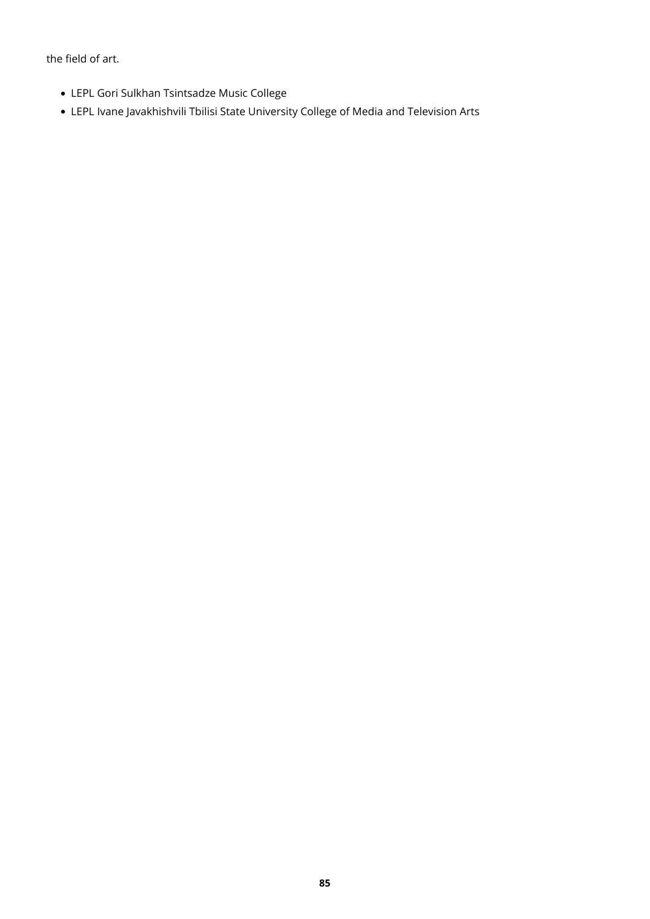the field of art.

- LEPL Gori Sulkhan Tsintsadze Music College
- LEPL Ivane Javakhishvili Tbilisi State University College of Media and Television Arts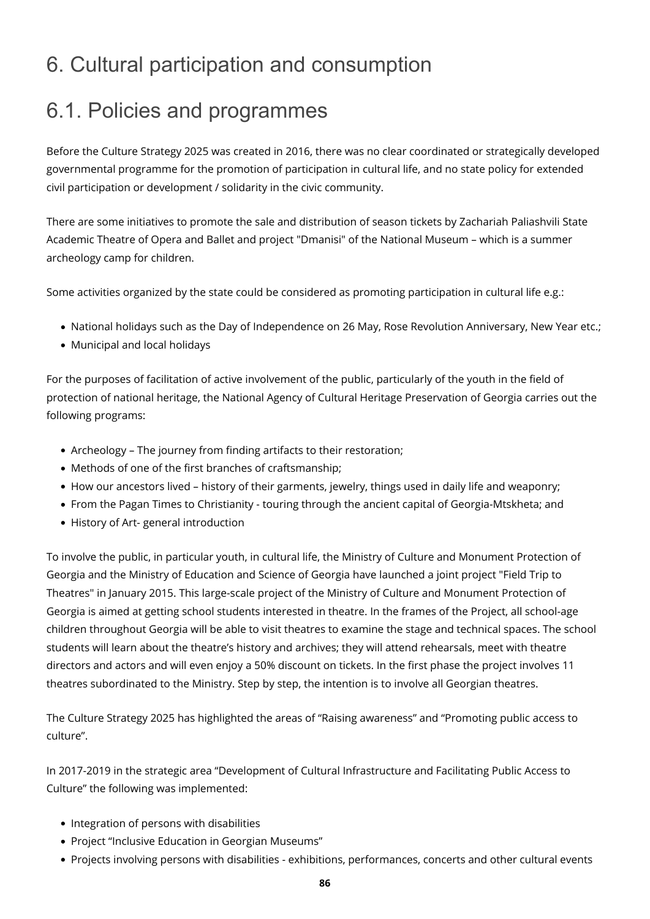## 6. Cultural participation and consumption

### 6.1. Policies and programmes

Before the Culture Strategy 2025 was created in 2016, there was no clear coordinated or strategically developed governmental programme for the promotion of participation in cultural life, and no state policy for extended civil participation or development / solidarity in the civic community.

There are some initiatives to promote the sale and distribution of season tickets by Zachariah Paliashvili State Academic Theatre of Opera and Ballet and project "Dmanisi" of the National Museum – which is a summer archeology camp for children.

Some activities organized by the state could be considered as promoting participation in cultural life e.g.:

- National holidays such as the Day of Independence on 26 May, Rose Revolution Anniversary, New Year etc.;
- Municipal and local holidays

For the purposes of facilitation of active involvement of the public, particularly of the youth in the field of protection of national heritage, the National Agency of Cultural Heritage Preservation of Georgia carries out the following programs:

- Archeology The journey from finding artifacts to their restoration;
- Methods of one of the first branches of craftsmanship;
- How our ancestors lived history of their garments, jewelry, things used in daily life and weaponry;
- From the Pagan Times to Christianity touring through the ancient capital of Georgia-Mtskheta; and
- History of Art- general introduction

To involve the public, in particular youth, in cultural life, the Ministry of Culture and Monument Protection of Georgia and the Ministry of Education and Science of Georgia have launched a joint project "Field Trip to Theatres" in January 2015. This large-scale project of the Ministry of Culture and Monument Protection of Georgia is aimed at getting school students interested in theatre. In the frames of the Project, all school-age children throughout Georgia will be able to visit theatres to examine the stage and technical spaces. The school students will learn about the theatre's history and archives; they will attend rehearsals, meet with theatre directors and actors and will even enjoy a 50% discount on tickets. In the first phase the project involves 11 theatres subordinated to the Ministry. Step by step, the intention is to involve all Georgian theatres.

The Culture Strategy 2025 has highlighted the areas of "Raising awareness" and "Promoting public access to culture".

In 2017-2019 in the strategic area "Development of Cultural Infrastructure and Facilitating Public Access to Culture" the following was implemented:

- Integration of persons with disabilities
- Project "Inclusive Education in Georgian Museums"
- Projects involving persons with disabilities exhibitions, performances, concerts and other cultural events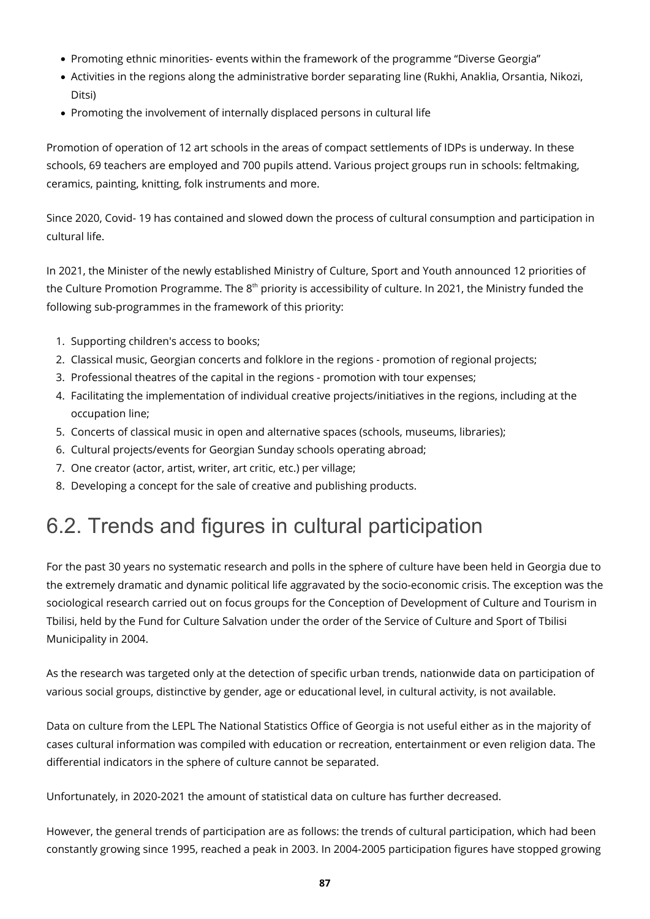- Promoting ethnic minorities- events within the framework of the programme "Diverse Georgia"
- Activities in the regions along the administrative border separating line (Rukhi, Anaklia, Orsantia, Nikozi, Ditsi)
- Promoting the involvement of internally displaced persons in cultural life

Promotion of operation of 12 art schools in the areas of compact settlements of IDPs is underway. In these schools, 69 teachers are employed and 700 pupils attend. Various project groups run in schools: feltmaking, ceramics, painting, knitting, folk instruments and more.

Since 2020, Covid- 19 has contained and slowed down the process of cultural consumption and participation in cultural life.

In 2021, the Minister of the newly established Ministry of Culture, Sport and Youth announced 12 priorities of the Culture Promotion Programme. The 8<sup>th</sup> priority is accessibility of culture. In 2021, the Ministry funded the following sub-programmes in the framework of this priority:

- 1. Supporting children's access to books;
- 2. Classical music, Georgian concerts and folklore in the regions promotion of regional projects;
- 3. Professional theatres of the capital in the regions promotion with tour expenses;
- 4. Facilitating the implementation of individual creative projects/initiatives in the regions, including at the occupation line;
- 5. Concerts of classical music in open and alternative spaces (schools, museums, libraries);
- 6. Cultural projects/events for Georgian Sunday schools operating abroad;
- 7. One creator (actor, artist, writer, art critic, etc.) per village;
- 8. Developing a concept for the sale of creative and publishing products.

### 6.2. Trends and figures in cultural participation

For the past 30 years no systematic research and polls in the sphere of culture have been held in Georgia due to the extremely dramatic and dynamic political life aggravated by the socio-economic crisis. The exception was the sociological research carried out on focus groups for the Conception of Development of Culture and Tourism in Tbilisi, held by the Fund for Culture Salvation under the order of the Service of Culture and Sport of Tbilisi Municipality in 2004.

As the research was targeted only at the detection of specific urban trends, nationwide data on participation of various social groups, distinctive by gender, age or educational level, in cultural activity, is not available.

Data on culture from the LEPL The National Statistics Office of Georgia is not useful either as in the majority of cases cultural information was compiled with education or recreation, entertainment or even religion data. The differential indicators in the sphere of culture cannot be separated.

Unfortunately, in 2020-2021 the amount of statistical data on culture has further decreased.

However, the general trends of participation are as follows: the trends of cultural participation, which had been constantly growing since 1995, reached a peak in 2003. In 2004-2005 participation figures have stopped growing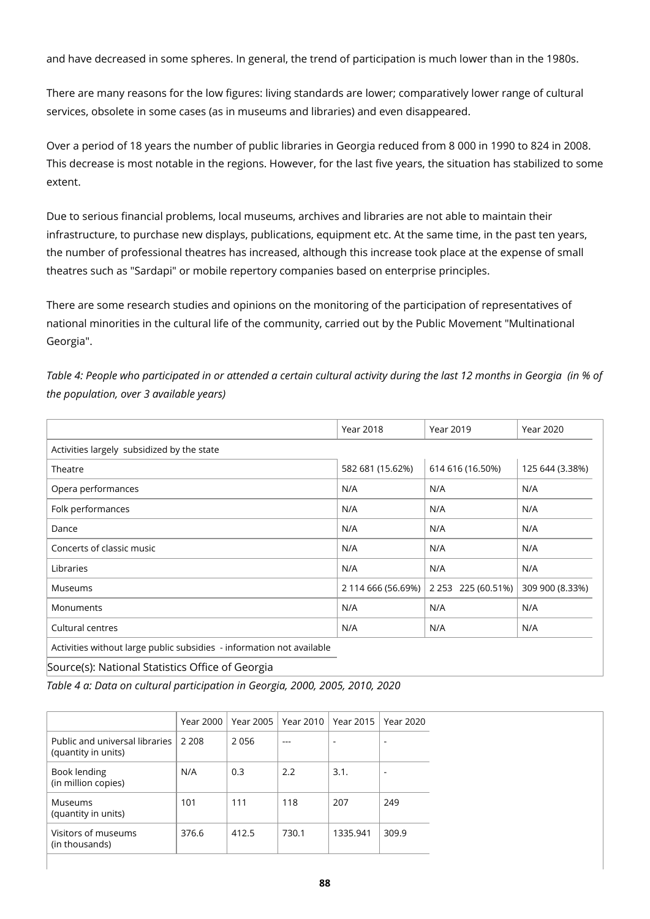and have decreased in some spheres. In general, the trend of participation is much lower than in the 1980s.

There are many reasons for the low figures: living standards are lower; comparatively lower range of cultural services, obsolete in some cases (as in museums and libraries) and even disappeared.

Over a period of 18 years the number of public libraries in Georgia reduced from 8 000 in 1990 to 824 in 2008. This decrease is most notable in the regions. However, for the last five years, the situation has stabilized to some extent.

Due to serious financial problems, local museums, archives and libraries are not able to maintain their infrastructure, to purchase new displays, publications, equipment etc. At the same time, in the past ten years, the number of professional theatres has increased, although this increase took place at the expense of small theatres such as "Sardapi" or mobile repertory companies based on enterprise principles.

There are some research studies and opinions on the monitoring of the participation of representatives of national minorities in the cultural life of the community, carried out by the Public Movement "Multinational Georgia".

*Table 4: People who participated in or attended a certain cultural activity during the last 12 months in Georgia (in % of the population, over 3 available years)*

|                                                                       | <b>Year 2018</b>   | <b>Year 2019</b>   | <b>Year 2020</b> |
|-----------------------------------------------------------------------|--------------------|--------------------|------------------|
| Activities largely subsidized by the state                            |                    |                    |                  |
| Theatre                                                               | 582 681 (15.62%)   | 614 616 (16.50%)   | 125 644 (3.38%)  |
| Opera performances                                                    | N/A                | N/A                | N/A              |
| Folk performances                                                     | N/A                | N/A                | N/A              |
| Dance                                                                 | N/A                | N/A                | N/A              |
| Concerts of classic music                                             | N/A                | N/A                | N/A              |
| Libraries                                                             | N/A                | N/A                | N/A              |
| Museums                                                               | 2 114 666 (56.69%) | 2 253 225 (60.51%) | 309 900 (8.33%)  |
| Monuments                                                             | N/A                | N/A                | N/A              |
| Cultural centres                                                      | N/A                | N/A                | N/A              |
| Activities without large public subsidies - information not available |                    |                    |                  |
|                                                                       |                    |                    |                  |

Source(s): National Statistics Office of Georgia

*Table 4 a: Data on cultural participation in Georgia, 2000, 2005, 2010, 2020*

|                                                       | Year 2000 | Year 2005 | Year 2010 | Year 2015 | Year 2020 |
|-------------------------------------------------------|-----------|-----------|-----------|-----------|-----------|
| Public and universal libraries<br>(quantity in units) | 2.208     | 2056      |           | -         |           |
| Book lending<br>(in million copies)                   | N/A       | 0.3       | 2.2       | 3.1.      |           |
| Museums<br>(quantity in units)                        | 101       | 111       | 118       | 207       | 249       |
| Visitors of museums<br>(in thousands)                 | 376.6     | 412.5     | 730.1     | 1335.941  | 309.9     |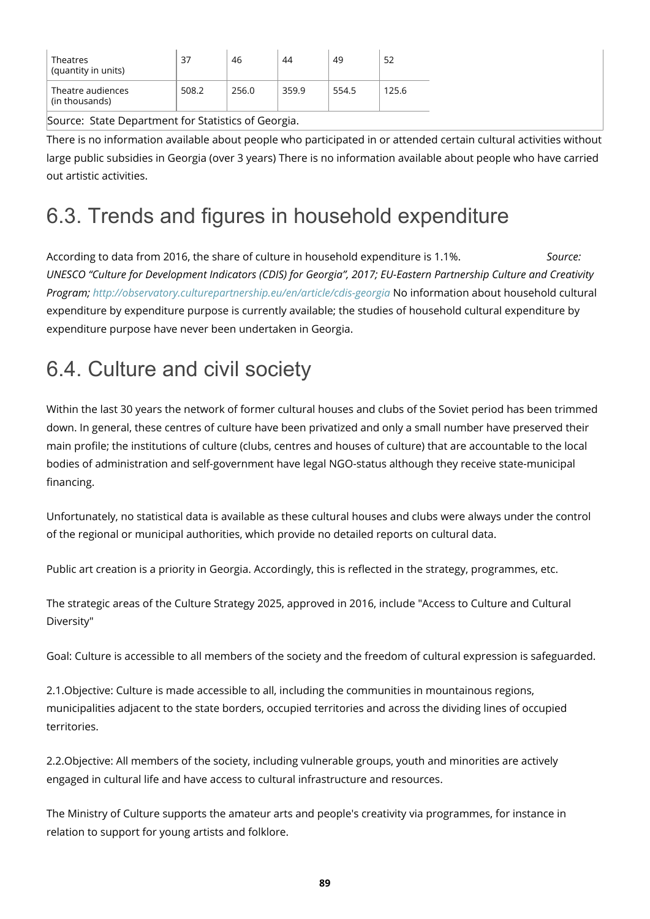| Theatres<br>(quantity in units)     | 37    | 46    | 44    | 49    | 52    |
|-------------------------------------|-------|-------|-------|-------|-------|
| Theatre audiences<br>(in thousands) | 508.2 | 256.0 | 359.9 | 554.5 | 125.6 |

Source: State Department for Statistics of Georgia.

There is no information available about people who participated in or attended certain cultural activities without large public subsidies in Georgia (over 3 years) There is no information available about people who have carried out artistic activities.

## 6.3. Trends and figures in household expenditure

According to data from 2016, the share of culture in household expenditure is 1.1%. *Source: UNESCO "Culture for Development Indicators (CDIS) for Georgia", 2017; EU-Eastern Partnership Culture and Creativity Program;<http://observatory.culturepartnership.eu/en/article/cdis-georgia>* No information about household cultural expenditure by expenditure purpose is currently available; the studies of household cultural expenditure by expenditure purpose have never been undertaken in Georgia.

# 6.4. Culture and civil society

Within the last 30 years the network of former cultural houses and clubs of the Soviet period has been trimmed down. In general, these centres of culture have been privatized and only a small number have preserved their main profile; the institutions of culture (clubs, centres and houses of culture) that are accountable to the local bodies of administration and self-government have legal NGO-status although they receive state-municipal financing.

Unfortunately, no statistical data is available as these cultural houses and clubs were always under the control of the regional or municipal authorities, which provide no detailed reports on cultural data.

Public art creation is a priority in Georgia. Accordingly, this is reflected in the strategy, programmes, etc.

The strategic areas of the Culture Strategy 2025, approved in 2016, include "Access to Culture and Cultural Diversity"

Goal: Culture is accessible to all members of the society and the freedom of cultural expression is safeguarded.

2.1.Objective: Culture is made accessible to all, including the communities in mountainous regions, municipalities adjacent to the state borders, occupied territories and across the dividing lines of occupied territories.

2.2.Objective: All members of the society, including vulnerable groups, youth and minorities are actively engaged in cultural life and have access to cultural infrastructure and resources.

The Ministry of Culture supports the amateur arts and people's creativity via programmes, for instance in relation to support for young artists and folklore.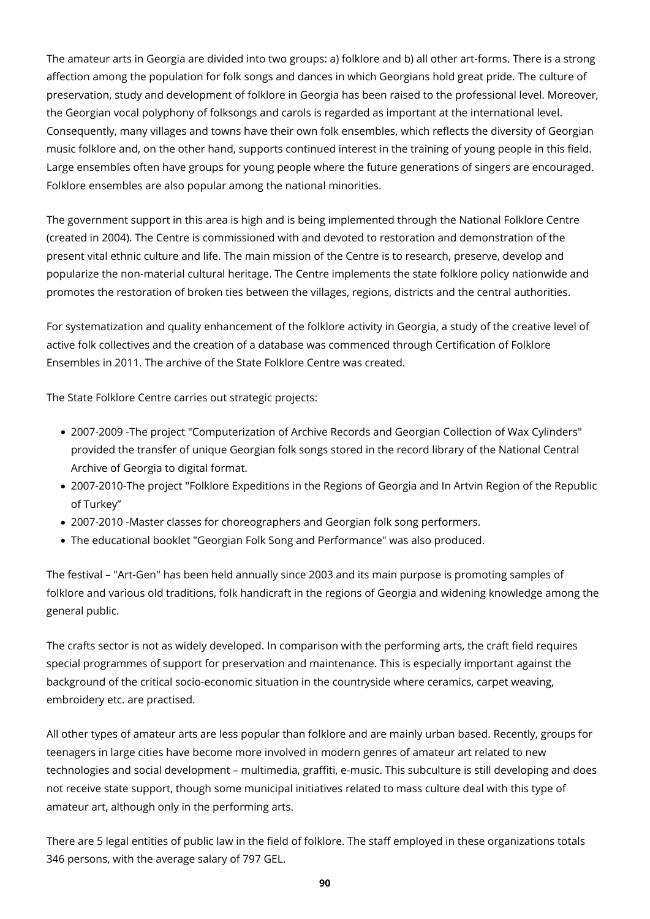The amateur arts in Georgia are divided into two groups: a) folklore and b) all other art-forms. There is a strong affection among the population for folk songs and dances in which Georgians hold great pride. The culture of preservation, study and development of folklore in Georgia has been raised to the professional level. Moreover, the Georgian vocal polyphony of folksongs and carols is regarded as important at the international level. Consequently, many villages and towns have their own folk ensembles, which reflects the diversity of Georgian music folklore and, on the other hand, supports continued interest in the training of young people in this field. Large ensembles often have groups for young people where the future generations of singers are encouraged. Folklore ensembles are also popular among the national minorities.

The government support in this area is high and is being implemented through the National Folklore Centre (created in 2004). The Centre is commissioned with and devoted to restoration and demonstration of the present vital ethnic culture and life. The main mission of the Centre is to research, preserve, develop and popularize the non-material cultural heritage. The Centre implements the state folklore policy nationwide and promotes the restoration of broken ties between the villages, regions, districts and the central authorities.

For systematization and quality enhancement of the folklore activity in Georgia, a study of the creative level of active folk collectives and the creation of a database was commenced through Certification of Folklore Ensembles in 2011. The archive of the State Folklore Centre was created.

The State Folklore Centre carries out strategic projects:

- 2007-2009 -The project "Computerization of Archive Records and Georgian Collection of Wax Cylinders" provided the transfer of unique Georgian folk songs stored in the record library of the National Central Archive of Georgia to digital format.
- 2007-2010-The project "Folklore Expeditions in the Regions of Georgia and In Artvin Region of the Republic of Turkey"
- 2007-2010 -Master classes for choreographers and Georgian folk song performers.
- The educational booklet "Georgian Folk Song and Performance" was also produced.

The festival – "Art-Gen" has been held annually since 2003 and its main purpose is promoting samples of folklore and various old traditions, folk handicraft in the regions of Georgia and widening knowledge among the general public.

The crafts sector is not as widely developed. In comparison with the performing arts, the craft field requires special programmes of support for preservation and maintenance. This is especially important against the background of the critical socio-economic situation in the countryside where ceramics, carpet weaving, embroidery etc. are practised.

All other types of amateur arts are less popular than folklore and are mainly urban based. Recently, groups for teenagers in large cities have become more involved in modern genres of amateur art related to new technologies and social development – multimedia, graffiti, e-music. This subculture is still developing and does not receive state support, though some municipal initiatives related to mass culture deal with this type of amateur art, although only in the performing arts.

There are 5 legal entities of public law in the field of folklore. The staff employed in these organizations totals 346 persons, with the average salary of 797 GEL.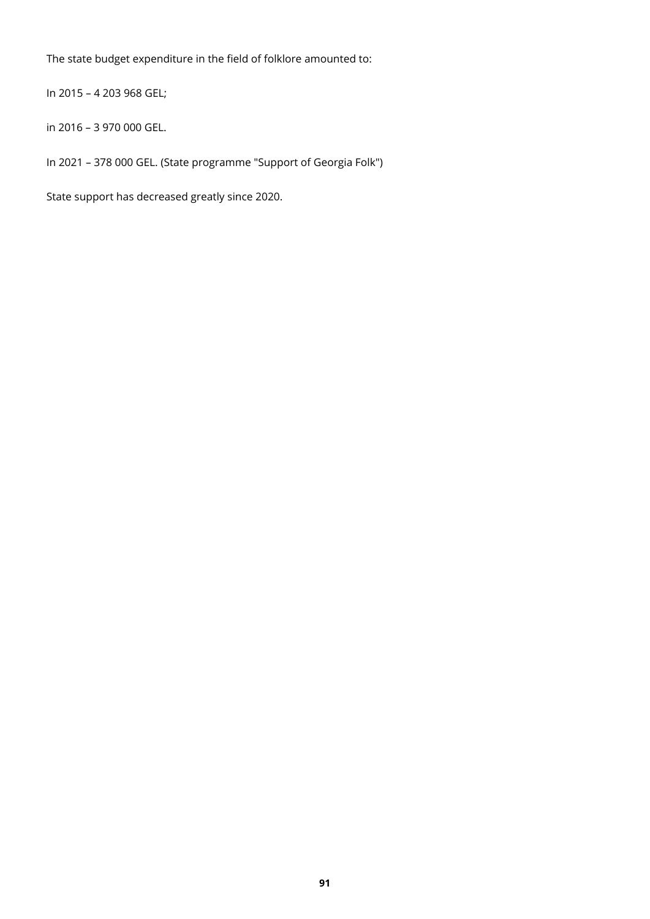The state budget expenditure in the field of folklore amounted to:

In 2015 – 4 203 968 GEL;

in 2016 – 3 970 000 GEL.

In 2021 – 378 000 GEL. (State programme "Support of Georgia Folk")

State support has decreased greatly since 2020.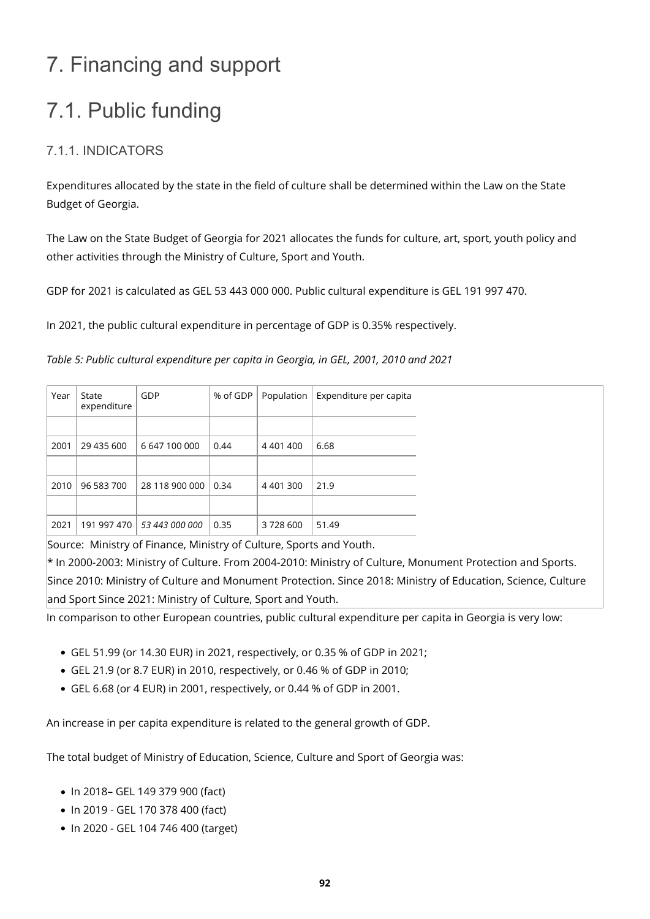# 7. Financing and support

# 7.1. Public funding

### 7.1.1. INDICATORS

Expenditures allocated by the state in the field of culture shall be determined within the Law on the State Budget of Georgia.

The Law on the State Budget of Georgia for 2021 allocates the funds for culture, art, sport, youth policy and other activities through the Ministry of Culture, Sport and Youth.

GDP for 2021 is calculated as GEL 53 443 000 000. Public cultural expenditure is GEL 191 997 470.

In 2021, the public cultural expenditure in percentage of GDP is 0.35% respectively.

*Table 5: Public cultural expenditure per capita in Georgia, in GEL, 2001, 2010 and 2021*

| GDP<br>% of GDP<br>Expenditure per capita<br>Year<br>Population<br>State<br>expenditure |
|-----------------------------------------------------------------------------------------|
|                                                                                         |
|                                                                                         |
| 2001<br>29 435 600<br>6 647 100 000<br>4 4 0 1 4 0 0<br>6.68<br>0.44                    |
|                                                                                         |
| 28 118 900 000<br>2010<br>96 583 700<br>4 401 300<br>21.9<br>0.34                       |
|                                                                                         |
| 2021<br>191 997 470  <br>51.49<br>53 443 000 000<br>0.35<br>3728600                     |

Source: Ministry of Finance, Ministry of Culture, Sports and Youth.

 $*$  In 2000-2003: Ministry of Culture. From 2004-2010: Ministry of Culture, Monument Protection and Sports. Since 2010: Ministry of Culture and Monument Protection. Since 2018: Ministry of Education, Science, Culture and Sport Since 2021: Ministry of Culture, Sport and Youth.

In comparison to other European countries, public cultural expenditure per capita in Georgia is very low:

- GEL 51.99 (or 14.30 EUR) in 2021, respectively, or 0.35 % of GDP in 2021;
- GEL 21.9 (or 8.7 EUR) in 2010, respectively, or 0.46 % of GDP in 2010;
- GEL 6.68 (or 4 EUR) in 2001, respectively, or 0.44 % of GDP in 2001.

An increase in per capita expenditure is related to the general growth of GDP.

The total budget of Ministry of Education, Science, Culture and Sport of Georgia was:

- In 2018- GEL 149 379 900 (fact)
- In 2019 GEL 170 378 400 (fact)
- In 2020 GEL 104 746 400 (target)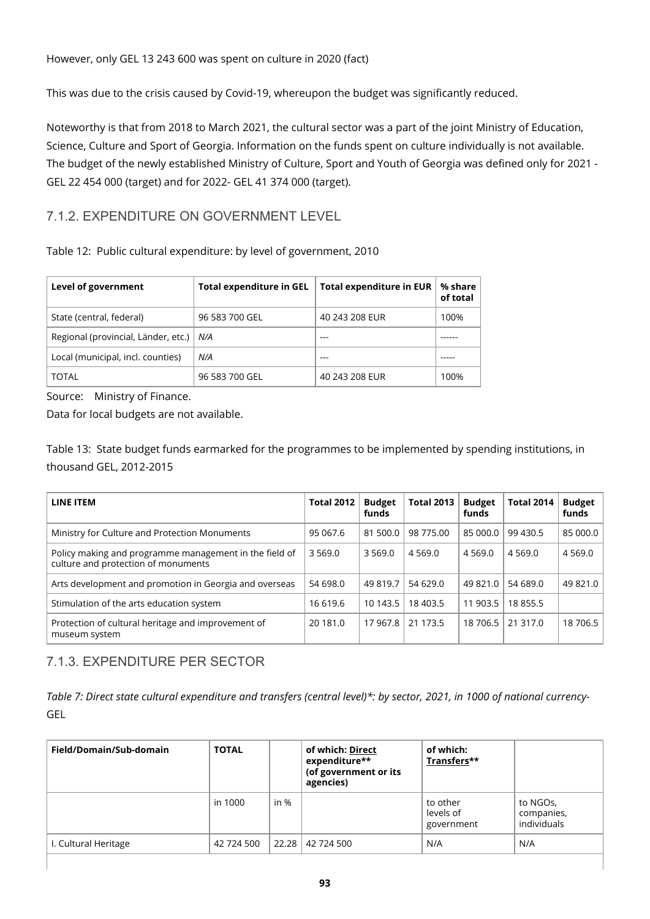However, only GEL 13 243 600 was spent on culture in 2020 (fact)

This was due to the crisis caused by Covid-19, whereupon the budget was significantly reduced.

Noteworthy is that from 2018 to March 2021, the cultural sector was a part of the joint Ministry of Education, Science, Culture and Sport of Georgia. Information on the funds spent on culture individually is not available. The budget of the newly established Ministry of Culture, Sport and Youth of Georgia was defined only for 2021 - GEL 22 454 000 (target) and for 2022- GEL 41 374 000 (target).

#### 7.1.2. EXPENDITURE ON GOVERNMENT LEVEL

Table 12: Public cultural expenditure: by level of government, 2010

| Level of government                       | <b>Total expenditure in GEL</b> | <b>Total expenditure in EUR</b> | % share<br>of total |
|-------------------------------------------|---------------------------------|---------------------------------|---------------------|
| State (central, federal)                  | 96 583 700 GEL                  | 40 243 208 EUR                  | 100%                |
| Regional (provincial, Länder, etc.)   N/A |                                 |                                 |                     |
| Local (municipal, incl. counties)         | N/A                             |                                 |                     |
| <b>TOTAL</b>                              | 96 583 700 GEL                  | 40 243 208 EUR                  | 100%                |

Source: Ministry of Finance.

Data for local budgets are not available.

Table 13: State budget funds earmarked for the programmes to be implemented by spending institutions, in thousand GEL, 2012-2015

| LINE ITEM                                                                                     | <b>Total 2012</b> | <b>Budget</b><br>funds | <b>Total 2013</b> | <b>Budget</b><br>funds | <b>Total 2014</b> | <b>Budget</b><br>funds |
|-----------------------------------------------------------------------------------------------|-------------------|------------------------|-------------------|------------------------|-------------------|------------------------|
| Ministry for Culture and Protection Monuments                                                 | 95 067.6          | 81 500.0               | 98 775.00         | 85 000.0               | 99 430.5          | 85 000.0               |
| Policy making and programme management in the field of<br>culture and protection of monuments | 3 5 6 9 . 0       | 3 5 6 9 . 0            | 4 5 6 9 . 0       | 4 5 6 9 . 0            | 4 5 6 9 . 0       | 4 5 6 9.0              |
| Arts development and promotion in Georgia and overseas                                        | 54 698.0          | 49 819.7               | 54 629.0          | 49 821.0               | 54 689.0          | 49 821.0               |
| Stimulation of the arts education system                                                      | 16 619.6          | 10 143.5               | 18 40 3.5         | 11 903.5               | 18855.5           |                        |
| Protection of cultural heritage and improvement of<br>museum system                           | 20 181.0          | 17 967.8               | 21 173.5          | 18 706.5               | 21 317.0          | 18 706.5               |

### 7.1.3. EXPENDITURE PER SECTOR

*Table 7: Direct state cultural expenditure and transfers (central level)\*: by sector, 2021, in 1000 of national currency-*GEL

| Field/Domain/Sub-domain | <b>TOTAL</b> |        | of which: Direct<br>expenditure**<br>(of government or its<br>agencies) | of which:<br>Transfers**            |                                       |
|-------------------------|--------------|--------|-------------------------------------------------------------------------|-------------------------------------|---------------------------------------|
|                         | in 1000      | in $%$ |                                                                         | to other<br>levels of<br>government | to NGOs,<br>companies,<br>individuals |
| I. Cultural Heritage    | 42 724 500   | 22.28  | 42 724 500                                                              | N/A                                 | N/A                                   |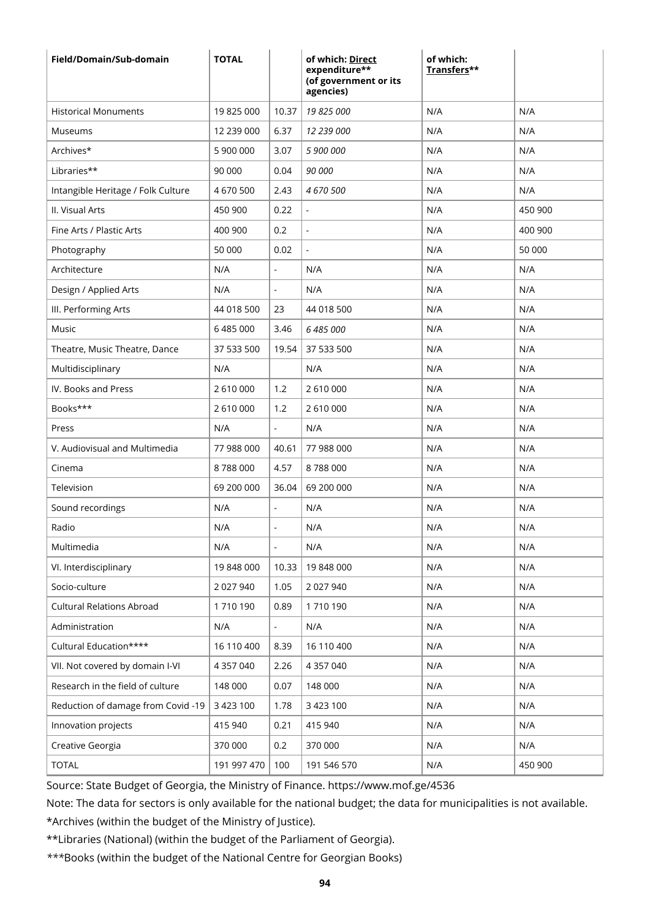| Field/Domain/Sub-domain            | <b>TOTAL</b>  |                          | of which: Direct<br>expenditure**<br>(of government or its<br>agencies) | of which:<br>Transfers** |         |
|------------------------------------|---------------|--------------------------|-------------------------------------------------------------------------|--------------------------|---------|
| <b>Historical Monuments</b>        | 19825000      | 10.37                    | 19 825 000                                                              | N/A                      | N/A     |
| Museums                            | 12 239 000    | 6.37                     | 12 239 000                                                              | N/A                      | N/A     |
| Archives*                          | 5 900 000     | 3.07                     | 5 900 000                                                               | N/A                      | N/A     |
| Libraries**                        | 90 000        | 0.04                     | 90 000                                                                  | N/A                      | N/A     |
| Intangible Heritage / Folk Culture | 4 670 500     | 2.43                     | 4 670 500                                                               | N/A                      | N/A     |
| II. Visual Arts                    | 450 900       | 0.22                     |                                                                         | N/A                      | 450 900 |
| Fine Arts / Plastic Arts           | 400 900       | 0.2                      |                                                                         | N/A                      | 400 900 |
| Photography                        | 50 000        | 0.02                     |                                                                         | N/A                      | 50 000  |
| Architecture                       | N/A           | $\mathbf{r}$             | N/A                                                                     | N/A                      | N/A     |
| Design / Applied Arts              | N/A           | $\blacksquare$           | N/A                                                                     | N/A                      | N/A     |
| III. Performing Arts               | 44 018 500    | 23                       | 44 018 500                                                              | N/A                      | N/A     |
| Music                              | 6 485 000     | 3.46                     | 6 485 000                                                               | N/A                      | N/A     |
| Theatre, Music Theatre, Dance      | 37 533 500    | 19.54                    | 37 533 500                                                              | N/A                      | N/A     |
| Multidisciplinary                  | N/A           |                          | N/A                                                                     | N/A                      | N/A     |
| IV. Books and Press                | 2 610 000     | 1.2                      | 2 610 000                                                               | N/A                      | N/A     |
| Books***                           | 2 610 000     | 1.2                      | 2 610 000                                                               | N/A                      | N/A     |
| Press                              | N/A           | $\blacksquare$           | N/A                                                                     | N/A                      | N/A     |
| V. Audiovisual and Multimedia      | 77 988 000    | 40.61                    | 77 988 000                                                              | N/A                      | N/A     |
| Cinema                             | 8788000       | 4.57                     | 8788000                                                                 | N/A                      | N/A     |
| Television                         | 69 200 000    | 36.04                    | 69 200 000                                                              | N/A                      | N/A     |
| Sound recordings                   | N/A           | $\blacksquare$           | N/A                                                                     | N/A                      | N/A     |
| Radio                              | N/A           | $\overline{\phantom{a}}$ | N/A                                                                     | N/A                      | N/A     |
| Multimedia                         | N/A           | $\blacksquare$           | N/A                                                                     | N/A                      | N/A     |
| VI. Interdisciplinary              | 19 848 000    | 10.33                    | 19 848 000                                                              | N/A                      | N/A     |
| Socio-culture                      | 2 027 940     | 1.05                     | 2 027 940                                                               | N/A                      | N/A     |
| <b>Cultural Relations Abroad</b>   | 1710190       | 0.89                     | 1710190                                                                 | N/A                      | N/A     |
| Administration                     | N/A           | $\Box$                   | N/A                                                                     | N/A                      | N/A     |
| Cultural Education****             | 16 110 400    | 8.39                     | 16 110 400                                                              | N/A                      | N/A     |
| VII. Not covered by domain I-VI    | 4 357 040     | 2.26                     | 4 357 040                                                               | N/A                      | N/A     |
| Research in the field of culture   | 148 000       | 0.07                     | 148 000                                                                 | N/A                      | N/A     |
| Reduction of damage from Covid -19 | 3 4 2 3 1 0 0 | 1.78                     | 3 423 100                                                               | N/A                      | N/A     |
| Innovation projects                | 415 940       | 0.21                     | 415 940                                                                 | N/A                      | N/A     |
| Creative Georgia                   | 370 000       | 0.2                      | 370 000                                                                 | N/A                      | N/A     |
| <b>TOTAL</b>                       | 191 997 470   | 100                      | 191 546 570                                                             | N/A                      | 450 900 |

Source: State Budget of Georgia, the Ministry of Finance. https://www.mof.ge/4536

Note: The data for sectors is only available for the national budget; the data for municipalities is not available.

\*Archives (within the budget of the Ministry of Justice).

\*\*Libraries (National) (within the budget of the Parliament of Georgia).

*\*\*\**Books (within the budget of the National Centre for Georgian Books)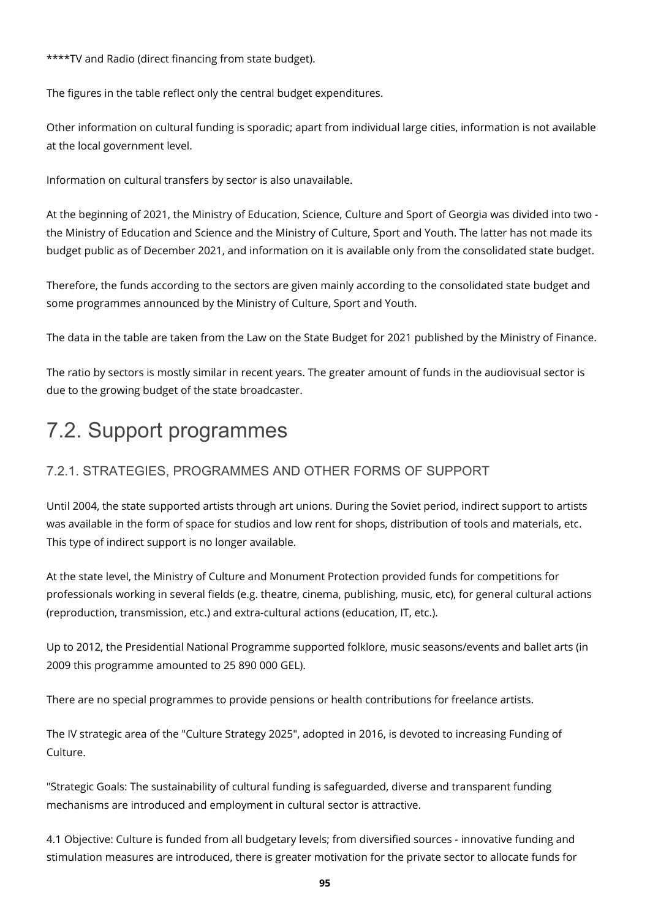\*\*\*\*TV and Radio (direct financing from state budget).

The figures in the table reflect only the central budget expenditures.

Other information on cultural funding is sporadic; apart from individual large cities, information is not available at the local government level.

Information on cultural transfers by sector is also unavailable.

At the beginning of 2021, the Ministry of Education, Science, Culture and Sport of Georgia was divided into two the Ministry of Education and Science and the Ministry of Culture, Sport and Youth. The latter has not made its budget public as of December 2021, and information on it is available only from the consolidated state budget.

Therefore, the funds according to the sectors are given mainly according to the consolidated state budget and some programmes announced by the Ministry of Culture, Sport and Youth.

The data in the table are taken from the Law on the State Budget for 2021 published by the Ministry of Finance.

The ratio by sectors is mostly similar in recent years. The greater amount of funds in the audiovisual sector is due to the growing budget of the state broadcaster.

## 7.2. Support programmes

### 7.2.1. STRATEGIES, PROGRAMMES AND OTHER FORMS OF SUPPORT

Until 2004, the state supported artists through art unions. During the Soviet period, indirect support to artists was available in the form of space for studios and low rent for shops, distribution of tools and materials, etc. This type of indirect support is no longer available.

At the state level, the Ministry of Culture and Monument Protection provided funds for competitions for professionals working in several fields (e.g. theatre, cinema, publishing, music, etc), for general cultural actions (reproduction, transmission, etc.) and extra-cultural actions (education, IT, etc.).

Up to 2012, the Presidential National Programme supported folklore, music seasons/events and ballet arts (in 2009 this programme amounted to 25 890 000 GEL).

There are no special programmes to provide pensions or health contributions for freelance artists.

The IV strategic area of the "Culture Strategy 2025", adopted in 2016, is devoted to increasing Funding of Culture.

"Strategic Goals: The sustainability of cultural funding is safeguarded, diverse and transparent funding mechanisms are introduced and employment in cultural sector is attractive.

4.1 Objective: Culture is funded from all budgetary levels; from diversified sources - innovative funding and stimulation measures are introduced, there is greater motivation for the private sector to allocate funds for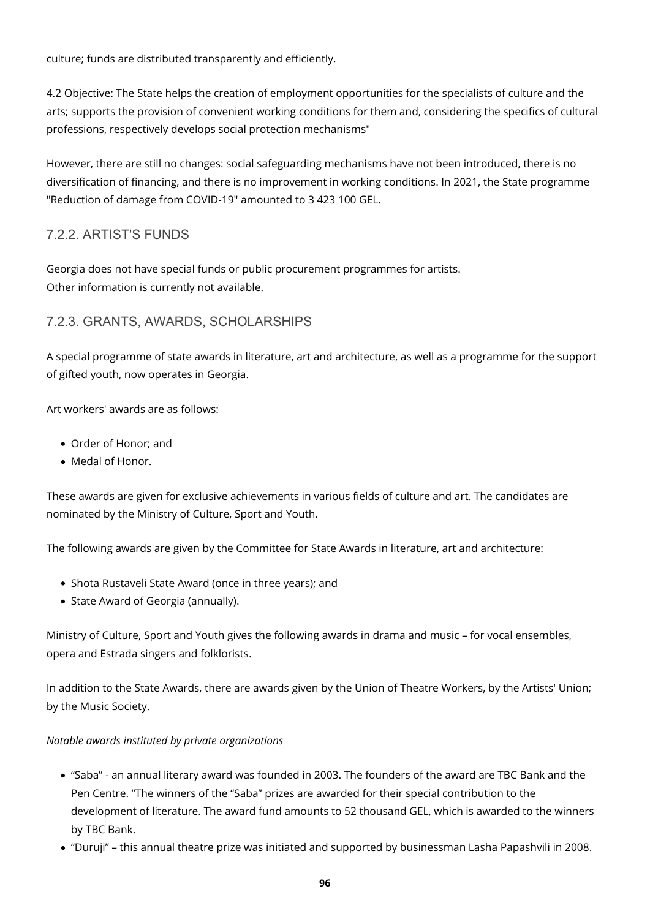culture; funds are distributed transparently and efficiently.

4.2 Objective: The State helps the creation of employment opportunities for the specialists of culture and the arts; supports the provision of convenient working conditions for them and, considering the specifics of cultural professions, respectively develops social protection mechanisms"

However, there are still no changes: social safeguarding mechanisms have not been introduced, there is no diversification of financing, and there is no improvement in working conditions. In 2021, the State programme "Reduction of damage from COVID-19" amounted to 3 423 100 GEL.

#### 7.2.2. ARTIST'S FUNDS

Georgia does not have special funds or public procurement programmes for artists. Other information is currently not available.

#### 7.2.3. GRANTS, AWARDS, SCHOLARSHIPS

A special programme of state awards in literature, art and architecture, as well as a programme for the support of gifted youth, now operates in Georgia.

Art workers' awards are as follows:

- Order of Honor; and
- Medal of Honor.

These awards are given for exclusive achievements in various fields of culture and art. The candidates are nominated by the Ministry of Culture, Sport and Youth.

The following awards are given by the Committee for State Awards in literature, art and architecture:

- Shota Rustaveli State Award (once in three years); and
- State Award of Georgia (annually).

Ministry of Culture, Sport and Youth gives the following awards in drama and music – for vocal ensembles, opera and Estrada singers and folklorists.

In addition to the State Awards, there are awards given by the Union of Theatre Workers, by the Artists' Union; by the Music Society.

#### *Notable awards instituted by private organizations*

- "Saba" an annual literary award was founded in 2003. The founders of the award are TBC Bank and the Pen Centre. "The winners of the "Saba" prizes are awarded for their special contribution to the development of literature. The award fund amounts to 52 thousand GEL, which is awarded to the winners by TBC Bank.
- "Duruji" this annual theatre prize was initiated and supported by businessman Lasha Papashvili in 2008.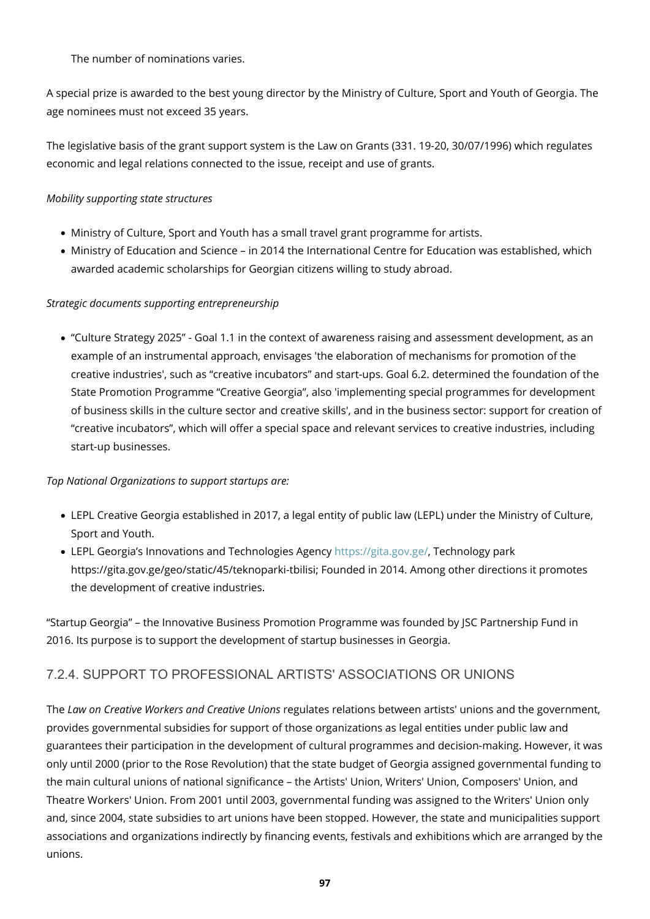The number of nominations varies.

A special prize is awarded to the best young director by the Ministry of Culture, Sport and Youth of Georgia. The age nominees must not exceed 35 years.

The legislative basis of the grant support system is the Law on Grants (331. 19-20, 30/07/1996) which regulates economic and legal relations connected to the issue, receipt and use of grants.

#### *Mobility supporting state structures*

- Ministry of Culture, Sport and Youth has a small travel grant programme for artists.
- Ministry of Education and Science in 2014 the International Centre for Education was established, which awarded academic scholarships for Georgian citizens willing to study abroad.

#### *Strategic documents supporting entrepreneurship*

"Culture Strategy 2025" - Goal 1.1 in the context of awareness raising and assessment development, as an example of an instrumental approach, envisages 'the elaboration of mechanisms for promotion of the creative industries', such as "creative incubators" and start-ups. Goal 6.2. determined the foundation of the State Promotion Programme "Creative Georgia", also 'implementing special programmes for development of business skills in the culture sector and creative skills', and in the business sector: support for creation of "creative incubators", which will offer a special space and relevant services to creative industries, including start-up businesses.

#### *Top National Organizations to support startups are:*

- LEPL Creative Georgia established in 2017, a legal entity of public law (LEPL) under the Ministry of Culture, Sport and Youth.
- LEPL Georgia's Innovations and Technologies Agency<https://gita.gov.ge/>, Technology park https://gita.gov.ge/geo/static/45/teknoparki-tbilisi; Founded in 2014. Among other directions it promotes the development of creative industries.

"Startup Georgia" – the Innovative Business Promotion Programme was founded by JSC Partnership Fund in 2016. Its purpose is to support the development of startup businesses in Georgia.

### 7.2.4. SUPPORT TO PROFESSIONAL ARTISTS' ASSOCIATIONS OR UNIONS

The *Law on Creative Workers and Creative Unions* regulates relations between artists' unions and the government, provides governmental subsidies for support of those organizations as legal entities under public law and guarantees their participation in the development of cultural programmes and decision-making. However, it was only until 2000 (prior to the Rose Revolution) that the state budget of Georgia assigned governmental funding to the main cultural unions of national significance – the Artists' Union, Writers' Union, Composers' Union, and Theatre Workers' Union. From 2001 until 2003, governmental funding was assigned to the Writers' Union only and, since 2004, state subsidies to art unions have been stopped. However, the state and municipalities support associations and organizations indirectly by financing events, festivals and exhibitions which are arranged by the unions.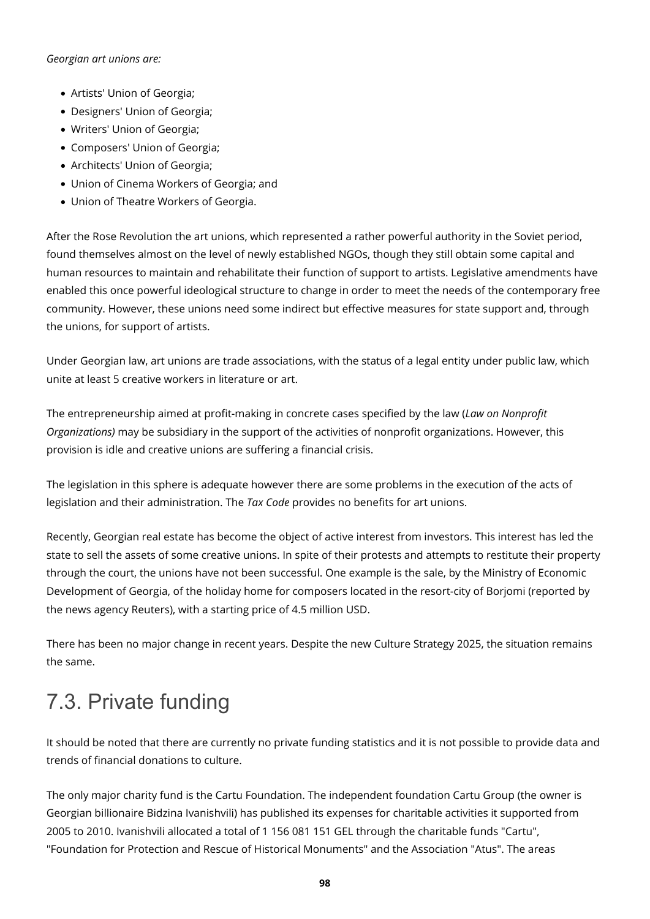#### *Georgian art unions are:*

- Artists' Union of Georgia;
- Designers' Union of Georgia;
- Writers' Union of Georgia;
- Composers' Union of Georgia;
- Architects' Union of Georgia;
- Union of Cinema Workers of Georgia; and
- Union of Theatre Workers of Georgia.

After the Rose Revolution the art unions, which represented a rather powerful authority in the Soviet period, found themselves almost on the level of newly established NGOs, though they still obtain some capital and human resources to maintain and rehabilitate their function of support to artists. Legislative amendments have enabled this once powerful ideological structure to change in order to meet the needs of the contemporary free community. However, these unions need some indirect but effective measures for state support and, through the unions, for support of artists.

Under Georgian law, art unions are trade associations, with the status of a legal entity under public law, which unite at least 5 creative workers in literature or art.

The entrepreneurship aimed at profit-making in concrete cases specified by the law (*Law on Nonprofit Organizations)* may be subsidiary in the support of the activities of nonprofit organizations. However, this provision is idle and creative unions are suffering a financial crisis.

The legislation in this sphere is adequate however there are some problems in the execution of the acts of legislation and their administration. The *Tax Code* provides no benefits for art unions.

Recently, Georgian real estate has become the object of active interest from investors. This interest has led the state to sell the assets of some creative unions. In spite of their protests and attempts to restitute their property through the court, the unions have not been successful. One example is the sale, by the Ministry of Economic Development of Georgia, of the holiday home for composers located in the resort-city of Borjomi (reported by the news agency Reuters), with a starting price of 4.5 million USD.

There has been no major change in recent years. Despite the new Culture Strategy 2025, the situation remains the same.

# 7.3. Private funding

It should be noted that there are currently no private funding statistics and it is not possible to provide data and trends of financial donations to culture.

The only major charity fund is the Cartu Foundation. The independent foundation Cartu Group (the owner is Georgian billionaire Bidzina Ivanishvili) has published its expenses for charitable activities it supported from 2005 to 2010. Ivanishvili allocated a total of 1 156 081 151 GEL through the charitable funds "Cartu", "Foundation for Protection and Rescue of Historical Monuments" and the Association "Atus". The areas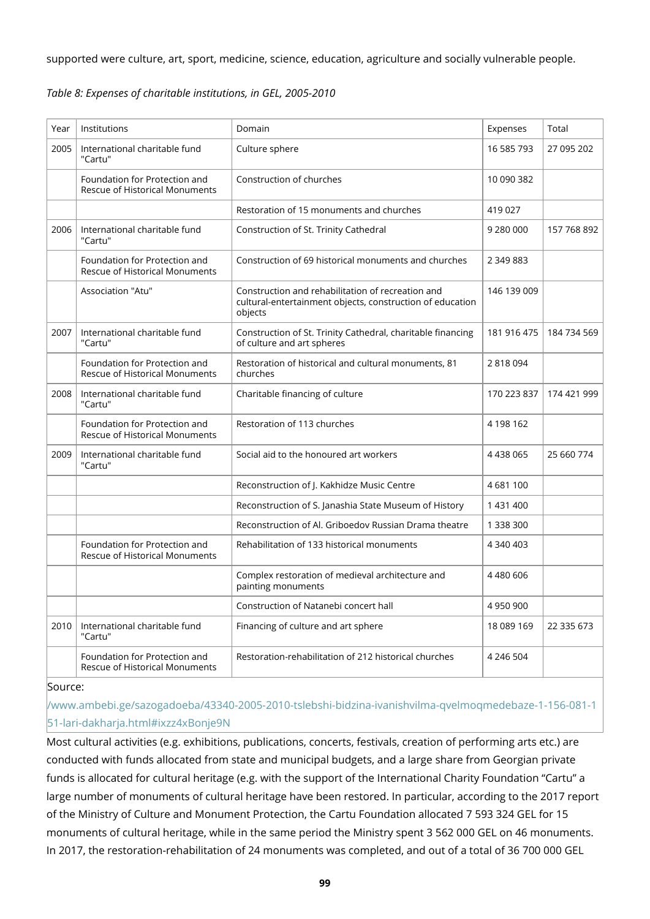supported were culture, art, sport, medicine, science, education, agriculture and socially vulnerable people.

| Year | Institutions                                                           | Domain                                                                                                                    | Expenses    | Total       |
|------|------------------------------------------------------------------------|---------------------------------------------------------------------------------------------------------------------------|-------------|-------------|
| 2005 | International charitable fund<br>"Cartu"                               | Culture sphere                                                                                                            | 16 585 793  | 27 095 202  |
|      | Foundation for Protection and<br><b>Rescue of Historical Monuments</b> | Construction of churches                                                                                                  | 10 090 382  |             |
|      |                                                                        | Restoration of 15 monuments and churches                                                                                  | 419 027     |             |
| 2006 | International charitable fund<br>"Cartu"                               | Construction of St. Trinity Cathedral                                                                                     | 9 280 000   | 157 768 892 |
|      | Foundation for Protection and<br><b>Rescue of Historical Monuments</b> | Construction of 69 historical monuments and churches                                                                      | 2 349 883   |             |
|      | Association "Atu"                                                      | Construction and rehabilitation of recreation and<br>cultural-entertainment objects, construction of education<br>objects | 146 139 009 |             |
| 2007 | International charitable fund<br>"Cartu"                               | Construction of St. Trinity Cathedral, charitable financing<br>of culture and art spheres                                 | 181 916 475 | 184 734 569 |
|      | Foundation for Protection and<br><b>Rescue of Historical Monuments</b> | Restoration of historical and cultural monuments, 81<br>churches                                                          | 2818094     |             |
| 2008 | International charitable fund<br>"Cartu"                               | Charitable financing of culture                                                                                           | 170 223 837 | 174 421 999 |
|      | Foundation for Protection and<br><b>Rescue of Historical Monuments</b> | Restoration of 113 churches                                                                                               | 4 198 162   |             |
| 2009 | International charitable fund<br>"Cartu"                               | Social aid to the honoured art workers                                                                                    | 4 4 38 0 65 | 25 660 774  |
|      |                                                                        | Reconstruction of J. Kakhidze Music Centre                                                                                | 4681100     |             |
|      |                                                                        | Reconstruction of S. Janashia State Museum of History                                                                     | 1 431 400   |             |
|      |                                                                        | Reconstruction of Al. Griboedov Russian Drama theatre                                                                     | 1 338 300   |             |
|      | Foundation for Protection and<br><b>Rescue of Historical Monuments</b> | Rehabilitation of 133 historical monuments                                                                                | 4 340 403   |             |
|      |                                                                        | Complex restoration of medieval architecture and<br>painting monuments                                                    | 4 480 606   |             |
|      |                                                                        | Construction of Natanebi concert hall                                                                                     | 4 950 900   |             |
| 2010 | International charitable fund<br>"Cartu"                               | Financing of culture and art sphere                                                                                       | 18 089 169  | 22 335 673  |
|      | Foundation for Protection and<br>Rescue of Historical Monuments        | Restoration-rehabilitation of 212 historical churches                                                                     | 4 246 504   |             |

#### Source:

[/www.ambebi.ge/sazogadoeba/43340-2005-2010-tslebshi-bidzina-ivanishvilma-qvelmoqmedebaze-1-156-081-1](http://www.ambebi.ge/sazogadoeba/43340-2005-2010-tslebshi-bidzina-ivanishvilma-qvelmoqmedebaze-1-156-081-151-lari-dakharja.html#ixzz4xBonje9N) [51-lari-dakharja.html#ixzz4xBonje9N](http://www.ambebi.ge/sazogadoeba/43340-2005-2010-tslebshi-bidzina-ivanishvilma-qvelmoqmedebaze-1-156-081-151-lari-dakharja.html#ixzz4xBonje9N)

Most cultural activities (e.g. exhibitions, publications, concerts, festivals, creation of performing arts etc.) are conducted with funds allocated from state and municipal budgets, and a large share from Georgian private funds is allocated for cultural heritage (e.g. with the support of the International Charity Foundation "Cartu" a large number of monuments of cultural heritage have been restored. In particular, according to the 2017 report of the Ministry of Culture and Monument Protection, the Cartu Foundation allocated 7 593 324 GEL for 15 monuments of cultural heritage, while in the same period the Ministry spent 3 562 000 GEL on 46 monuments. In 2017, the restoration-rehabilitation of 24 monuments was completed, and out of a total of 36 700 000 GEL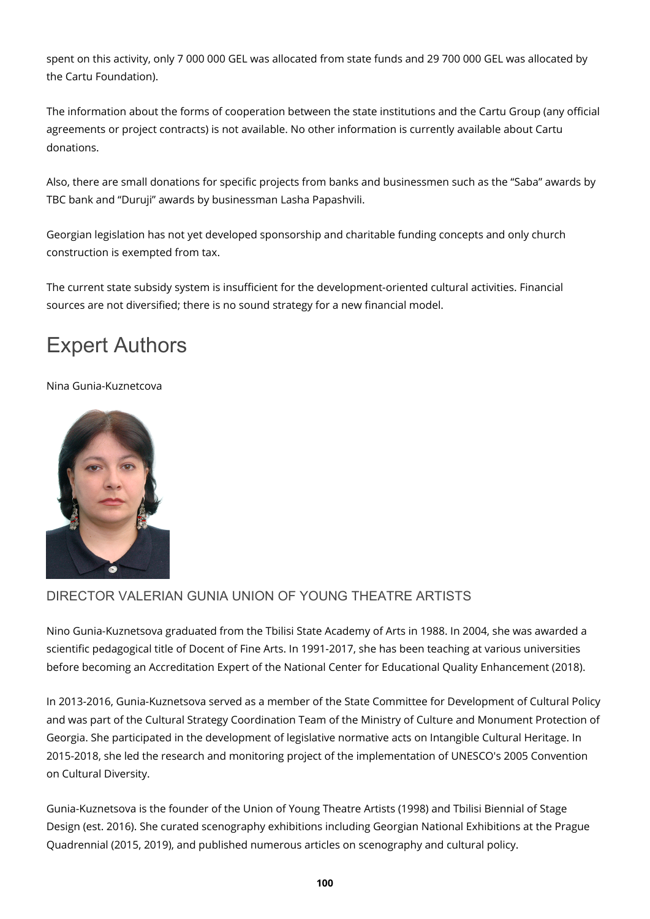spent on this activity, only 7 000 000 GEL was allocated from state funds and 29 700 000 GEL was allocated by the Cartu Foundation).

The information about the forms of cooperation between the state institutions and the Cartu Group (any official agreements or project contracts) is not available. No other information is currently available about Cartu donations.

Also, there are small donations for specific projects from banks and businessmen such as the "Saba" awards by TBC bank and "Duruji" awards by businessman Lasha Papashvili.

Georgian legislation has not yet developed sponsorship and charitable funding concepts and only church construction is exempted from tax.

The current state subsidy system is insufficient for the development-oriented cultural activities. Financial sources are not diversified; there is no sound strategy for a new financial model.

## Expert Authors

#### Nina Gunia-Kuznetcova



### DIRECTOR VALERIAN GUNIA UNION OF YOUNG THEATRE ARTISTS

Nino Gunia-Kuznetsova graduated from the Tbilisi State Academy of Arts in 1988. In 2004, she was awarded a scientific pedagogical title of Docent of Fine Arts. In 1991-2017, she has been teaching at various universities before becoming an Accreditation Expert of the National Center for Educational Quality Enhancement (2018).

In 2013-2016, Gunia-Kuznetsova served as a member of the State Committee for Development of Cultural Policy and was part of the Cultural Strategy Coordination Team of the Ministry of Culture and Monument Protection of Georgia. She participated in the development of legislative normative acts on Intangible Cultural Heritage. In 2015-2018, she led the research and monitoring project of the implementation of UNESCO's 2005 Convention on Cultural Diversity.

Gunia-Kuznetsova is the founder of the Union of Young Theatre Artists (1998) and Tbilisi Biennial of Stage Design (est. 2016). She curated scenography exhibitions including Georgian National Exhibitions at the Prague Quadrennial (2015, 2019), and published numerous articles on scenography and cultural policy.